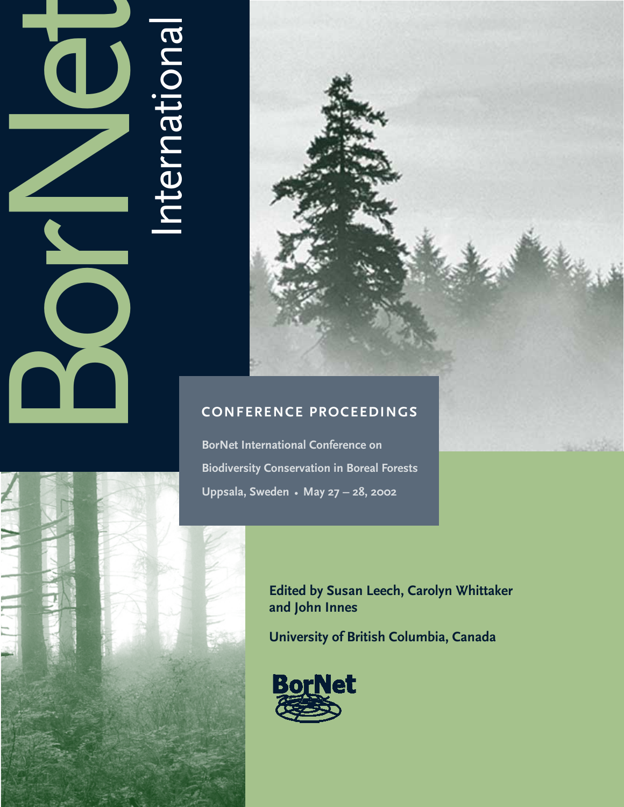# **BORNET** International



## **CONFERENCE PROCEEDINGS**

**BorNet International Conference on Biodiversity Conservation in Boreal Forests Uppsala, Sweden • May 27 – 28, 2002**



**Edited by Susan Leech, Carolyn Whittaker and John Innes**

**University of British Columbia, Canada**

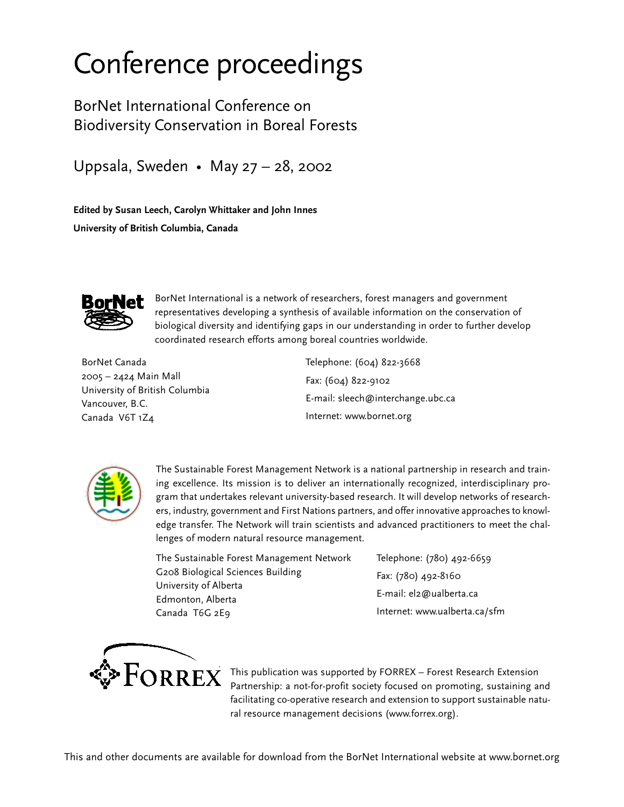## Conference proceedings

BorNet International Conference on Biodiversity Conservation in Boreal Forests

Uppsala, Sweden • May 27 – 28, 2002

**Edited by Susan Leech, Carolyn Whittaker and John Innes University of British Columbia, Canada**



BorNet International is a network of researchers, forest managers and government representatives developing a synthesis of available information on the conservation of biological diversity and identifying gaps in our understanding in order to further develop coordinated research efforts among boreal countries worldwide.

BorNet Canada 2005 – 2424 Main Mall University of British Columbia Vancouver, B.C. Canada V6T 1Z4

Telephone: (604) 822-3668 Fax: (604) 822-9102 E-mail: sleech@interchange.ubc.ca Internet: www.bornet.org



The Sustainable Forest Management Network is a national partnership in research and training excellence. Its mission is to deliver an internationally recognized, interdisciplinary program that undertakes relevant university-based research. It will develop networks of researchers, industry, government and First Nations partners, and offer innovative approaches to knowledge transfer. The Network will train scientists and advanced practitioners to meet the challenges of modern natural resource management.

The Sustainable Forest Management Network G208 Biological Sciences Building University of Alberta Edmonton, Alberta Canada T6G 2E9

Telephone: (780) 492-6659 Fax: (780) 492-8160 E-mail: el2@ualberta.ca Internet: www.ualberta.ca/sfm



 $\textbf{P} \textbf{ORREX}$  This publication was supported by FORREX – Forest Research Extension  $\textbf{P} \textbf{P}$ Partnership: a not-for-profit society focused on promoting, sustaining and facilitating co-operative research and extension to support sustainable natural resource management decisions (www.forrex.org).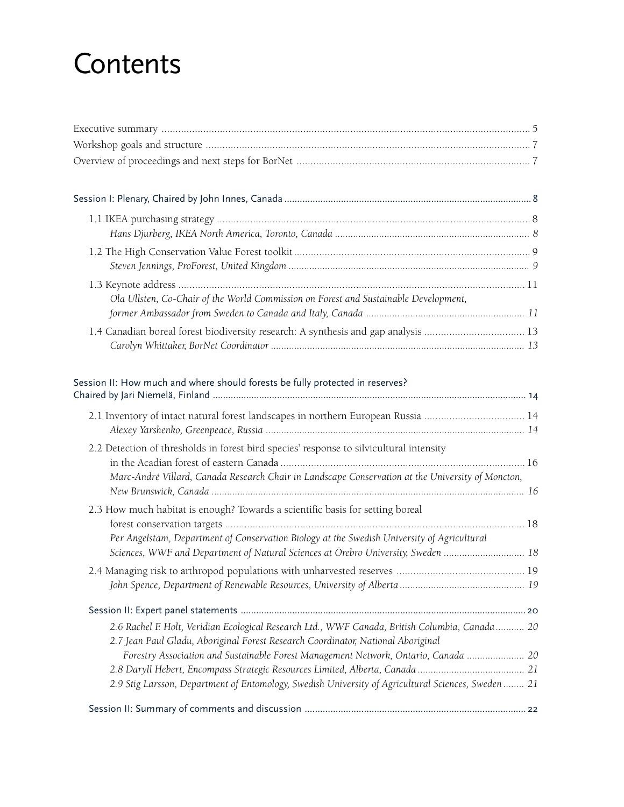## **Contents**

| Ola Ullsten, Co-Chair of the World Commission on Forest and Sustainable Development,                                                                                                                                                                                      |  |
|---------------------------------------------------------------------------------------------------------------------------------------------------------------------------------------------------------------------------------------------------------------------------|--|
|                                                                                                                                                                                                                                                                           |  |
| Session II: How much and where should forests be fully protected in reserves?                                                                                                                                                                                             |  |
| 2.1 Inventory of intact natural forest landscapes in northern European Russia  14                                                                                                                                                                                         |  |
| 2.2 Detection of thresholds in forest bird species' response to silvicultural intensity<br>Marc-André Villard, Canada Research Chair in Landscape Conservation at the University of Moncton,                                                                              |  |
| 2.3 How much habitat is enough? Towards a scientific basis for setting boreal<br>Per Angelstam, Department of Conservation Biology at the Swedish University of Agricultural                                                                                              |  |
| Sciences, WWF and Department of Natural Sciences at Örebro University, Sweden  18                                                                                                                                                                                         |  |
|                                                                                                                                                                                                                                                                           |  |
| 2.6 Rachel F. Holt, Veridian Ecological Research Ltd., WWF Canada, British Columbia, Canada 20<br>2.7 Jean Paul Gladu, Aboriginal Forest Research Coordinator, National Aboriginal<br>Forestry Association and Sustainable Forest Management Network, Ontario, Canada  20 |  |
| 2.9 Stig Larsson, Department of Entomology, Swedish University of Agricultural Sciences, Sweden  21                                                                                                                                                                       |  |
|                                                                                                                                                                                                                                                                           |  |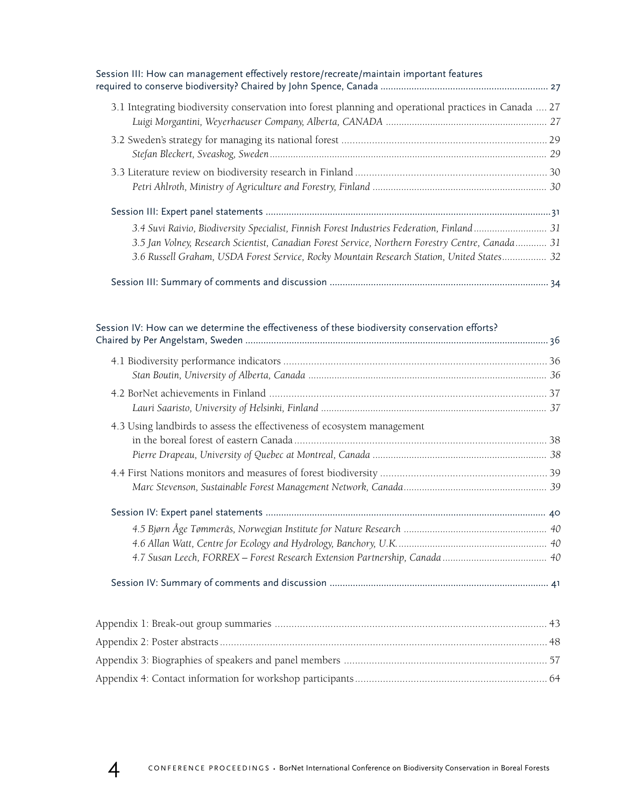| Session III: How can management effectively restore/recreate/maintain important features<br>required to conserve biodiversity? Chaired by John Spence, Canada ………………………………………………………………………………………                                                                                              |  |
|----------------------------------------------------------------------------------------------------------------------------------------------------------------------------------------------------------------------------------------------------------------------------------------------|--|
| 3.1 Integrating biodiversity conservation into forest planning and operational practices in Canada  27                                                                                                                                                                                       |  |
|                                                                                                                                                                                                                                                                                              |  |
|                                                                                                                                                                                                                                                                                              |  |
|                                                                                                                                                                                                                                                                                              |  |
| 3.4 Suvi Raivio, Biodiversity Specialist, Finnish Forest Industries Federation, Finland 31<br>3.5 Jan Volney, Research Scientist, Canadian Forest Service, Northern Forestry Centre, Canada 31<br>3.6 Russell Graham, USDA Forest Service, Rocky Mountain Research Station, United States 32 |  |
|                                                                                                                                                                                                                                                                                              |  |

| Session IV: How can we determine the effectiveness of these biodiversity conservation efforts? |  |
|------------------------------------------------------------------------------------------------|--|
|                                                                                                |  |
|                                                                                                |  |
|                                                                                                |  |
|                                                                                                |  |
| 4.3 Using landbirds to assess the effectiveness of ecosystem management                        |  |
|                                                                                                |  |
|                                                                                                |  |
|                                                                                                |  |
|                                                                                                |  |
|                                                                                                |  |
|                                                                                                |  |
|                                                                                                |  |
|                                                                                                |  |
|                                                                                                |  |
|                                                                                                |  |
|                                                                                                |  |
|                                                                                                |  |
|                                                                                                |  |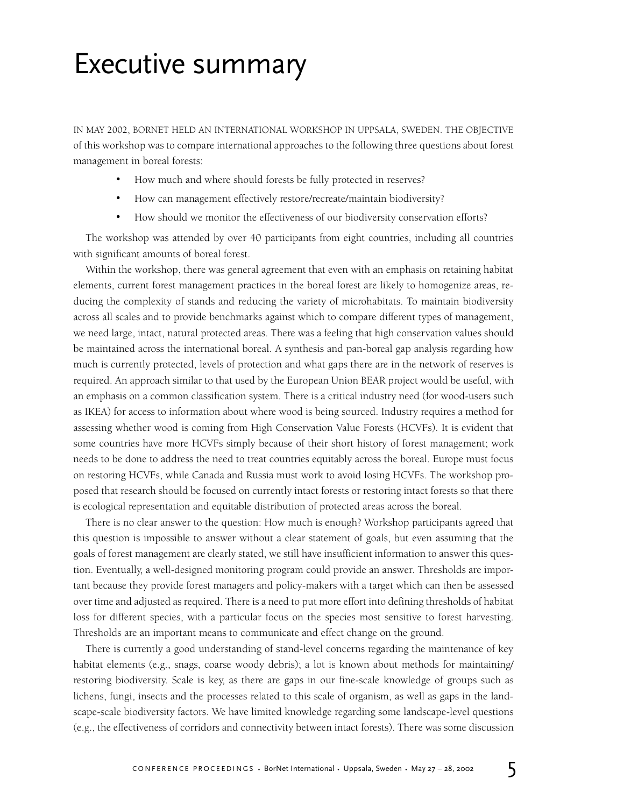## Executive summary

IN MAY 2002, BORNET HELD AN INTERNATIONAL WORKSHOP IN UPPSALA, SWEDEN. THE OBJECTIVE of this workshop was to compare international approaches to the following three questions about forest management in boreal forests:

- How much and where should forests be fully protected in reserves?
- How can management effectively restore/recreate/maintain biodiversity?
- How should we monitor the effectiveness of our biodiversity conservation efforts?

The workshop was attended by over 40 participants from eight countries, including all countries with significant amounts of boreal forest.

Within the workshop, there was general agreement that even with an emphasis on retaining habitat elements, current forest management practices in the boreal forest are likely to homogenize areas, reducing the complexity of stands and reducing the variety of microhabitats. To maintain biodiversity across all scales and to provide benchmarks against which to compare different types of management, we need large, intact, natural protected areas. There was a feeling that high conservation values should be maintained across the international boreal. A synthesis and pan-boreal gap analysis regarding how much is currently protected, levels of protection and what gaps there are in the network of reserves is required. An approach similar to that used by the European Union BEAR project would be useful, with an emphasis on a common classification system. There is a critical industry need (for wood-users such as IKEA) for access to information about where wood is being sourced. Industry requires a method for assessing whether wood is coming from High Conservation Value Forests (HCVFs). It is evident that some countries have more HCVFs simply because of their short history of forest management; work needs to be done to address the need to treat countries equitably across the boreal. Europe must focus on restoring HCVFs, while Canada and Russia must work to avoid losing HCVFs. The workshop proposed that research should be focused on currently intact forests or restoring intact forests so that there is ecological representation and equitable distribution of protected areas across the boreal.

There is no clear answer to the question: How much is enough? Workshop participants agreed that this question is impossible to answer without a clear statement of goals, but even assuming that the goals of forest management are clearly stated, we still have insufficient information to answer this question. Eventually, a well-designed monitoring program could provide an answer. Thresholds are important because they provide forest managers and policy-makers with a target which can then be assessed over time and adjusted as required. There is a need to put more effort into defining thresholds of habitat loss for different species, with a particular focus on the species most sensitive to forest harvesting. Thresholds are an important means to communicate and effect change on the ground.

There is currently a good understanding of stand-level concerns regarding the maintenance of key habitat elements (e.g., snags, coarse woody debris); a lot is known about methods for maintaining/ restoring biodiversity. Scale is key, as there are gaps in our fine-scale knowledge of groups such as lichens, fungi, insects and the processes related to this scale of organism, as well as gaps in the landscape-scale biodiversity factors. We have limited knowledge regarding some landscape-level questions (e.g., the effectiveness of corridors and connectivity between intact forests). There was some discussion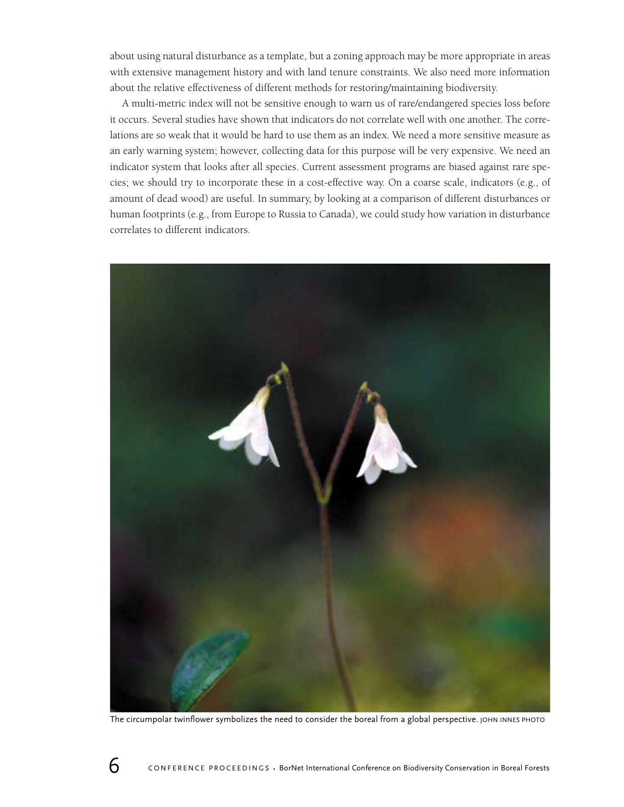about using natural disturbance as a template, but a zoning approach may be more appropriate in areas with extensive management history and with land tenure constraints. We also need more information about the relative effectiveness of different methods for restoring/maintaining biodiversity.

A multi-metric index will not be sensitive enough to warn us of rare/endangered species loss before it occurs. Several studies have shown that indicators do not correlate well with one another. The correlations are so weak that it would be hard to use them as an index. We need a more sensitive measure as an early warning system; however, collecting data for this purpose will be very expensive. We need an indicator system that looks after all species. Current assessment programs are biased against rare species; we should try to incorporate these in a cost-effective way. On a coarse scale, indicators (e.g., of amount of dead wood) are useful. In summary, by looking at a comparison of different disturbances or human footprints (e.g., from Europe to Russia to Canada), we could study how variation in disturbance correlates to different indicators.



The circumpolar twinflower symbolizes the need to consider the boreal from a global perspective. JOHN INNES PHOTO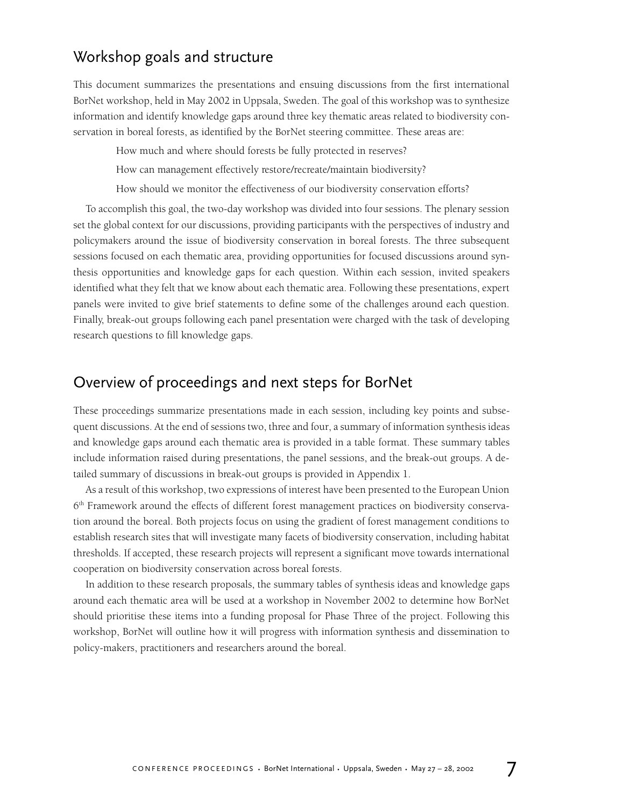## Workshop goals and structure

This document summarizes the presentations and ensuing discussions from the first international BorNet workshop, held in May 2002 in Uppsala, Sweden. The goal of this workshop was to synthesize information and identify knowledge gaps around three key thematic areas related to biodiversity conservation in boreal forests, as identified by the BorNet steering committee. These areas are:

How much and where should forests be fully protected in reserves?

How can management effectively restore/recreate/maintain biodiversity?

How should we monitor the effectiveness of our biodiversity conservation efforts?

To accomplish this goal, the two-day workshop was divided into four sessions. The plenary session set the global context for our discussions, providing participants with the perspectives of industry and policymakers around the issue of biodiversity conservation in boreal forests. The three subsequent sessions focused on each thematic area, providing opportunities for focused discussions around synthesis opportunities and knowledge gaps for each question. Within each session, invited speakers identified what they felt that we know about each thematic area. Following these presentations, expert panels were invited to give brief statements to define some of the challenges around each question. Finally, break-out groups following each panel presentation were charged with the task of developing research questions to fill knowledge gaps.

## Overview of proceedings and next steps for BorNet

These proceedings summarize presentations made in each session, including key points and subsequent discussions. At the end of sessions two, three and four, a summary of information synthesis ideas and knowledge gaps around each thematic area is provided in a table format. These summary tables include information raised during presentations, the panel sessions, and the break-out groups. A detailed summary of discussions in break-out groups is provided in Appendix 1.

As a result of this workshop, two expressions of interest have been presented to the European Union 6<sup>th</sup> Framework around the effects of different forest management practices on biodiversity conservation around the boreal. Both projects focus on using the gradient of forest management conditions to establish research sites that will investigate many facets of biodiversity conservation, including habitat thresholds. If accepted, these research projects will represent a significant move towards international cooperation on biodiversity conservation across boreal forests.

In addition to these research proposals, the summary tables of synthesis ideas and knowledge gaps around each thematic area will be used at a workshop in November 2002 to determine how BorNet should prioritise these items into a funding proposal for Phase Three of the project. Following this workshop, BorNet will outline how it will progress with information synthesis and dissemination to policy-makers, practitioners and researchers around the boreal.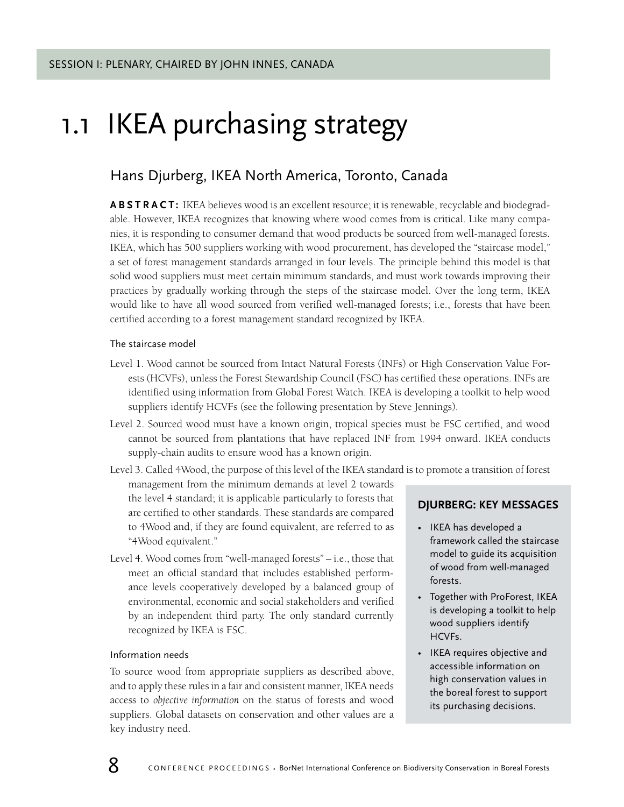## 1.1 IKEA purchasing strategy

## Hans Djurberg, IKEA North America, Toronto, Canada

**ABSTRACT:** IKEA believes wood is an excellent resource; it is renewable, recyclable and biodegradable. However, IKEA recognizes that knowing where wood comes from is critical. Like many companies, it is responding to consumer demand that wood products be sourced from well-managed forests. IKEA, which has 500 suppliers working with wood procurement, has developed the "staircase model," a set of forest management standards arranged in four levels. The principle behind this model is that solid wood suppliers must meet certain minimum standards, and must work towards improving their practices by gradually working through the steps of the staircase model. Over the long term, IKEA would like to have all wood sourced from verified well-managed forests; i.e., forests that have been certified according to a forest management standard recognized by IKEA.

### The staircase model

- Level 1. Wood cannot be sourced from Intact Natural Forests (INFs) or High Conservation Value Forests (HCVFs), unless the Forest Stewardship Council (FSC) has certified these operations. INFs are identified using information from Global Forest Watch. IKEA is developing a toolkit to help wood suppliers identify HCVFs (see the following presentation by Steve Jennings).
- Level 2. Sourced wood must have a known origin, tropical species must be FSC certified, and wood cannot be sourced from plantations that have replaced INF from 1994 onward. IKEA conducts supply-chain audits to ensure wood has a known origin.

Level 3. Called 4Wood, the purpose of this level of the IKEA standard is to promote a transition of forest

management from the minimum demands at level 2 towards the level 4 standard; it is applicable particularly to forests that are certified to other standards. These standards are compared to 4Wood and, if they are found equivalent, are referred to as "4Wood equivalent."

Level 4. Wood comes from "well-managed forests" – i.e., those that meet an official standard that includes established performance levels cooperatively developed by a balanced group of environmental, economic and social stakeholders and verified by an independent third party. The only standard currently recognized by IKEA is FSC.

### Information needs

To source wood from appropriate suppliers as described above, and to apply these rules in a fair and consistent manner, IKEA needs access to *objective information* on the status of forests and wood suppliers. Global datasets on conservation and other values are a key industry need.

## **DJURBERG: KEY MESSAGES**

- IKEA has developed a framework called the staircase model to guide its acquisition of wood from well-managed forests.
- Together with ProForest, IKEA is developing a toolkit to help wood suppliers identify HCVFs.
- IKEA requires objective and accessible information on high conservation values in the boreal forest to support its purchasing decisions.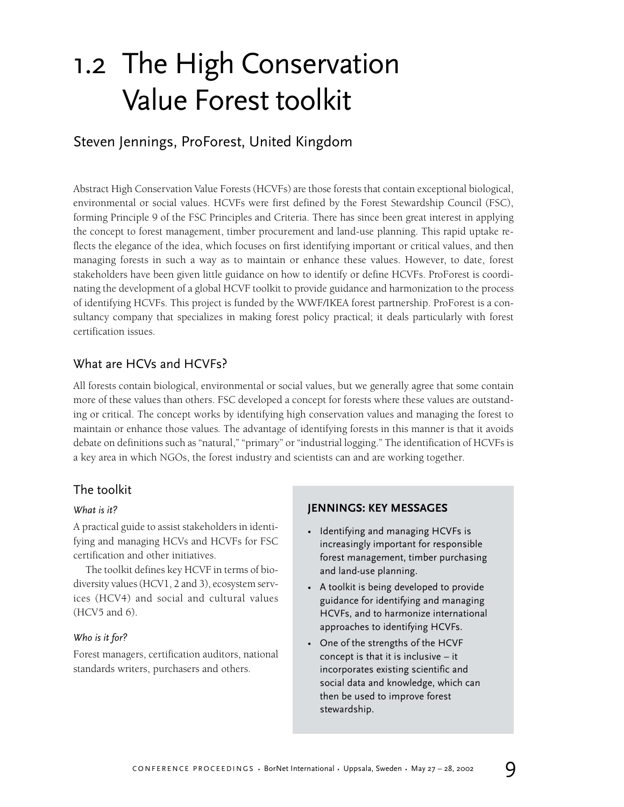## 1.2 The High Conservation Value Forest toolkit

## Steven Jennings, ProForest, United Kingdom

Abstract High Conservation Value Forests (HCVFs) are those forests that contain exceptional biological, environmental or social values. HCVFs were first defined by the Forest Stewardship Council (FSC), forming Principle 9 of the FSC Principles and Criteria. There has since been great interest in applying the concept to forest management, timber procurement and land-use planning. This rapid uptake reflects the elegance of the idea, which focuses on first identifying important or critical values, and then managing forests in such a way as to maintain or enhance these values. However, to date, forest stakeholders have been given little guidance on how to identify or define HCVFs. ProForest is coordinating the development of a global HCVF toolkit to provide guidance and harmonization to the process of identifying HCVFs. This project is funded by the WWF/IKEA forest partnership. ProForest is a consultancy company that specializes in making forest policy practical; it deals particularly with forest certification issues.

## What are HCVs and HCVFs?

All forests contain biological, environmental or social values, but we generally agree that some contain more of these values than others. FSC developed a concept for forests where these values are outstanding or critical. The concept works by identifying high conservation values and managing the forest to maintain or enhance those values*.* The advantage of identifying forests in this manner is that it avoids debate on definitions such as "natural," "primary" or "industrial logging." The identification of HCVFs is a key area in which NGOs, the forest industry and scientists can and are working together.

## The toolkit

## *What is it?*

A practical guide to assist stakeholders in identifying and managing HCVs and HCVFs for FSC certification and other initiatives.

The toolkit defines key HCVF in terms of biodiversity values (HCV1, 2 and 3), ecosystem services (HCV4) and social and cultural values (HCV5 and 6).

## *Who is it for?*

Forest managers, certification auditors, national standards writers, purchasers and others.

## **JENNINGS: KEY MESSAGES**

- Identifying and managing HCVFs is increasingly important for responsible forest management, timber purchasing and land-use planning.
- A toolkit is being developed to provide guidance for identifying and managing HCVFs, and to harmonize international approaches to identifying HCVFs.
- One of the strengths of the HCVF concept is that it is inclusive – it incorporates existing scientific and social data and knowledge, which can then be used to improve forest stewardship.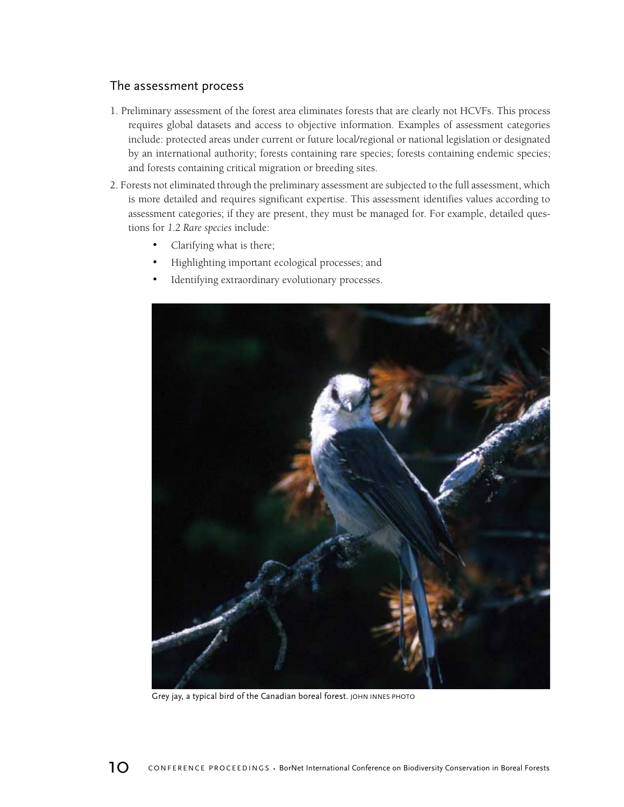## The assessment process

- 1. Preliminary assessment of the forest area eliminates forests that are clearly not HCVFs. This process requires global datasets and access to objective information. Examples of assessment categories include: protected areas under current or future local/regional or national legislation or designated by an international authority; forests containing rare species; forests containing endemic species; and forests containing critical migration or breeding sites.
- 2. Forests not eliminated through the preliminary assessment are subjected to the full assessment, which is more detailed and requires significant expertise. This assessment identifies values according to assessment categories; if they are present, they must be managed for. For example, detailed questions for *1.2 Rare species* include:
	- Clarifying what is there;
	- Highlighting important ecological processes; and
	- Identifying extraordinary evolutionary processes.



Grey jay, a typical bird of the Canadian boreal forest. JOHN INNES PHOTO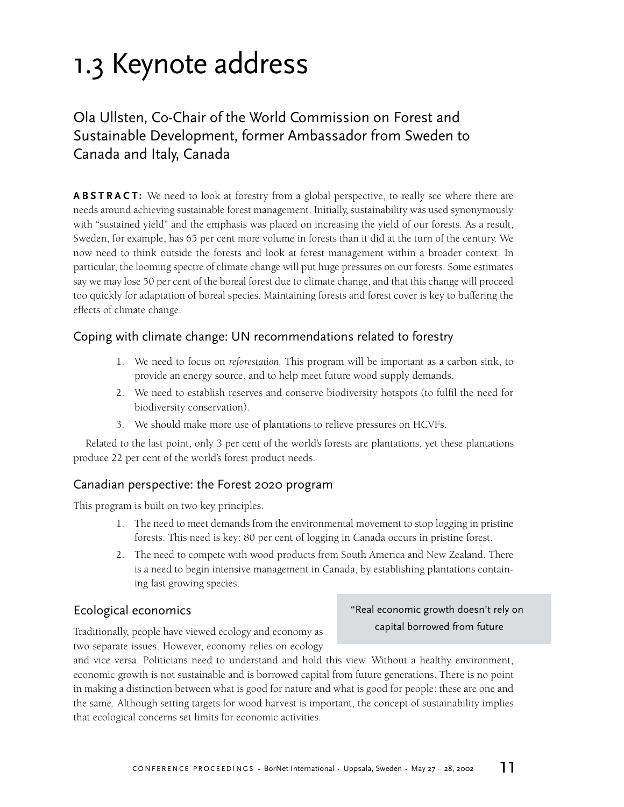## 1.3 Keynote address

## Ola Ullsten, Co-Chair of the World Commission on Forest and Sustainable Development, former Ambassador from Sweden to Canada and Italy, Canada

**ABSTRACT:** We need to look at forestry from a global perspective, to really see where there are needs around achieving sustainable forest management. Initially, sustainability was used synonymously with "sustained yield" and the emphasis was placed on increasing the yield of our forests. As a result, Sweden, for example, has 65 per cent more volume in forests than it did at the turn of the century. We now need to think outside the forests and look at forest management within a broader context. In particular, the looming spectre of climate change will put huge pressures on our forests. Some estimates say we may lose 50 per cent of the boreal forest due to climate change, and that this change will proceed too quickly for adaptation of boreal species. Maintaining forests and forest cover is key to buffering the effects of climate change.

## Coping with climate change: UN recommendations related to forestry

- 1. We need to focus on *reforestation*. This program will be important as a carbon sink, to provide an energy source, and to help meet future wood supply demands.
- 2. We need to establish reserves and conserve biodiversity hotspots (to fulfil the need for biodiversity conservation).
- 3. We should make more use of plantations to relieve pressures on HCVFs.

Related to the last point, only 3 per cent of the world's forests are plantations, yet these plantations produce 22 per cent of the world's forest product needs.

## Canadian perspective: the Forest 2020 program

This program is built on two key principles.

- 1. The need to meet demands from the environmental movement to stop logging in pristine forests. This need is key: 80 per cent of logging in Canada occurs in pristine forest.
- 2. The need to compete with wood products from South America and New Zealand. There is a need to begin intensive management in Canada, by establishing plantations containing fast growing species.

## Ecological economics

Traditionally, people have viewed ecology and economy as two separate issues. However, economy relies on ecology

## "Real economic growth doesn't rely on capital borrowed from future

and vice versa. Politicians need to understand and hold this view. Without a healthy environment, economic growth is not sustainable and is borrowed capital from future generations. There is no point in making a distinction between what is good for nature and what is good for people: these are one and the same. Although setting targets for wood harvest is important, the concept of sustainability implies that ecological concerns set limits for economic activities.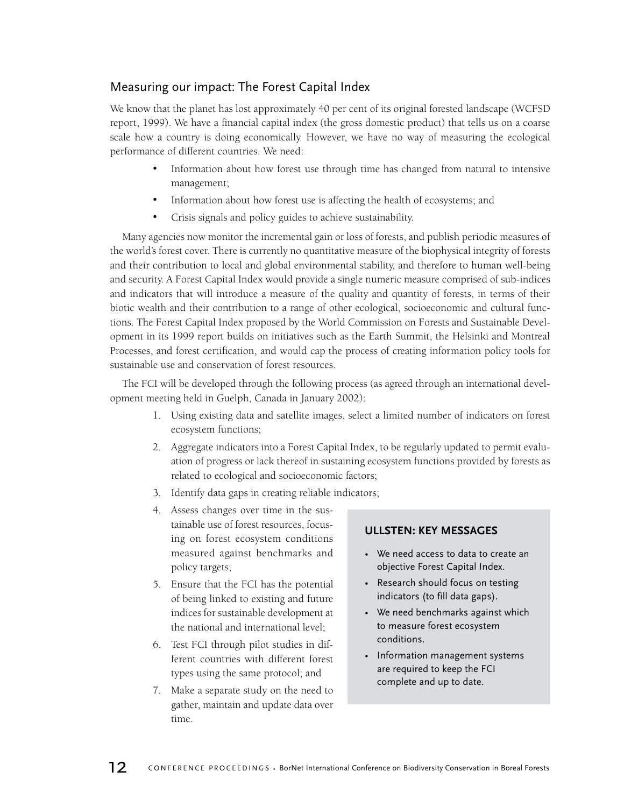## Measuring our impact: The Forest Capital Index

We know that the planet has lost approximately 40 per cent of its original forested landscape (WCFSD report, 1999). We have a financial capital index (the gross domestic product) that tells us on a coarse scale how a country is doing economically. However, we have no way of measuring the ecological performance of different countries. We need:

- Information about how forest use through time has changed from natural to intensive management;
- Information about how forest use is affecting the health of ecosystems; and
- Crisis signals and policy guides to achieve sustainability.

Many agencies now monitor the incremental gain or loss of forests, and publish periodic measures of the world's forest cover. There is currently no quantitative measure of the biophysical integrity of forests and their contribution to local and global environmental stability, and therefore to human well-being and security. A Forest Capital Index would provide a single numeric measure comprised of sub-indices and indicators that will introduce a measure of the quality and quantity of forests, in terms of their biotic wealth and their contribution to a range of other ecological, socioeconomic and cultural functions. The Forest Capital Index proposed by the World Commission on Forests and Sustainable Development in its 1999 report builds on initiatives such as the Earth Summit, the Helsinki and Montreal Processes, and forest certification, and would cap the process of creating information policy tools for sustainable use and conservation of forest resources.

The FCI will be developed through the following process (as agreed through an international development meeting held in Guelph, Canada in January 2002):

- 1. Using existing data and satellite images, select a limited number of indicators on forest ecosystem functions;
- 2. Aggregate indicators into a Forest Capital Index, to be regularly updated to permit evaluation of progress or lack thereof in sustaining ecosystem functions provided by forests as related to ecological and socioeconomic factors;
- 3. Identify data gaps in creating reliable indicators;
- 4. Assess changes over time in the sustainable use of forest resources, focusing on forest ecosystem conditions measured against benchmarks and policy targets;
- 5. Ensure that the FCI has the potential of being linked to existing and future indices for sustainable development at the national and international level;
- 6. Test FCI through pilot studies in different countries with different forest types using the same protocol; and
- 7. Make a separate study on the need to gather, maintain and update data over time.

## **ULLSTEN: KEY MESSAGES**

- We need access to data to create an objective Forest Capital Index.
- Research should focus on testing indicators (to fill data gaps).
- We need benchmarks against which to measure forest ecosystem conditions.
- Information management systems are required to keep the FCI complete and up to date.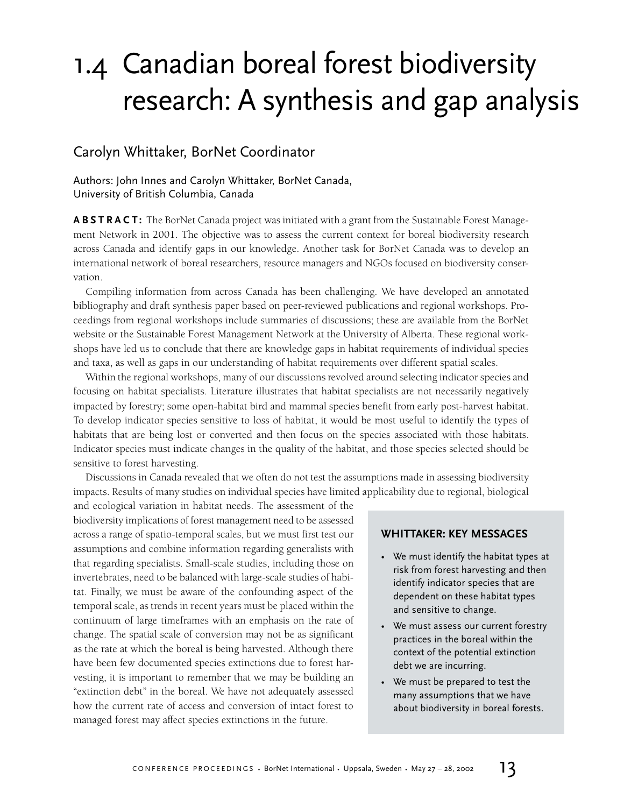## 1.4 Canadian boreal forest biodiversity research: A synthesis and gap analysis

## Carolyn Whittaker, BorNet Coordinator

## Authors: John Innes and Carolyn Whittaker, BorNet Canada, University of British Columbia, Canada

**ABSTRACT:** The BorNet Canada project was initiated with a grant from the Sustainable Forest Management Network in 2001. The objective was to assess the current context for boreal biodiversity research across Canada and identify gaps in our knowledge. Another task for BorNet Canada was to develop an international network of boreal researchers, resource managers and NGOs focused on biodiversity conservation.

Compiling information from across Canada has been challenging. We have developed an annotated bibliography and draft synthesis paper based on peer-reviewed publications and regional workshops. Proceedings from regional workshops include summaries of discussions; these are available from the BorNet website or the Sustainable Forest Management Network at the University of Alberta. These regional workshops have led us to conclude that there are knowledge gaps in habitat requirements of individual species and taxa, as well as gaps in our understanding of habitat requirements over different spatial scales.

Within the regional workshops, many of our discussions revolved around selecting indicator species and focusing on habitat specialists. Literature illustrates that habitat specialists are not necessarily negatively impacted by forestry; some open-habitat bird and mammal species benefit from early post-harvest habitat. To develop indicator species sensitive to loss of habitat, it would be most useful to identify the types of habitats that are being lost or converted and then focus on the species associated with those habitats. Indicator species must indicate changes in the quality of the habitat, and those species selected should be sensitive to forest harvesting.

Discussions in Canada revealed that we often do not test the assumptions made in assessing biodiversity impacts. Results of many studies on individual species have limited applicability due to regional, biological

and ecological variation in habitat needs. The assessment of the biodiversity implications of forest management need to be assessed across a range of spatio-temporal scales, but we must first test our assumptions and combine information regarding generalists with that regarding specialists. Small-scale studies, including those on invertebrates, need to be balanced with large-scale studies of habitat. Finally, we must be aware of the confounding aspect of the temporal scale, as trends in recent years must be placed within the continuum of large timeframes with an emphasis on the rate of change. The spatial scale of conversion may not be as significant as the rate at which the boreal is being harvested. Although there have been few documented species extinctions due to forest harvesting, it is important to remember that we may be building an "extinction debt" in the boreal. We have not adequately assessed how the current rate of access and conversion of intact forest to managed forest may affect species extinctions in the future.

## **WHITTAKER: KEY MESSAGES**

- We must identify the habitat types at risk from forest harvesting and then identify indicator species that are dependent on these habitat types and sensitive to change.
- We must assess our current forestry practices in the boreal within the context of the potential extinction debt we are incurring.
- We must be prepared to test the many assumptions that we have about biodiversity in boreal forests.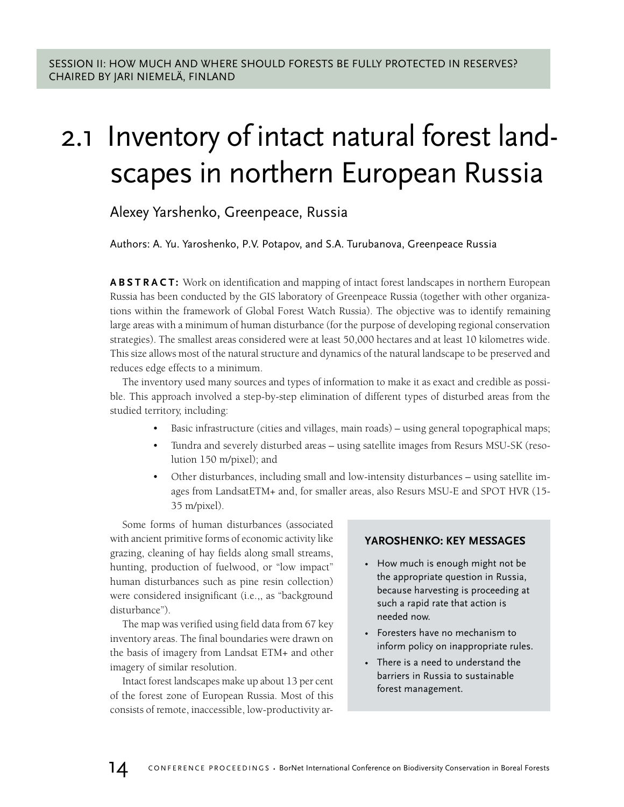## 2.1 Inventory of intact natural forest landscapes in northern European Russia

## Alexey Yarshenko, Greenpeace, Russia

Authors: A. Yu. Yaroshenko, P.V. Potapov, and S.A. Turubanova, Greenpeace Russia

**ABSTRACT:** Work on identification and mapping of intact forest landscapes in northern European Russia has been conducted by the GIS laboratory of Greenpeace Russia (together with other organizations within the framework of Global Forest Watch Russia). The objective was to identify remaining large areas with a minimum of human disturbance (for the purpose of developing regional conservation strategies). The smallest areas considered were at least 50,000 hectares and at least 10 kilometres wide. This size allows most of the natural structure and dynamics of the natural landscape to be preserved and reduces edge effects to a minimum.

The inventory used many sources and types of information to make it as exact and credible as possible. This approach involved a step-by-step elimination of different types of disturbed areas from the studied territory, including:

- Basic infrastructure (cities and villages, main roads) using general topographical maps;
- Tundra and severely disturbed areas using satellite images from Resurs MSU-SK (resolution 150 m/pixel); and
- Other disturbances, including small and low-intensity disturbances using satellite images from LandsatETM+ and, for smaller areas, also Resurs MSU-E and SPOT HVR (15- 35 m/pixel).

Some forms of human disturbances (associated with ancient primitive forms of economic activity like grazing, cleaning of hay fields along small streams, hunting, production of fuelwood, or "low impact" human disturbances such as pine resin collection) were considered insignificant (i.e.,, as "background disturbance").

The map was verified using field data from 67 key inventory areas. The final boundaries were drawn on the basis of imagery from Landsat ETM+ and other imagery of similar resolution.

Intact forest landscapes make up about 13 per cent of the forest zone of European Russia. Most of this consists of remote, inaccessible, low-productivity ar-

## **YAROSHENKO: KEY MESSAGES**

- How much is enough might not be the appropriate question in Russia, because harvesting is proceeding at such a rapid rate that action is needed now.
- Foresters have no mechanism to inform policy on inappropriate rules.
- There is a need to understand the barriers in Russia to sustainable forest management.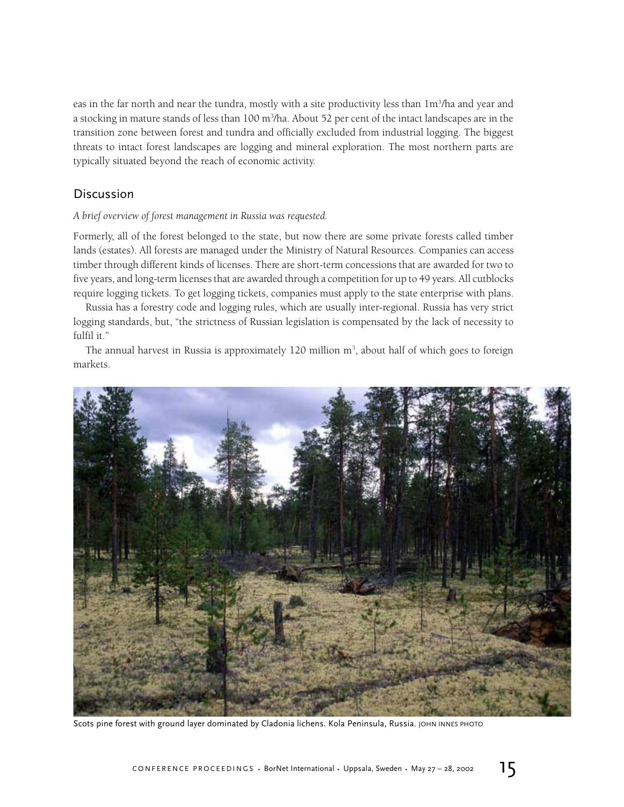eas in the far north and near the tundra, mostly with a site productivity less than  $1m<sup>3</sup>/h$ a and year and a stocking in mature stands of less than 100 m<sup>3</sup>/ha. About 52 per cent of the intact landscapes are in the transition zone between forest and tundra and officially excluded from industrial logging. The biggest threats to intact forest landscapes are logging and mineral exploration. The most northern parts are typically situated beyond the reach of economic activity.

## Discussion

### *A brief overview of forest management in Russia was requested.*

Formerly, all of the forest belonged to the state, but now there are some private forests called timber lands (estates). All forests are managed under the Ministry of Natural Resources. Companies can access timber through different kinds of licenses. There are short-term concessions that are awarded for two to five years, and long-term licenses that are awarded through a competition for up to 49 years. All cutblocks require logging tickets. To get logging tickets, companies must apply to the state enterprise with plans.

Russia has a forestry code and logging rules, which are usually inter-regional. Russia has very strict logging standards, but, "the strictness of Russian legislation is compensated by the lack of necessity to fulfil it."

The annual harvest in Russia is approximately 120 million m<sup>3</sup>, about half of which goes to foreign markets.



Scots pine forest with ground layer dominated by Cladonia lichens. Kola Peninsula, Russia. JOHN INNES PHOTO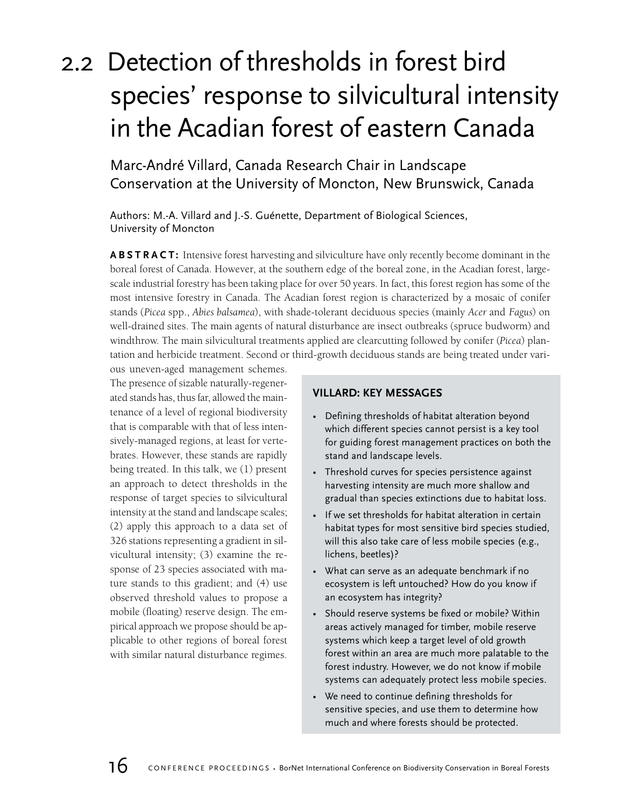## 2.2 Detection of thresholds in forest bird species' response to silvicultural intensity in the Acadian forest of eastern Canada

Marc-André Villard, Canada Research Chair in Landscape Conservation at the University of Moncton, New Brunswick, Canada

Authors: M.-A. Villard and J.-S. Guénette, Department of Biological Sciences, University of Moncton

**ABSTRACT:** Intensive forest harvesting and silviculture have only recently become dominant in the boreal forest of Canada. However, at the southern edge of the boreal zone, in the Acadian forest, largescale industrial forestry has been taking place for over 50 years. In fact, this forest region has some of the most intensive forestry in Canada. The Acadian forest region is characterized by a mosaic of conifer stands (*Picea* spp., *Abies balsamea*), with shade-tolerant deciduous species (mainly *Acer* and *Fagus*) on well-drained sites. The main agents of natural disturbance are insect outbreaks (spruce budworm) and windthrow. The main silvicultural treatments applied are clearcutting followed by conifer (*Picea*) plantation and herbicide treatment. Second or third-growth deciduous stands are being treated under vari-

ous uneven-aged management schemes. The presence of sizable naturally-regenerated stands has, thus far, allowed the maintenance of a level of regional biodiversity that is comparable with that of less intensively-managed regions, at least for vertebrates. However, these stands are rapidly being treated. In this talk, we (1) present an approach to detect thresholds in the response of target species to silvicultural intensity at the stand and landscape scales; (2) apply this approach to a data set of 326 stations representing a gradient in silvicultural intensity; (3) examine the response of 23 species associated with mature stands to this gradient; and (4) use observed threshold values to propose a mobile (floating) reserve design. The empirical approach we propose should be applicable to other regions of boreal forest with similar natural disturbance regimes.

## **VILLARD: KEY MESSAGES**

- Defining thresholds of habitat alteration beyond which different species cannot persist is a key tool for guiding forest management practices on both the stand and landscape levels.
- Threshold curves for species persistence against harvesting intensity are much more shallow and gradual than species extinctions due to habitat loss.
- If we set thresholds for habitat alteration in certain habitat types for most sensitive bird species studied, will this also take care of less mobile species (e.g., lichens, beetles)?
- What can serve as an adequate benchmark if no ecosystem is left untouched? How do you know if an ecosystem has integrity?
- Should reserve systems be fixed or mobile? Within areas actively managed for timber, mobile reserve systems which keep a target level of old growth forest within an area are much more palatable to the forest industry. However, we do not know if mobile systems can adequately protect less mobile species.
- We need to continue defining thresholds for sensitive species, and use them to determine how much and where forests should be protected.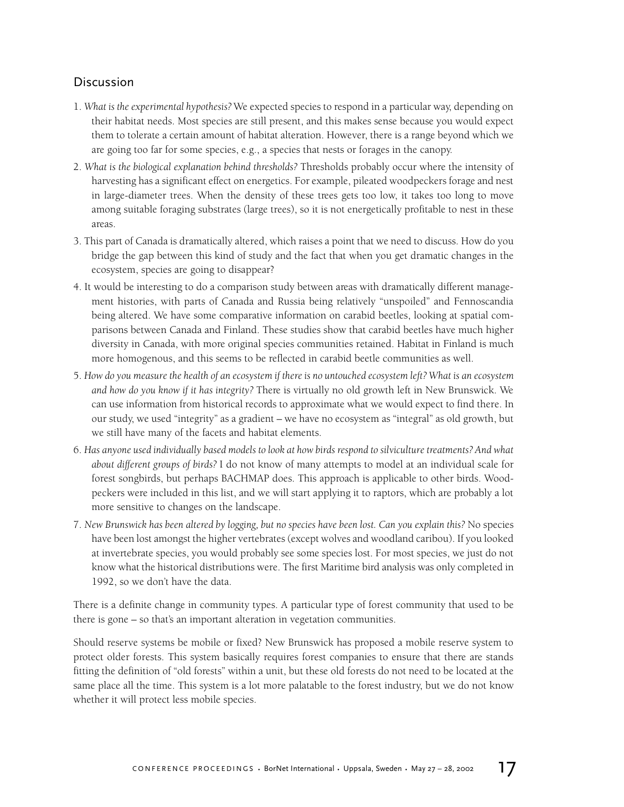## **Discussion**

- 1. *What is the experimental hypothesis?* We expected species to respond in a particular way, depending on their habitat needs. Most species are still present, and this makes sense because you would expect them to tolerate a certain amount of habitat alteration. However, there is a range beyond which we are going too far for some species, e.g., a species that nests or forages in the canopy.
- 2. *What is the biological explanation behind thresholds?* Thresholds probably occur where the intensity of harvesting has a significant effect on energetics. For example, pileated woodpeckers forage and nest in large-diameter trees. When the density of these trees gets too low, it takes too long to move among suitable foraging substrates (large trees), so it is not energetically profitable to nest in these areas.
- 3. This part of Canada is dramatically altered, which raises a point that we need to discuss. How do you bridge the gap between this kind of study and the fact that when you get dramatic changes in the ecosystem, species are going to disappear?
- 4. It would be interesting to do a comparison study between areas with dramatically different management histories, with parts of Canada and Russia being relatively "unspoiled" and Fennoscandia being altered. We have some comparative information on carabid beetles, looking at spatial comparisons between Canada and Finland. These studies show that carabid beetles have much higher diversity in Canada, with more original species communities retained. Habitat in Finland is much more homogenous, and this seems to be reflected in carabid beetle communities as well.
- 5. *How do you measure the health of an ecosystem if there is no untouched ecosystem left? What is an ecosystem and how do you know if it has integrity?* There is virtually no old growth left in New Brunswick. We can use information from historical records to approximate what we would expect to find there. In our study, we used "integrity" as a gradient – we have no ecosystem as "integral" as old growth, but we still have many of the facets and habitat elements.
- 6. *Has anyone used individually based models to look at how birds respond to silviculture treatments? And what about different groups of birds?* I do not know of many attempts to model at an individual scale for forest songbirds, but perhaps BACHMAP does. This approach is applicable to other birds. Woodpeckers were included in this list, and we will start applying it to raptors, which are probably a lot more sensitive to changes on the landscape.
- 7. *New Brunswick has been altered by logging, but no species have been lost. Can you explain this?* No species have been lost amongst the higher vertebrates (except wolves and woodland caribou). If you looked at invertebrate species, you would probably see some species lost. For most species, we just do not know what the historical distributions were. The first Maritime bird analysis was only completed in 1992, so we don't have the data.

There is a definite change in community types. A particular type of forest community that used to be there is gone – so that's an important alteration in vegetation communities.

Should reserve systems be mobile or fixed? New Brunswick has proposed a mobile reserve system to protect older forests. This system basically requires forest companies to ensure that there are stands fitting the definition of "old forests" within a unit, but these old forests do not need to be located at the same place all the time. This system is a lot more palatable to the forest industry, but we do not know whether it will protect less mobile species.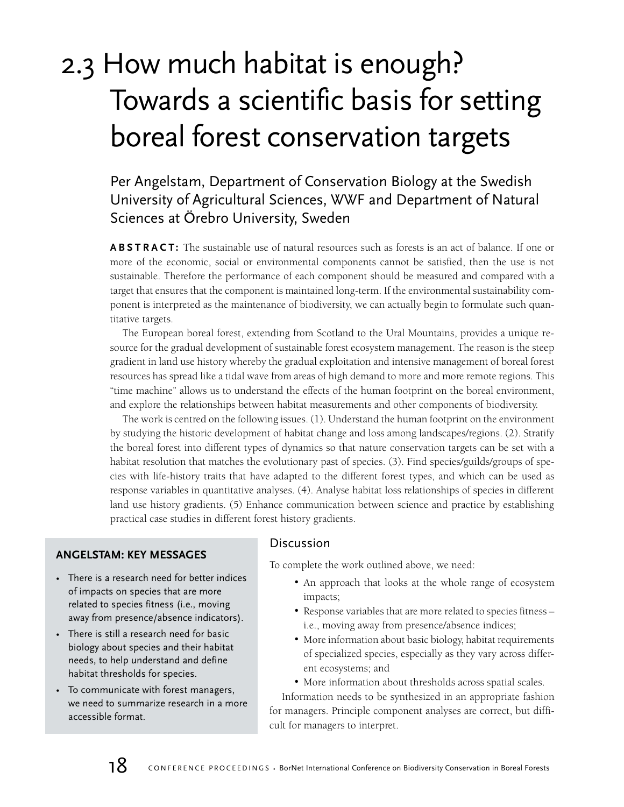## 2.3 How much habitat is enough? Towards a scientific basis for setting boreal forest conservation targets

Per Angelstam, Department of Conservation Biology at the Swedish University of Agricultural Sciences, WWF and Department of Natural Sciences at Örebro University, Sweden

**ABSTRACT:** The sustainable use of natural resources such as forests is an act of balance. If one or more of the economic, social or environmental components cannot be satisfied, then the use is not sustainable. Therefore the performance of each component should be measured and compared with a target that ensures that the component is maintained long-term. If the environmental sustainability component is interpreted as the maintenance of biodiversity, we can actually begin to formulate such quantitative targets.

The European boreal forest, extending from Scotland to the Ural Mountains, provides a unique resource for the gradual development of sustainable forest ecosystem management. The reason is the steep gradient in land use history whereby the gradual exploitation and intensive management of boreal forest resources has spread like a tidal wave from areas of high demand to more and more remote regions. This "time machine" allows us to understand the effects of the human footprint on the boreal environment, and explore the relationships between habitat measurements and other components of biodiversity.

The work is centred on the following issues. (1). Understand the human footprint on the environment by studying the historic development of habitat change and loss among landscapes/regions. (2). Stratify the boreal forest into different types of dynamics so that nature conservation targets can be set with a habitat resolution that matches the evolutionary past of species. (3). Find species/guilds/groups of species with life-history traits that have adapted to the different forest types, and which can be used as response variables in quantitative analyses. (4). Analyse habitat loss relationships of species in different land use history gradients. (5) Enhance communication between science and practice by establishing practical case studies in different forest history gradients.

## **ANGELSTAM: KEY MESSAGES**

- There is a research need for better indices of impacts on species that are more related to species fitness (i.e., moving away from presence/absence indicators).
- There is still a research need for basic biology about species and their habitat needs, to help understand and define habitat thresholds for species.
- To communicate with forest managers, we need to summarize research in a more accessible format.

## **Discussion**

To complete the work outlined above, we need:

- An approach that looks at the whole range of ecosystem impacts;
- Response variables that are more related to species fitness i.e., moving away from presence/absence indices;
- More information about basic biology, habitat requirements of specialized species, especially as they vary across different ecosystems; and
- More information about thresholds across spatial scales.

Information needs to be synthesized in an appropriate fashion for managers. Principle component analyses are correct, but difficult for managers to interpret.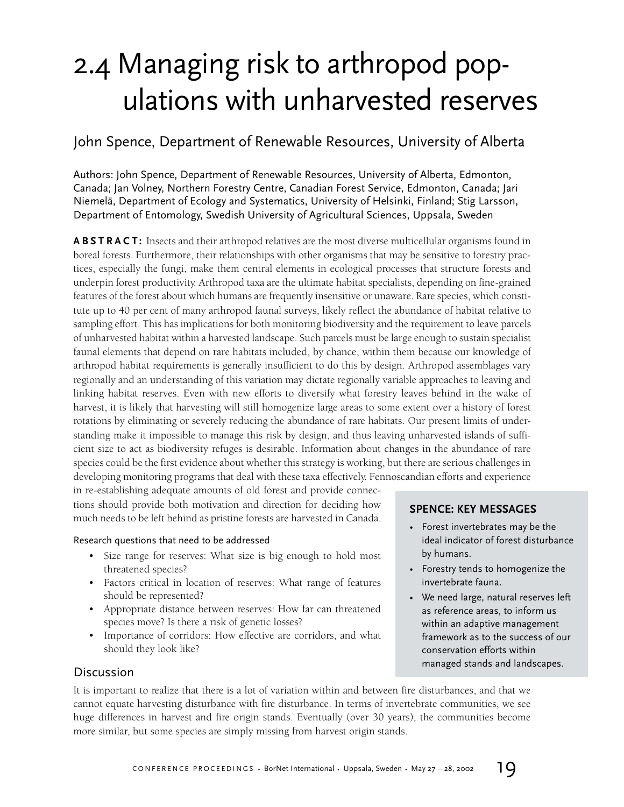## 2.4 Managing risk to arthropod populations with unharvested reserves

## John Spence, Department of Renewable Resources, University of Alberta

Authors: John Spence, Department of Renewable Resources, University of Alberta, Edmonton, Canada; Jan Volney, Northern Forestry Centre, Canadian Forest Service, Edmonton, Canada; Jari Niemelä, Department of Ecology and Systematics, University of Helsinki, Finland; Stig Larsson, Department of Entomology, Swedish University of Agricultural Sciences, Uppsala, Sweden

**ABSTRACT:** Insects and their arthropod relatives are the most diverse multicellular organisms found in boreal forests. Furthermore, their relationships with other organisms that may be sensitive to forestry practices, especially the fungi, make them central elements in ecological processes that structure forests and underpin forest productivity. Arthropod taxa are the ultimate habitat specialists, depending on fine-grained features of the forest about which humans are frequently insensitive or unaware. Rare species, which constitute up to 40 per cent of many arthropod faunal surveys, likely reflect the abundance of habitat relative to sampling effort. This has implications for both monitoring biodiversity and the requirement to leave parcels of unharvested habitat within a harvested landscape. Such parcels must be large enough to sustain specialist faunal elements that depend on rare habitats included, by chance, within them because our knowledge of arthropod habitat requirements is generally insufficient to do this by design. Arthropod assemblages vary regionally and an understanding of this variation may dictate regionally variable approaches to leaving and linking habitat reserves. Even with new efforts to diversify what forestry leaves behind in the wake of harvest, it is likely that harvesting will still homogenize large areas to some extent over a history of forest rotations by eliminating or severely reducing the abundance of rare habitats. Our present limits of understanding make it impossible to manage this risk by design, and thus leaving unharvested islands of sufficient size to act as biodiversity refuges is desirable. Information about changes in the abundance of rare species could be the first evidence about whether this strategy is working, but there are serious challenges in developing monitoring programs that deal with these taxa effectively. Fennoscandian efforts and experience

in re-establishing adequate amounts of old forest and provide connections should provide both motivation and direction for deciding how much needs to be left behind as pristine forests are harvested in Canada.

## Research questions that need to be addressed

- Size range for reserves: What size is big enough to hold most threatened species?
- Factors critical in location of reserves: What range of features should be represented?
- Appropriate distance between reserves: How far can threatened species move? Is there a risk of genetic losses?
- Importance of corridors: How effective are corridors, and what should they look like?

## **SPENCE: KEY MESSAGES**

- Forest invertebrates may be the ideal indicator of forest disturbance by humans.
- Forestry tends to homogenize the invertebrate fauna.
- We need large, natural reserves left as reference areas, to inform us within an adaptive management framework as to the success of our conservation efforts within managed stands and landscapes.

## Discussion

It is important to realize that there is a lot of variation within and between fire disturbances, and that we cannot equate harvesting disturbance with fire disturbance. In terms of invertebrate communities, we see huge differences in harvest and fire origin stands. Eventually (over 30 years), the communities become more similar, but some species are simply missing from harvest origin stands.

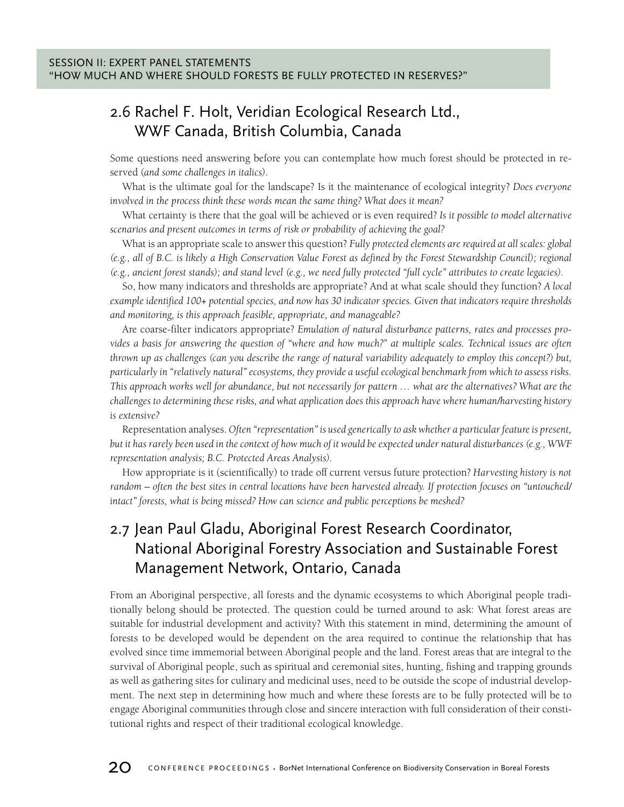## 2.6 Rachel F. Holt, Veridian Ecological Research Ltd., WWF Canada, British Columbia, Canada

Some questions need answering before you can contemplate how much forest should be protected in reserved (*and some challenges in italics)*.

What is the ultimate goal for the landscape? Is it the maintenance of ecological integrity? *Does everyone involved in the process think these words mean the same thing? What does it mean?*

What certainty is there that the goal will be achieved or is even required? *Is it possible to model alternative scenarios and present outcomes in terms of risk or probability of achieving the goal?*

What is an appropriate scale to answer this question? *Fully protected elements are required at all scales: global (e.g., all of B.C. is likely a High Conservation Value Forest as defined by the Forest Stewardship Council); regional (e.g., ancient forest stands); and stand level (e.g., we need fully protected "full cycle" attributes to create legacies).*

So, how many indicators and thresholds are appropriate? And at what scale should they function? *A local example identified 100+ potential species, and now has 30 indicator species. Given that indicators require thresholds and monitoring, is this approach feasible, appropriate, and manageable?*

Are coarse-filter indicators appropriate? *Emulation of natural disturbance patterns, rates and processes provides a basis for answering the question of "where and how much?" at multiple scales. Technical issues are often thrown up as challenges (can you describe the range of natural variability adequately to employ this concept?) but, particularly in "relatively natural" ecosystems, they provide a useful ecological benchmark from which to assess risks. This approach works well for abundance, but not necessarily for pattern … what are the alternatives? What are the challenges to determining these risks, and what application does this approach have where human/harvesting history is extensive?*

Representation analyses. *Often "representation" is used generically to ask whether a particular feature is present, but it has rarely been used in the context of how much of it would be expected under natural disturbances (e.g., WWF representation analysis; B.C. Protected Areas Analysis).*

How appropriate is it (scientifically) to trade off current versus future protection? *Harvesting history is not random – often the best sites in central locations have been harvested already. If protection focuses on "untouched/ intact" forests, what is being missed? How can science and public perceptions be meshed?*

## 2.7 Jean Paul Gladu, Aboriginal Forest Research Coordinator, National Aboriginal Forestry Association and Sustainable Forest Management Network, Ontario, Canada

From an Aboriginal perspective, all forests and the dynamic ecosystems to which Aboriginal people traditionally belong should be protected. The question could be turned around to ask: What forest areas are suitable for industrial development and activity? With this statement in mind, determining the amount of forests to be developed would be dependent on the area required to continue the relationship that has evolved since time immemorial between Aboriginal people and the land. Forest areas that are integral to the survival of Aboriginal people, such as spiritual and ceremonial sites, hunting, fishing and trapping grounds as well as gathering sites for culinary and medicinal uses, need to be outside the scope of industrial development. The next step in determining how much and where these forests are to be fully protected will be to engage Aboriginal communities through close and sincere interaction with full consideration of their constitutional rights and respect of their traditional ecological knowledge.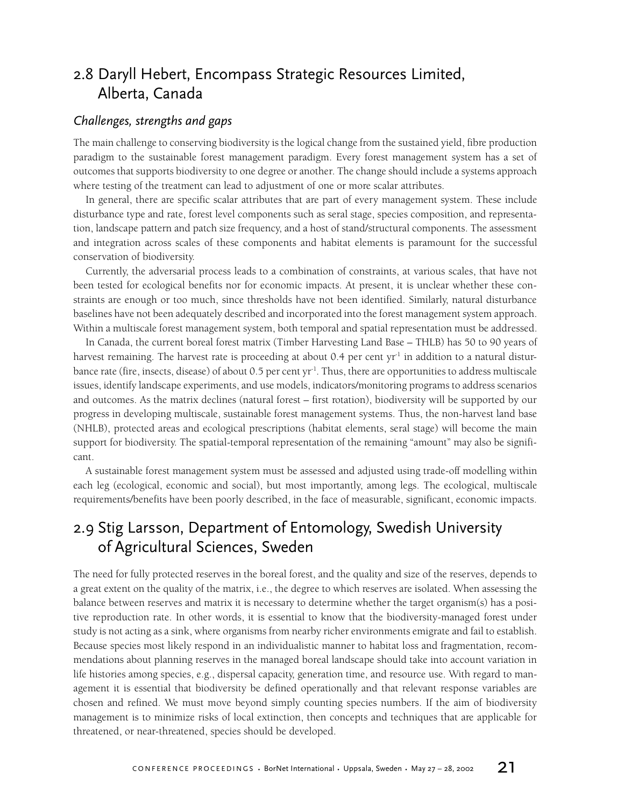## 2.8 Daryll Hebert, Encompass Strategic Resources Limited, Alberta, Canada

## *Challenges, strengths and gaps*

The main challenge to conserving biodiversity is the logical change from the sustained yield, fibre production paradigm to the sustainable forest management paradigm. Every forest management system has a set of outcomes that supports biodiversity to one degree or another. The change should include a systems approach where testing of the treatment can lead to adjustment of one or more scalar attributes.

In general, there are specific scalar attributes that are part of every management system. These include disturbance type and rate, forest level components such as seral stage, species composition, and representation, landscape pattern and patch size frequency, and a host of stand/structural components. The assessment and integration across scales of these components and habitat elements is paramount for the successful conservation of biodiversity.

Currently, the adversarial process leads to a combination of constraints, at various scales, that have not been tested for ecological benefits nor for economic impacts. At present, it is unclear whether these constraints are enough or too much, since thresholds have not been identified. Similarly, natural disturbance baselines have not been adequately described and incorporated into the forest management system approach. Within a multiscale forest management system, both temporal and spatial representation must be addressed.

In Canada, the current boreal forest matrix (Timber Harvesting Land Base – THLB) has 50 to 90 years of harvest remaining. The harvest rate is proceeding at about  $0.4$  per cent yr<sup>-1</sup> in addition to a natural disturbance rate (fire, insects, disease) of about 0.5 per cent yr-1. Thus, there are opportunities to address multiscale issues, identify landscape experiments, and use models, indicators/monitoring programs to address scenarios and outcomes. As the matrix declines (natural forest – first rotation), biodiversity will be supported by our progress in developing multiscale, sustainable forest management systems. Thus, the non-harvest land base (NHLB), protected areas and ecological prescriptions (habitat elements, seral stage) will become the main support for biodiversity. The spatial-temporal representation of the remaining "amount" may also be significant.

A sustainable forest management system must be assessed and adjusted using trade-off modelling within each leg (ecological, economic and social), but most importantly, among legs. The ecological, multiscale requirements/benefits have been poorly described, in the face of measurable, significant, economic impacts.

## 2.9 Stig Larsson, Department of Entomology, Swedish University of Agricultural Sciences, Sweden

The need for fully protected reserves in the boreal forest, and the quality and size of the reserves, depends to a great extent on the quality of the matrix, i.e., the degree to which reserves are isolated. When assessing the balance between reserves and matrix it is necessary to determine whether the target organism(s) has a positive reproduction rate. In other words, it is essential to know that the biodiversity-managed forest under study is not acting as a sink, where organisms from nearby richer environments emigrate and fail to establish. Because species most likely respond in an individualistic manner to habitat loss and fragmentation, recommendations about planning reserves in the managed boreal landscape should take into account variation in life histories among species, e.g., dispersal capacity, generation time, and resource use. With regard to management it is essential that biodiversity be defined operationally and that relevant response variables are chosen and refined. We must move beyond simply counting species numbers. If the aim of biodiversity management is to minimize risks of local extinction, then concepts and techniques that are applicable for threatened, or near-threatened, species should be developed.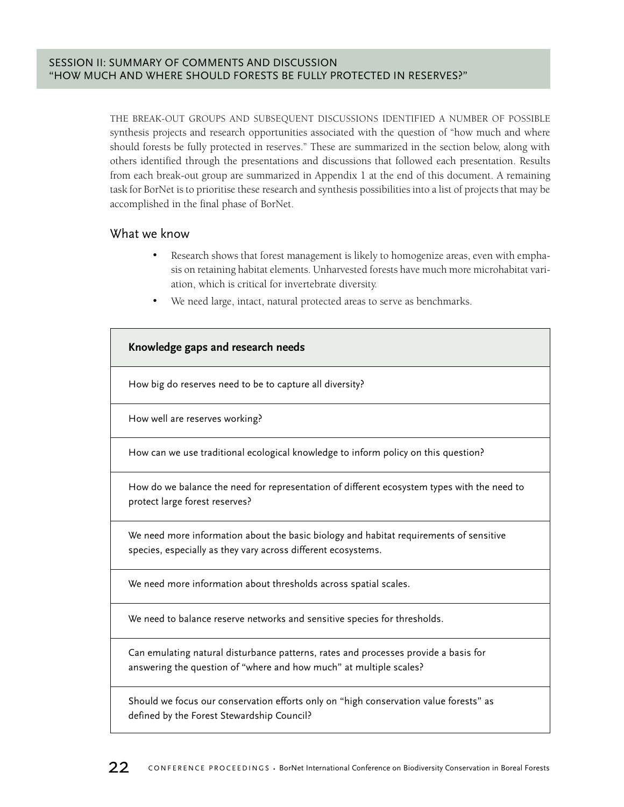THE BREAK-OUT GROUPS AND SUBSEQUENT DISCUSSIONS IDENTIFIED A NUMBER OF POSSIBLE synthesis projects and research opportunities associated with the question of "how much and where should forests be fully protected in reserves." These are summarized in the section below, along with others identified through the presentations and discussions that followed each presentation. Results from each break-out group are summarized in Appendix 1 at the end of this document. A remaining task for BorNet is to prioritise these research and synthesis possibilities into a list of projects that may be accomplished in the final phase of BorNet.

## What we know

- Research shows that forest management is likely to homogenize areas, even with emphasis on retaining habitat elements. Unharvested forests have much more microhabitat variation, which is critical for invertebrate diversity.
- We need large, intact, natural protected areas to serve as benchmarks.

| Knowledge gaps and research needs                                                                                                                         |
|-----------------------------------------------------------------------------------------------------------------------------------------------------------|
| How big do reserves need to be to capture all diversity?                                                                                                  |
| How well are reserves working?                                                                                                                            |
| How can we use traditional ecological knowledge to inform policy on this question?                                                                        |
| How do we balance the need for representation of different ecosystem types with the need to<br>protect large forest reserves?                             |
| We need more information about the basic biology and habitat requirements of sensitive<br>species, especially as they vary across different ecosystems.   |
| We need more information about thresholds across spatial scales.                                                                                          |
| We need to balance reserve networks and sensitive species for thresholds.                                                                                 |
| Can emulating natural disturbance patterns, rates and processes provide a basis for<br>answering the question of "where and how much" at multiple scales? |
| Should we focus our conservation efforts only on "high conservation value forests" as                                                                     |

defined by the Forest Stewardship Council?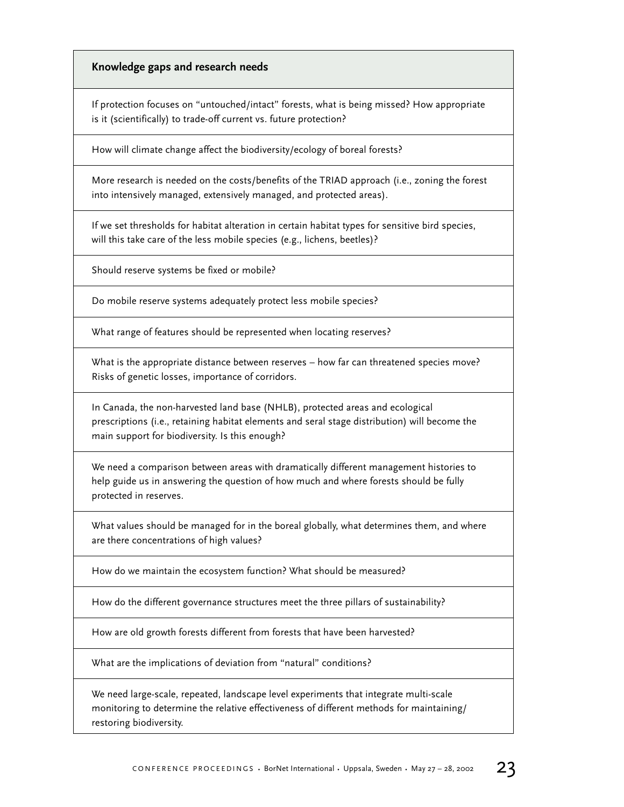## **Knowledge gaps and research needs**

If protection focuses on "untouched/intact" forests, what is being missed? How appropriate is it (scientifically) to trade-off current vs. future protection?

How will climate change affect the biodiversity/ecology of boreal forests?

More research is needed on the costs/benefits of the TRIAD approach (i.e., zoning the forest into intensively managed, extensively managed, and protected areas).

If we set thresholds for habitat alteration in certain habitat types for sensitive bird species, will this take care of the less mobile species (e.g., lichens, beetles)?

Should reserve systems be fixed or mobile?

Do mobile reserve systems adequately protect less mobile species?

What range of features should be represented when locating reserves?

What is the appropriate distance between reserves – how far can threatened species move? Risks of genetic losses, importance of corridors.

In Canada, the non-harvested land base (NHLB), protected areas and ecological prescriptions (i.e., retaining habitat elements and seral stage distribution) will become the main support for biodiversity. Is this enough?

We need a comparison between areas with dramatically different management histories to help guide us in answering the question of how much and where forests should be fully protected in reserves.

What values should be managed for in the boreal globally, what determines them, and where are there concentrations of high values?

How do we maintain the ecosystem function? What should be measured?

How do the different governance structures meet the three pillars of sustainability?

How are old growth forests different from forests that have been harvested?

What are the implications of deviation from "natural" conditions?

We need large-scale, repeated, landscape level experiments that integrate multi-scale monitoring to determine the relative effectiveness of different methods for maintaining/ restoring biodiversity.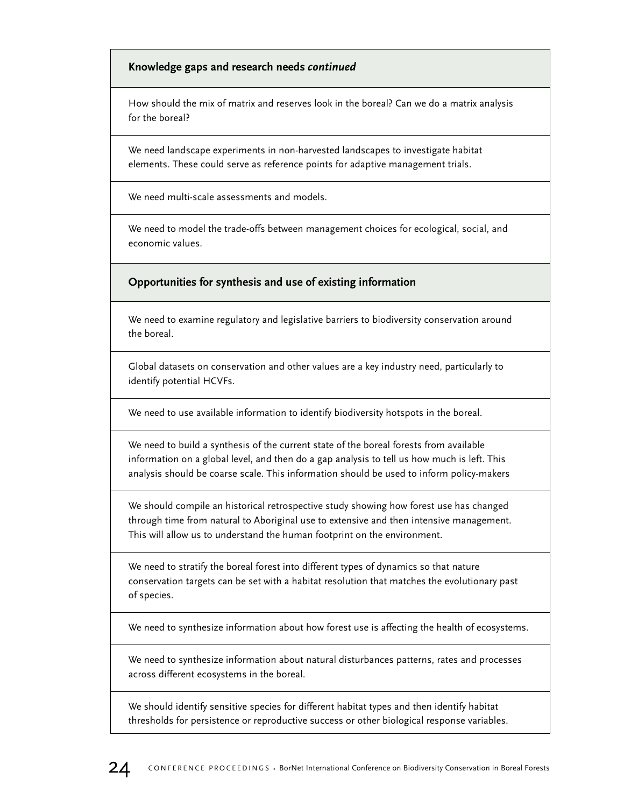## **Knowledge gaps and research needs** *continued*

How should the mix of matrix and reserves look in the boreal? Can we do a matrix analysis for the boreal?

We need landscape experiments in non-harvested landscapes to investigate habitat elements. These could serve as reference points for adaptive management trials.

We need multi-scale assessments and models.

We need to model the trade-offs between management choices for ecological, social, and economic values.

**Opportunities for synthesis and use of existing information**

We need to examine regulatory and legislative barriers to biodiversity conservation around the boreal.

Global datasets on conservation and other values are a key industry need, particularly to identify potential HCVFs.

We need to use available information to identify biodiversity hotspots in the boreal.

We need to build a synthesis of the current state of the boreal forests from available information on a global level, and then do a gap analysis to tell us how much is left. This analysis should be coarse scale. This information should be used to inform policy-makers

We should compile an historical retrospective study showing how forest use has changed through time from natural to Aboriginal use to extensive and then intensive management. This will allow us to understand the human footprint on the environment.

We need to stratify the boreal forest into different types of dynamics so that nature conservation targets can be set with a habitat resolution that matches the evolutionary past of species.

We need to synthesize information about how forest use is affecting the health of ecosystems.

We need to synthesize information about natural disturbances patterns, rates and processes across different ecosystems in the boreal.

We should identify sensitive species for different habitat types and then identify habitat thresholds for persistence or reproductive success or other biological response variables.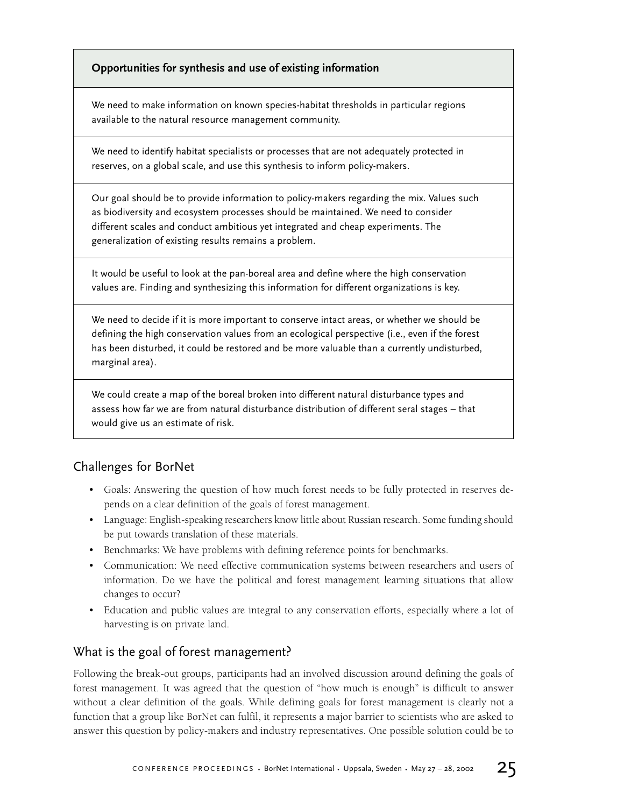## **Opportunities for synthesis and use of existing information**

We need to make information on known species-habitat thresholds in particular regions available to the natural resource management community.

We need to identify habitat specialists or processes that are not adequately protected in reserves, on a global scale, and use this synthesis to inform policy-makers.

Our goal should be to provide information to policy-makers regarding the mix. Values such as biodiversity and ecosystem processes should be maintained. We need to consider different scales and conduct ambitious yet integrated and cheap experiments. The generalization of existing results remains a problem.

It would be useful to look at the pan-boreal area and define where the high conservation values are. Finding and synthesizing this information for different organizations is key.

We need to decide if it is more important to conserve intact areas, or whether we should be defining the high conservation values from an ecological perspective (i.e., even if the forest has been disturbed, it could be restored and be more valuable than a currently undisturbed, marginal area).

We could create a map of the boreal broken into different natural disturbance types and assess how far we are from natural disturbance distribution of different seral stages – that would give us an estimate of risk.

## Challenges for BorNet

- Goals: Answering the question of how much forest needs to be fully protected in reserves depends on a clear definition of the goals of forest management.
- Language: English-speaking researchers know little about Russian research. Some funding should be put towards translation of these materials.
- Benchmarks: We have problems with defining reference points for benchmarks.
- Communication: We need effective communication systems between researchers and users of information. Do we have the political and forest management learning situations that allow changes to occur?
- Education and public values are integral to any conservation efforts, especially where a lot of harvesting is on private land.

## What is the goal of forest management?

Following the break-out groups, participants had an involved discussion around defining the goals of forest management. It was agreed that the question of "how much is enough" is difficult to answer without a clear definition of the goals. While defining goals for forest management is clearly not a function that a group like BorNet can fulfil, it represents a major barrier to scientists who are asked to answer this question by policy-makers and industry representatives. One possible solution could be to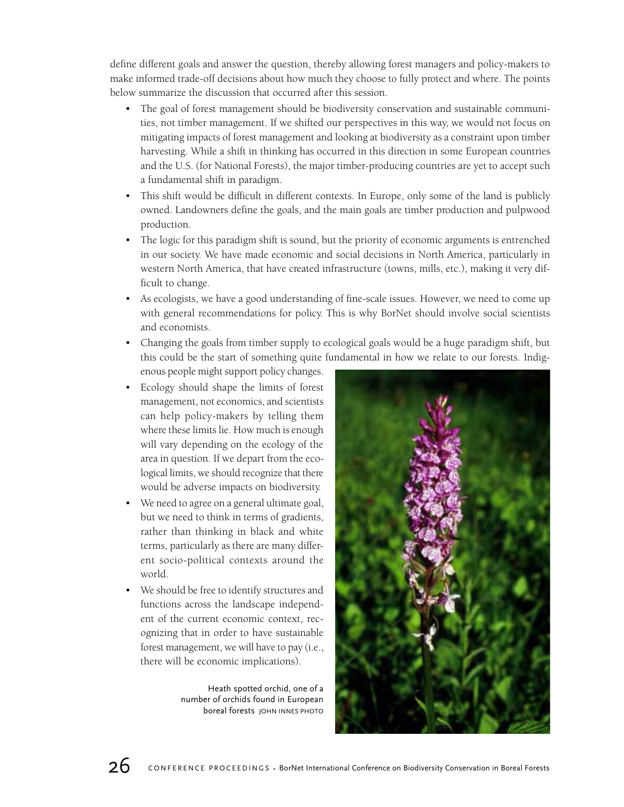define different goals and answer the question, thereby allowing forest managers and policy-makers to make informed trade-off decisions about how much they choose to fully protect and where. The points below summarize the discussion that occurred after this session.

- The goal of forest management should be biodiversity conservation and sustainable communities, not timber management. If we shifted our perspectives in this way, we would not focus on mitigating impacts of forest management and looking at biodiversity as a constraint upon timber harvesting. While a shift in thinking has occurred in this direction in some European countries and the U.S. (for National Forests), the major timber-producing countries are yet to accept such a fundamental shift in paradigm.
- This shift would be difficult in different contexts. In Europe, only some of the land is publicly owned. Landowners define the goals, and the main goals are timber production and pulpwood production.
- The logic for this paradigm shift is sound, but the priority of economic arguments is entrenched in our society. We have made economic and social decisions in North America, particularly in western North America, that have created infrastructure (towns, mills, etc.), making it very difficult to change.
- As ecologists, we have a good understanding of fine-scale issues. However, we need to come up with general recommendations for policy. This is why BorNet should involve social scientists and economists.
- Changing the goals from timber supply to ecological goals would be a huge paradigm shift, but this could be the start of something quite fundamental in how we relate to our forests. Indigenous people might support policy changes.
- Ecology should shape the limits of forest management, not economics, and scientists can help policy-makers by telling them where these limits lie. How much is enough will vary depending on the ecology of the area in question. If we depart from the ecological limits, we should recognize that there would be adverse impacts on biodiversity.
- We need to agree on a general ultimate goal, but we need to think in terms of gradients, rather than thinking in black and white terms, particularly as there are many different socio-political contexts around the world.
- We should be free to identify structures and functions across the landscape independent of the current economic context, recognizing that in order to have sustainable forest management, we will have to pay (i.e., there will be economic implications).

Heath spotted orchid, one of a number of orchids found in European boreal forests JOHN INNES PHOTO

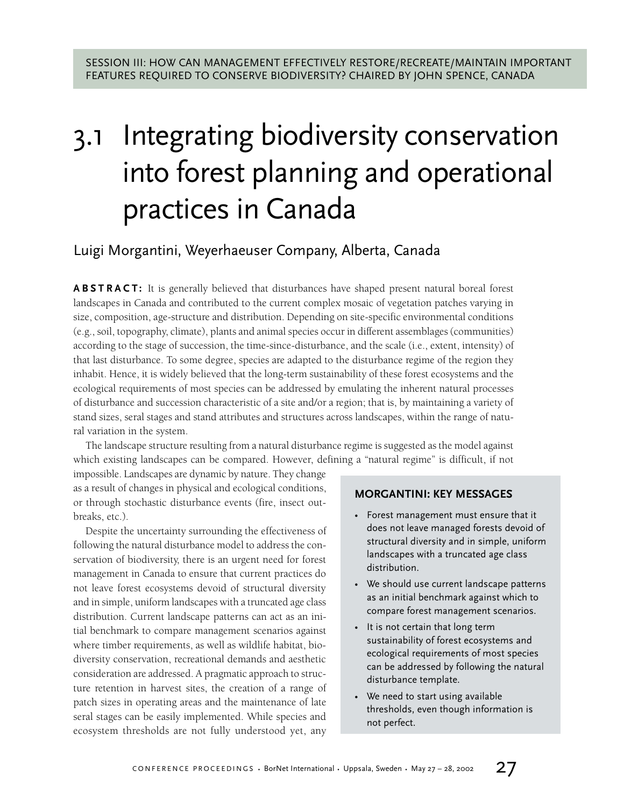## 3.1 Integrating biodiversity conservation into forest planning and operational practices in Canada

## Luigi Morgantini, Weyerhaeuser Company, Alberta, Canada

**ABSTRACT:** It is generally believed that disturbances have shaped present natural boreal forest landscapes in Canada and contributed to the current complex mosaic of vegetation patches varying in size, composition, age-structure and distribution. Depending on site-specific environmental conditions (e.g., soil, topography, climate), plants and animal species occur in different assemblages (communities) according to the stage of succession, the time-since-disturbance, and the scale (i.e., extent, intensity) of that last disturbance. To some degree, species are adapted to the disturbance regime of the region they inhabit. Hence, it is widely believed that the long-term sustainability of these forest ecosystems and the ecological requirements of most species can be addressed by emulating the inherent natural processes of disturbance and succession characteristic of a site and/or a region; that is, by maintaining a variety of stand sizes, seral stages and stand attributes and structures across landscapes, within the range of natural variation in the system.

The landscape structure resulting from a natural disturbance regime is suggested as the model against which existing landscapes can be compared. However, defining a "natural regime" is difficult, if not

impossible. Landscapes are dynamic by nature. They change as a result of changes in physical and ecological conditions, or through stochastic disturbance events (fire, insect outbreaks, etc.).

Despite the uncertainty surrounding the effectiveness of following the natural disturbance model to address the conservation of biodiversity, there is an urgent need for forest management in Canada to ensure that current practices do not leave forest ecosystems devoid of structural diversity and in simple, uniform landscapes with a truncated age class distribution. Current landscape patterns can act as an initial benchmark to compare management scenarios against where timber requirements, as well as wildlife habitat, biodiversity conservation, recreational demands and aesthetic consideration are addressed. A pragmatic approach to structure retention in harvest sites, the creation of a range of patch sizes in operating areas and the maintenance of late seral stages can be easily implemented. While species and ecosystem thresholds are not fully understood yet, any

## **MORGANTINI: KEY MESSAGES**

- Forest management must ensure that it does not leave managed forests devoid of structural diversity and in simple, uniform landscapes with a truncated age class distribution.
- We should use current landscape patterns as an initial benchmark against which to compare forest management scenarios.
- It is not certain that long term sustainability of forest ecosystems and ecological requirements of most species can be addressed by following the natural disturbance template.
- We need to start using available thresholds, even though information is not perfect.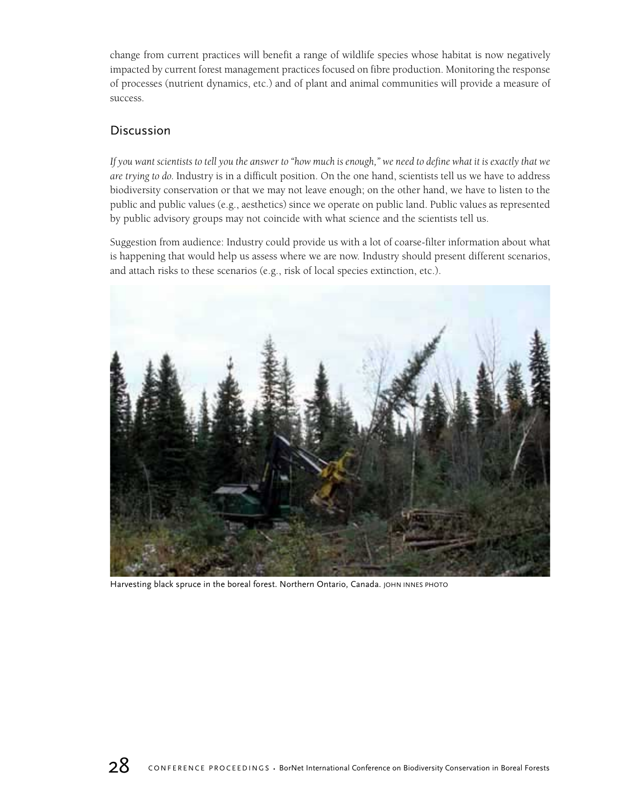change from current practices will benefit a range of wildlife species whose habitat is now negatively impacted by current forest management practices focused on fibre production. Monitoring the response of processes (nutrient dynamics, etc.) and of plant and animal communities will provide a measure of success.

## **Discussion**

*If you want scientists to tell you the answer to "how much is enough," we need to define what it is exactly that we are trying to do.* Industry is in a difficult position. On the one hand, scientists tell us we have to address biodiversity conservation or that we may not leave enough; on the other hand, we have to listen to the public and public values (e.g., aesthetics) since we operate on public land. Public values as represented by public advisory groups may not coincide with what science and the scientists tell us.

Suggestion from audience: Industry could provide us with a lot of coarse-filter information about what is happening that would help us assess where we are now. Industry should present different scenarios, and attach risks to these scenarios (e.g., risk of local species extinction, etc.).



Harvesting black spruce in the boreal forest. Northern Ontario, Canada. JOHN INNES PHOTO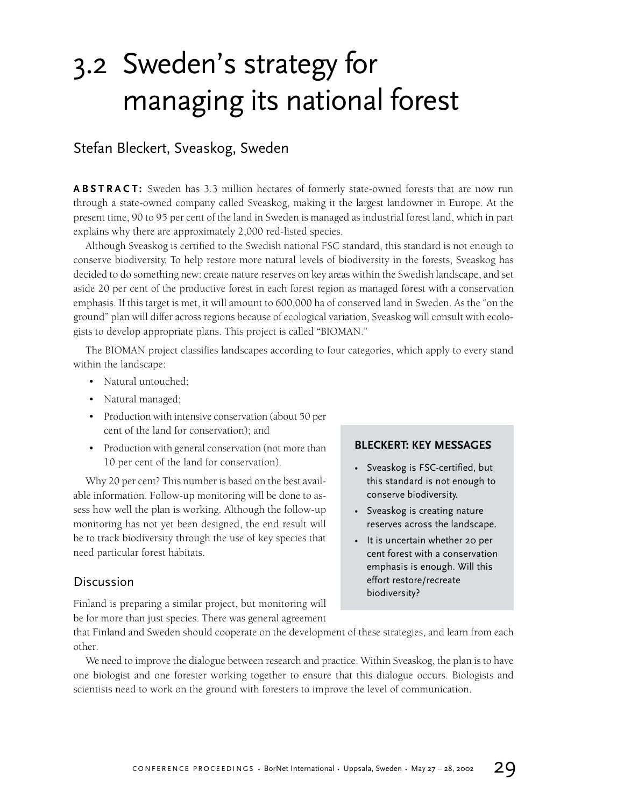## 3.2 Sweden's strategy for managing its national forest

## Stefan Bleckert, Sveaskog, Sweden

**ABSTRACT:** Sweden has 3.3 million hectares of formerly state-owned forests that are now run through a state-owned company called Sveaskog, making it the largest landowner in Europe. At the present time, 90 to 95 per cent of the land in Sweden is managed as industrial forest land, which in part explains why there are approximately 2,000 red-listed species.

Although Sveaskog is certified to the Swedish national FSC standard, this standard is not enough to conserve biodiversity. To help restore more natural levels of biodiversity in the forests, Sveaskog has decided to do something new: create nature reserves on key areas within the Swedish landscape, and set aside 20 per cent of the productive forest in each forest region as managed forest with a conservation emphasis. If this target is met, it will amount to 600,000 ha of conserved land in Sweden. As the "on the ground" plan will differ across regions because of ecological variation, Sveaskog will consult with ecologists to develop appropriate plans. This project is called "BIOMAN."

The BIOMAN project classifies landscapes according to four categories, which apply to every stand within the landscape:

- Natural untouched;
- Natural managed;
- Production with intensive conservation (about 50 per cent of the land for conservation); and
- Production with general conservation (not more than 10 per cent of the land for conservation).

Why 20 per cent? This number is based on the best available information. Follow-up monitoring will be done to assess how well the plan is working. Although the follow-up monitoring has not yet been designed, the end result will be to track biodiversity through the use of key species that need particular forest habitats.

## Discussion

Finland is preparing a similar project, but monitoring will be for more than just species. There was general agreement

## **BLECKERT: KEY MESSAGES**

- Sveaskog is FSC-certified, but this standard is not enough to conserve biodiversity.
- Sveaskog is creating nature reserves across the landscape.
- It is uncertain whether 20 per cent forest with a conservation emphasis is enough. Will this effort restore/recreate biodiversity?

that Finland and Sweden should cooperate on the development of these strategies, and learn from each other.

We need to improve the dialogue between research and practice. Within Sveaskog, the plan is to have one biologist and one forester working together to ensure that this dialogue occurs. Biologists and scientists need to work on the ground with foresters to improve the level of communication.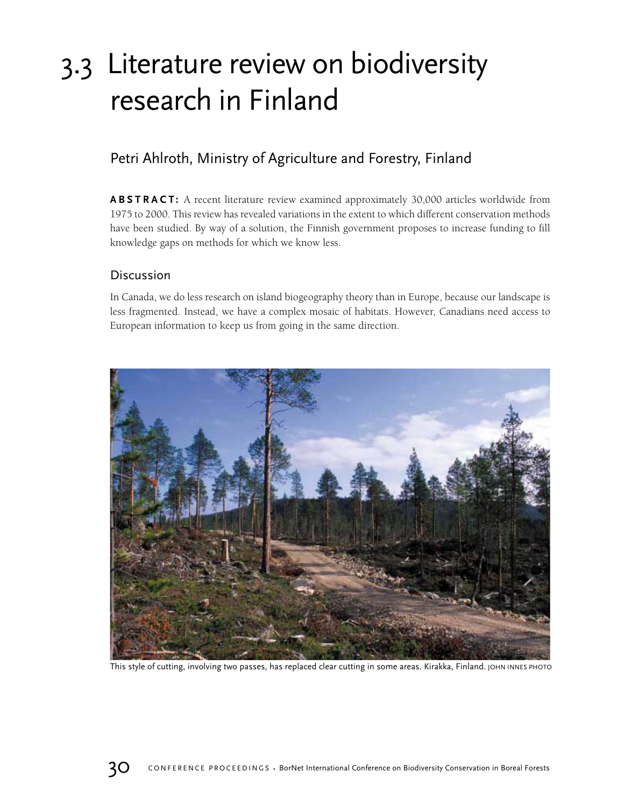## 3.3 Literature review on biodiversity research in Finland

## Petri Ahlroth, Ministry of Agriculture and Forestry, Finland

**ABSTRACT:** A recent literature review examined approximately 30,000 articles worldwide from 1975 to 2000. This review has revealed variations in the extent to which different conservation methods have been studied. By way of a solution, the Finnish government proposes to increase funding to fill knowledge gaps on methods for which we know less.

## Discussion

In Canada, we do less research on island biogeography theory than in Europe, because our landscape is less fragmented. Instead, we have a complex mosaic of habitats. However, Canadians need access to European information to keep us from going in the same direction.



This style of cutting, involving two passes, has replaced clear cutting in some areas. Kirakka, Finland. JOHN INNES PHOTO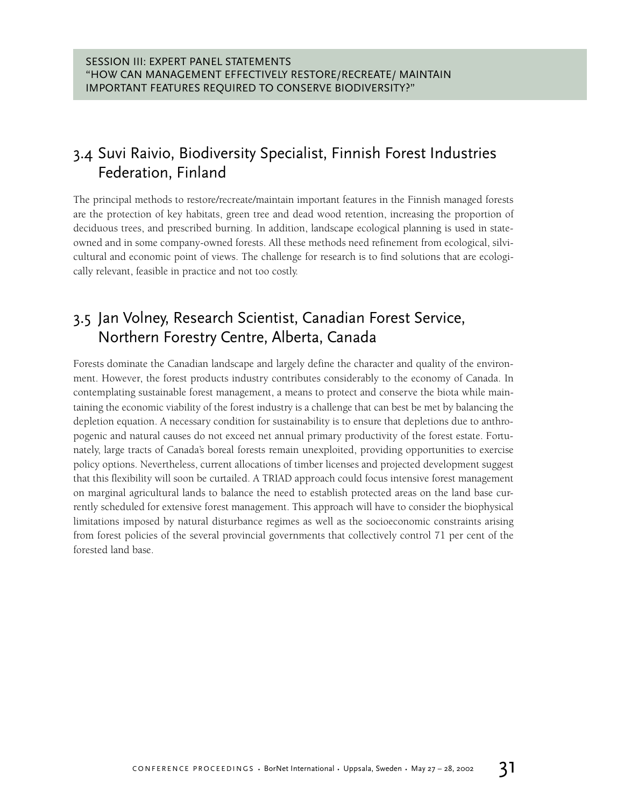## 3.4 Suvi Raivio, Biodiversity Specialist, Finnish Forest Industries Federation, Finland

The principal methods to restore/recreate/maintain important features in the Finnish managed forests are the protection of key habitats, green tree and dead wood retention, increasing the proportion of deciduous trees, and prescribed burning. In addition, landscape ecological planning is used in stateowned and in some company-owned forests. All these methods need refinement from ecological, silvicultural and economic point of views. The challenge for research is to find solutions that are ecologically relevant, feasible in practice and not too costly.

## 3.5 Jan Volney, Research Scientist, Canadian Forest Service, Northern Forestry Centre, Alberta, Canada

Forests dominate the Canadian landscape and largely define the character and quality of the environment. However, the forest products industry contributes considerably to the economy of Canada. In contemplating sustainable forest management, a means to protect and conserve the biota while maintaining the economic viability of the forest industry is a challenge that can best be met by balancing the depletion equation. A necessary condition for sustainability is to ensure that depletions due to anthropogenic and natural causes do not exceed net annual primary productivity of the forest estate. Fortunately, large tracts of Canada's boreal forests remain unexploited, providing opportunities to exercise policy options. Nevertheless, current allocations of timber licenses and projected development suggest that this flexibility will soon be curtailed. A TRIAD approach could focus intensive forest management on marginal agricultural lands to balance the need to establish protected areas on the land base currently scheduled for extensive forest management. This approach will have to consider the biophysical limitations imposed by natural disturbance regimes as well as the socioeconomic constraints arising from forest policies of the several provincial governments that collectively control 71 per cent of the forested land base.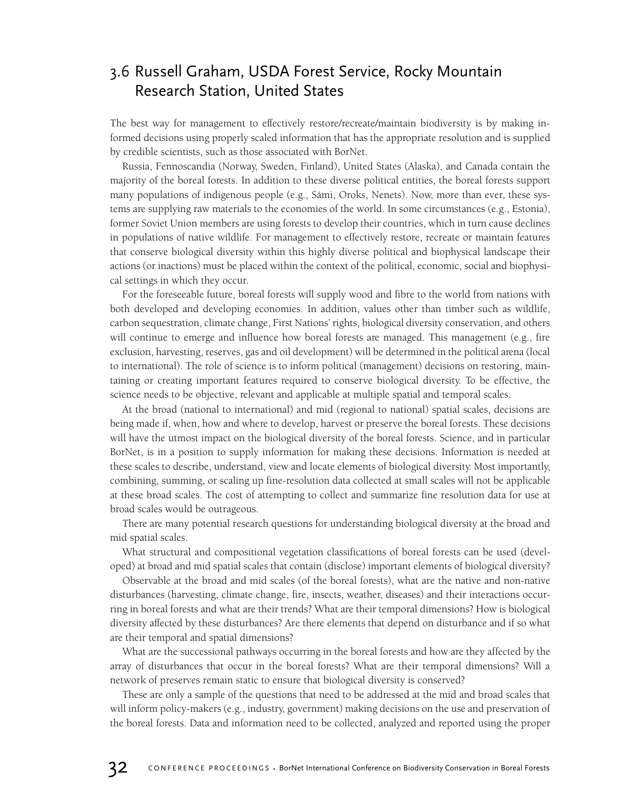## 3.6 Russell Graham, USDA Forest Service, Rocky Mountain Research Station, United States

The best way for management to effectively restore/recreate/maintain biodiversity is by making informed decisions using properly scaled information that has the appropriate resolution and is supplied by credible scientists, such as those associated with BorNet.

Russia, Fennoscandia (Norway, Sweden, Finland), United States (Alaska), and Canada contain the majority of the boreal forests. In addition to these diverse political entities, the boreal forests support many populations of indigenous people (e.g., Sámi, Oroks, Nenets). Now, more than ever, these systems are supplying raw materials to the economies of the world. In some circumstances (e.g., Estonia), former Soviet Union members are using forests to develop their countries, which in turn cause declines in populations of native wildlife. For management to effectively restore, recreate or maintain features that conserve biological diversity within this highly diverse political and biophysical landscape their actions (or inactions) must be placed within the context of the political, economic, social and biophysical settings in which they occur.

For the foreseeable future, boreal forests will supply wood and fibre to the world from nations with both developed and developing economies. In addition, values other than timber such as wildlife, carbon sequestration, climate change, First Nations' rights, biological diversity conservation, and others will continue to emerge and influence how boreal forests are managed. This management (e.g., fire exclusion, harvesting, reserves, gas and oil development) will be determined in the political arena (local to international). The role of science is to inform political (management) decisions on restoring, maintaining or creating important features required to conserve biological diversity. To be effective, the science needs to be objective, relevant and applicable at multiple spatial and temporal scales.

At the broad (national to international) and mid (regional to national) spatial scales, decisions are being made if, when, how and where to develop, harvest or preserve the boreal forests. These decisions will have the utmost impact on the biological diversity of the boreal forests. Science, and in particular BorNet, is in a position to supply information for making these decisions. Information is needed at these scales to describe, understand, view and locate elements of biological diversity. Most importantly, combining, summing, or scaling up fine-resolution data collected at small scales will not be applicable at these broad scales. The cost of attempting to collect and summarize fine resolution data for use at broad scales would be outrageous.

There are many potential research questions for understanding biological diversity at the broad and mid spatial scales.

What structural and compositional vegetation classifications of boreal forests can be used (developed) at broad and mid spatial scales that contain (disclose) important elements of biological diversity?

Observable at the broad and mid scales (of the boreal forests), what are the native and non-native disturbances (harvesting, climate change, fire, insects, weather, diseases) and their interactions occurring in boreal forests and what are their trends? What are their temporal dimensions? How is biological diversity affected by these disturbances? Are there elements that depend on disturbance and if so what are their temporal and spatial dimensions?

What are the successional pathways occurring in the boreal forests and how are they affected by the array of disturbances that occur in the boreal forests? What are their temporal dimensions? Will a network of preserves remain static to ensure that biological diversity is conserved?

These are only a sample of the questions that need to be addressed at the mid and broad scales that will inform policy-makers (e.g., industry, government) making decisions on the use and preservation of the boreal forests. Data and information need to be collected, analyzed and reported using the proper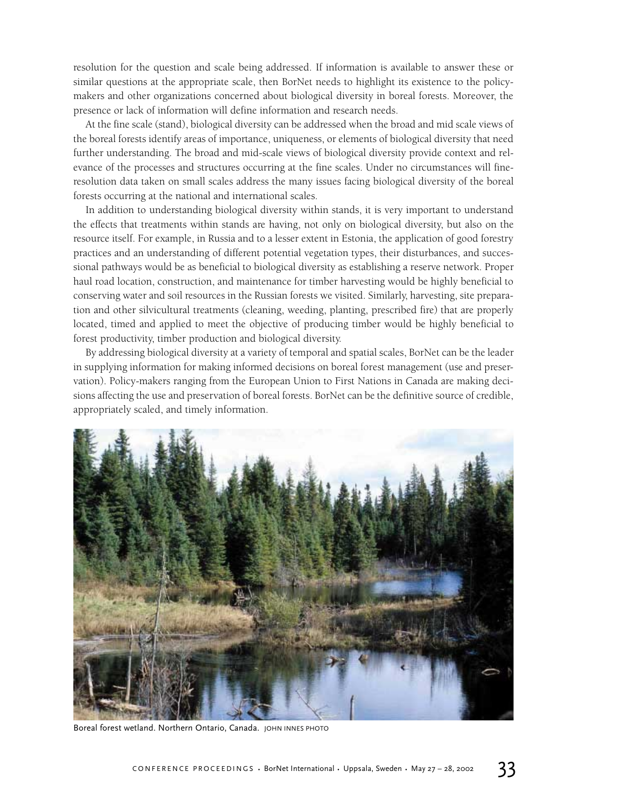resolution for the question and scale being addressed. If information is available to answer these or similar questions at the appropriate scale, then BorNet needs to highlight its existence to the policymakers and other organizations concerned about biological diversity in boreal forests. Moreover, the presence or lack of information will define information and research needs.

At the fine scale (stand), biological diversity can be addressed when the broad and mid scale views of the boreal forests identify areas of importance, uniqueness, or elements of biological diversity that need further understanding. The broad and mid-scale views of biological diversity provide context and relevance of the processes and structures occurring at the fine scales. Under no circumstances will fineresolution data taken on small scales address the many issues facing biological diversity of the boreal forests occurring at the national and international scales.

In addition to understanding biological diversity within stands, it is very important to understand the effects that treatments within stands are having, not only on biological diversity, but also on the resource itself. For example, in Russia and to a lesser extent in Estonia, the application of good forestry practices and an understanding of different potential vegetation types, their disturbances, and successional pathways would be as beneficial to biological diversity as establishing a reserve network. Proper haul road location, construction, and maintenance for timber harvesting would be highly beneficial to conserving water and soil resources in the Russian forests we visited. Similarly, harvesting, site preparation and other silvicultural treatments (cleaning, weeding, planting, prescribed fire) that are properly located, timed and applied to meet the objective of producing timber would be highly beneficial to forest productivity, timber production and biological diversity.

By addressing biological diversity at a variety of temporal and spatial scales, BorNet can be the leader in supplying information for making informed decisions on boreal forest management (use and preservation). Policy-makers ranging from the European Union to First Nations in Canada are making decisions affecting the use and preservation of boreal forests. BorNet can be the definitive source of credible, appropriately scaled, and timely information.



Boreal forest wetland. Northern Ontario, Canada. JOHN INNES PHOTO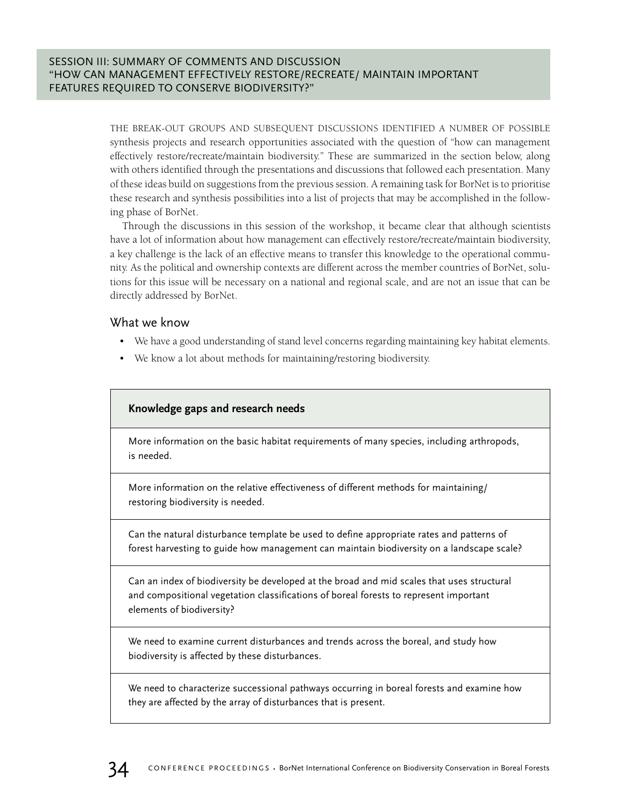THE BREAK-OUT GROUPS AND SUBSEQUENT DISCUSSIONS IDENTIFIED A NUMBER OF POSSIBLE synthesis projects and research opportunities associated with the question of "how can management effectively restore/recreate/maintain biodiversity." These are summarized in the section below, along with others identified through the presentations and discussions that followed each presentation. Many of these ideas build on suggestions from the previous session. A remaining task for BorNet is to prioritise these research and synthesis possibilities into a list of projects that may be accomplished in the following phase of BorNet.

Through the discussions in this session of the workshop, it became clear that although scientists have a lot of information about how management can effectively restore/recreate/maintain biodiversity, a key challenge is the lack of an effective means to transfer this knowledge to the operational community. As the political and ownership contexts are different across the member countries of BorNet, solutions for this issue will be necessary on a national and regional scale, and are not an issue that can be directly addressed by BorNet.

## What we know

- We have a good understanding of stand level concerns regarding maintaining key habitat elements.
- We know a lot about methods for maintaining/restoring biodiversity.

## **Knowledge gaps and research needs**

More information on the basic habitat requirements of many species, including arthropods, is needed.

More information on the relative effectiveness of different methods for maintaining/ restoring biodiversity is needed.

Can the natural disturbance template be used to define appropriate rates and patterns of forest harvesting to guide how management can maintain biodiversity on a landscape scale?

Can an index of biodiversity be developed at the broad and mid scales that uses structural and compositional vegetation classifications of boreal forests to represent important elements of biodiversity?

We need to examine current disturbances and trends across the boreal, and study how biodiversity is affected by these disturbances.

We need to characterize successional pathways occurring in boreal forests and examine how they are affected by the array of disturbances that is present.

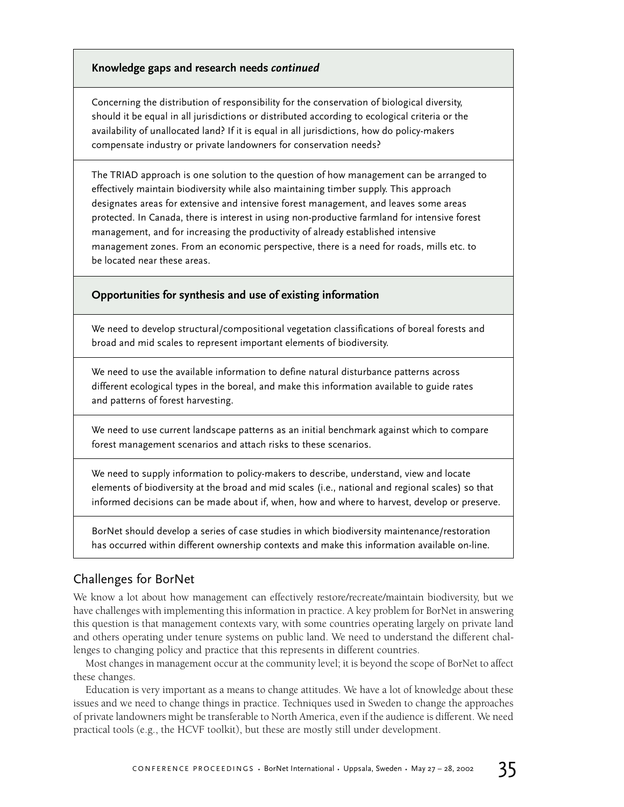## Knowledge gaps and research needs continued

Concerning the distribution of responsibility for the conservation of biological diversity, should it be equal in all jurisdictions or distributed according to ecological criteria or the availability of unallocated land? If it is equal in all jurisdictions, how do policy-makers compensate industry or private landowners for conservation needs?

The TRIAD approach is one solution to the question of how management can be arranged to effectively maintain biodiversity while also maintaining timber supply. This approach designates areas for extensive and intensive forest management, and leaves some areas protected. In Canada, there is interest in using non-productive farmland for intensive forest management, and for increasing the productivity of already established intensive management zones. From an economic perspective, there is a need for roads, mills etc. to be located near these areas.

## **Opportunities for synthesis and use of existing information**

We need to develop structural/compositional vegetation classifications of boreal forests and broad and mid scales to represent important elements of biodiversity.

We need to use the available information to define natural disturbance patterns across different ecological types in the boreal, and make this information available to guide rates and patterns of forest harvesting.

We need to use current landscape patterns as an initial benchmark against which to compare forest management scenarios and attach risks to these scenarios.

We need to supply information to policy-makers to describe, understand, view and locate elements of biodiversity at the broad and mid scales (i.e., national and regional scales) so that informed decisions can be made about if, when, how and where to harvest, develop or preserve.

BorNet should develop a series of case studies in which biodiversity maintenance/restoration has occurred within different ownership contexts and make this information available on-line.

## Challenges for BorNet

We know a lot about how management can effectively restore/recreate/maintain biodiversity, but we have challenges with implementing this information in practice. A key problem for BorNet in answering this question is that management contexts vary, with some countries operating largely on private land and others operating under tenure systems on public land. We need to understand the different challenges to changing policy and practice that this represents in different countries.

Most changes in management occur at the community level; it is beyond the scope of BorNet to affect these changes.

Education is very important as a means to change attitudes. We have a lot of knowledge about these issues and we need to change things in practice. Techniques used in Sweden to change the approaches of private landowners might be transferable to North America, even if the audience is different. We need practical tools (e.g., the HCVF toolkit), but these are mostly still under development.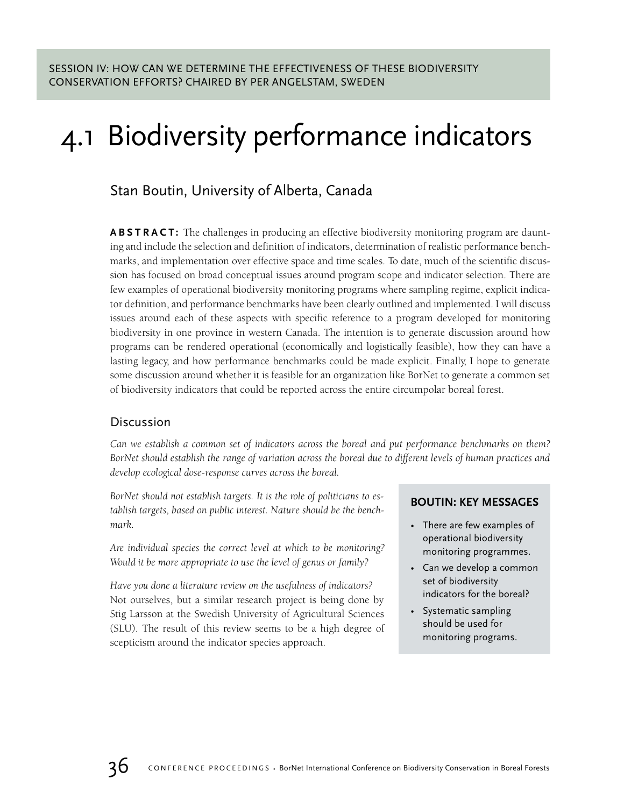## 4.1 Biodiversity performance indicators

## Stan Boutin, University of Alberta, Canada

**ABSTRACT:** The challenges in producing an effective biodiversity monitoring program are daunting and include the selection and definition of indicators, determination of realistic performance benchmarks, and implementation over effective space and time scales. To date, much of the scientific discussion has focused on broad conceptual issues around program scope and indicator selection. There are few examples of operational biodiversity monitoring programs where sampling regime, explicit indicator definition, and performance benchmarks have been clearly outlined and implemented. I will discuss issues around each of these aspects with specific reference to a program developed for monitoring biodiversity in one province in western Canada. The intention is to generate discussion around how programs can be rendered operational (economically and logistically feasible), how they can have a lasting legacy, and how performance benchmarks could be made explicit. Finally, I hope to generate some discussion around whether it is feasible for an organization like BorNet to generate a common set of biodiversity indicators that could be reported across the entire circumpolar boreal forest.

## Discussion

*Can we establish a common set of indicators across the boreal and put performance benchmarks on them? BorNet should establish the range of variation across the boreal due to different levels of human practices and develop ecological dose-response curves across the boreal.*

*BorNet should not establish targets. It is the role of politicians to establish targets, based on public interest. Nature should be the benchmark.*

*Are individual species the correct level at which to be monitoring? Would it be more appropriate to use the level of genus or family?*

*Have you done a literature review on the usefulness of indicators?* Not ourselves, but a similar research project is being done by Stig Larsson at the Swedish University of Agricultural Sciences (SLU). The result of this review seems to be a high degree of scepticism around the indicator species approach.

## **BOUTIN: KEY MESSAGES**

- There are few examples of operational biodiversity monitoring programmes.
- Can we develop a common set of biodiversity indicators for the boreal?
- Systematic sampling should be used for monitoring programs.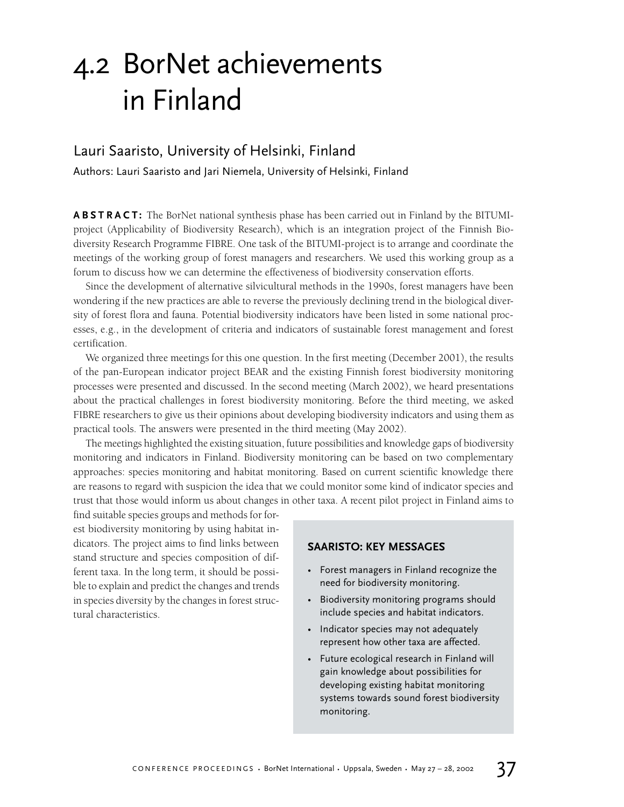## 4.2 BorNet achievements in Finland

## Lauri Saaristo, University of Helsinki, Finland

Authors: Lauri Saaristo and Jari Niemela, University of Helsinki, Finland

**ABSTRACT:** The BorNet national synthesis phase has been carried out in Finland by the BITUMIproject (Applicability of Biodiversity Research), which is an integration project of the Finnish Biodiversity Research Programme FIBRE. One task of the BITUMI-project is to arrange and coordinate the meetings of the working group of forest managers and researchers. We used this working group as a forum to discuss how we can determine the effectiveness of biodiversity conservation efforts.

Since the development of alternative silvicultural methods in the 1990s, forest managers have been wondering if the new practices are able to reverse the previously declining trend in the biological diversity of forest flora and fauna. Potential biodiversity indicators have been listed in some national processes, e.g., in the development of criteria and indicators of sustainable forest management and forest certification.

We organized three meetings for this one question. In the first meeting (December 2001), the results of the pan-European indicator project BEAR and the existing Finnish forest biodiversity monitoring processes were presented and discussed. In the second meeting (March 2002), we heard presentations about the practical challenges in forest biodiversity monitoring. Before the third meeting, we asked FIBRE researchers to give us their opinions about developing biodiversity indicators and using them as practical tools. The answers were presented in the third meeting (May 2002).

The meetings highlighted the existing situation, future possibilities and knowledge gaps of biodiversity monitoring and indicators in Finland. Biodiversity monitoring can be based on two complementary approaches: species monitoring and habitat monitoring. Based on current scientific knowledge there are reasons to regard with suspicion the idea that we could monitor some kind of indicator species and trust that those would inform us about changes in other taxa. A recent pilot project in Finland aims to

find suitable species groups and methods for forest biodiversity monitoring by using habitat indicators. The project aims to find links between stand structure and species composition of different taxa. In the long term, it should be possible to explain and predict the changes and trends in species diversity by the changes in forest structural characteristics.

### **SAARISTO: KEY MESSAGES**

- Forest managers in Finland recognize the need for biodiversity monitoring.
- Biodiversity monitoring programs should include species and habitat indicators.
- Indicator species may not adequately represent how other taxa are affected.
- Future ecological research in Finland will gain knowledge about possibilities for developing existing habitat monitoring systems towards sound forest biodiversity monitoring.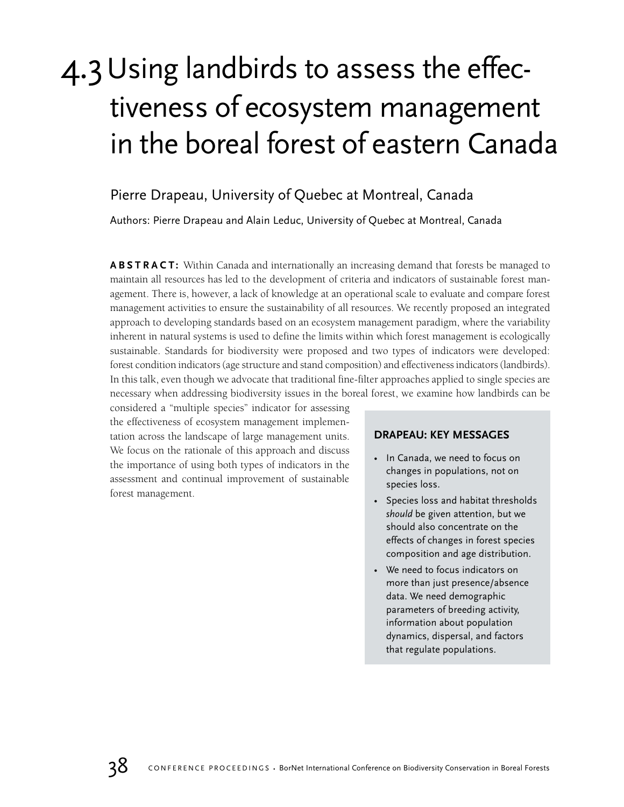## 4.3Using landbirds to assess the effectiveness of ecosystem management in the boreal forest of eastern Canada

## Pierre Drapeau, University of Quebec at Montreal, Canada

Authors: Pierre Drapeau and Alain Leduc, University of Quebec at Montreal, Canada

**ABSTRACT:** Within Canada and internationally an increasing demand that forests be managed to maintain all resources has led to the development of criteria and indicators of sustainable forest management. There is, however, a lack of knowledge at an operational scale to evaluate and compare forest management activities to ensure the sustainability of all resources. We recently proposed an integrated approach to developing standards based on an ecosystem management paradigm, where the variability inherent in natural systems is used to define the limits within which forest management is ecologically sustainable. Standards for biodiversity were proposed and two types of indicators were developed: forest condition indicators (age structure and stand composition) and effectiveness indicators (landbirds). In this talk, even though we advocate that traditional fine-filter approaches applied to single species are necessary when addressing biodiversity issues in the boreal forest, we examine how landbirds can be

considered a "multiple species" indicator for assessing the effectiveness of ecosystem management implementation across the landscape of large management units. We focus on the rationale of this approach and discuss the importance of using both types of indicators in the assessment and continual improvement of sustainable forest management.

### **DRAPEAU: KEY MESSAGES**

- In Canada, we need to focus on changes in populations, not on species loss.
- Species loss and habitat thresholds *should* be given attention, but we should also concentrate on the effects of changes in forest species composition and age distribution.
- We need to focus indicators on more than just presence/absence data. We need demographic parameters of breeding activity, information about population dynamics, dispersal, and factors that regulate populations.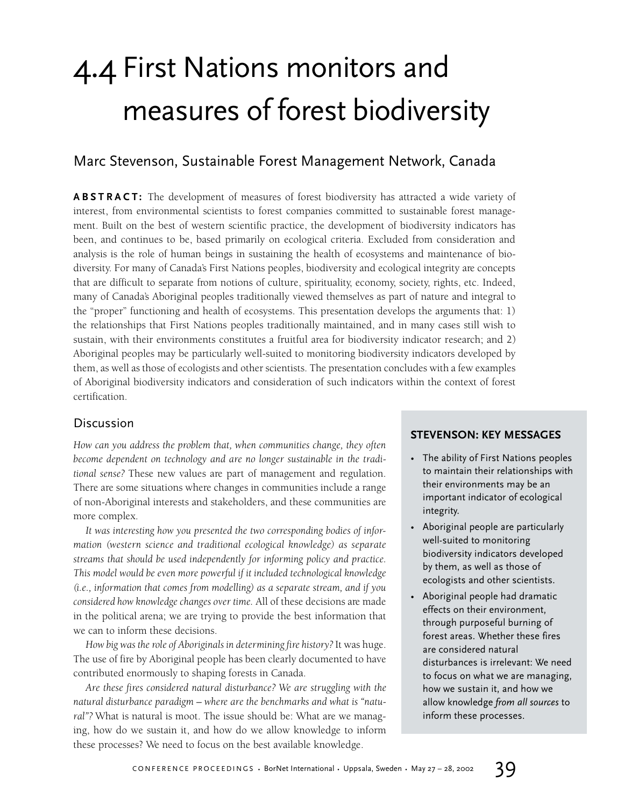## 4.4 First Nations monitors and measures of forest biodiversity

## Marc Stevenson, Sustainable Forest Management Network, Canada

**ABSTRACT:** The development of measures of forest biodiversity has attracted a wide variety of interest, from environmental scientists to forest companies committed to sustainable forest management. Built on the best of western scientific practice, the development of biodiversity indicators has been, and continues to be, based primarily on ecological criteria. Excluded from consideration and analysis is the role of human beings in sustaining the health of ecosystems and maintenance of biodiversity. For many of Canada's First Nations peoples, biodiversity and ecological integrity are concepts that are difficult to separate from notions of culture, spirituality, economy, society, rights, etc. Indeed, many of Canada's Aboriginal peoples traditionally viewed themselves as part of nature and integral to the "proper" functioning and health of ecosystems. This presentation develops the arguments that: 1) the relationships that First Nations peoples traditionally maintained, and in many cases still wish to sustain, with their environments constitutes a fruitful area for biodiversity indicator research; and 2) Aboriginal peoples may be particularly well-suited to monitoring biodiversity indicators developed by them, as well as those of ecologists and other scientists. The presentation concludes with a few examples of Aboriginal biodiversity indicators and consideration of such indicators within the context of forest certification.

## Discussion

*How can you address the problem that, when communities change, they often become dependent on technology and are no longer sustainable in the traditional sense?* These new values are part of management and regulation. There are some situations where changes in communities include a range of non-Aboriginal interests and stakeholders, and these communities are more complex.

*It was interesting how you presented the two corresponding bodies of information (western science and traditional ecological knowledge) as separate streams that should be used independently for informing policy and practice. This model would be even more powerful if it included technological knowledge (i.e., information that comes from modelling) as a separate stream, and if you considered how knowledge changes over time.* All of these decisions are made in the political arena; we are trying to provide the best information that we can to inform these decisions.

*How big was the role of Aboriginals in determining fire history?* It was huge. The use of fire by Aboriginal people has been clearly documented to have contributed enormously to shaping forests in Canada.

*Are these fires considered natural disturbance? We are struggling with the natural disturbance paradigm – where are the benchmarks and what is "natural"?* What is natural is moot. The issue should be: What are we managing, how do we sustain it, and how do we allow knowledge to inform these processes? We need to focus on the best available knowledge.

## **STEVENSON: KEY MESSAGES**

- The ability of First Nations peoples to maintain their relationships with their environments may be an important indicator of ecological integrity.
- Aboriginal people are particularly well-suited to monitoring biodiversity indicators developed by them, as well as those of ecologists and other scientists.
- Aboriginal people had dramatic effects on their environment, through purposeful burning of forest areas. Whether these fires are considered natural disturbances is irrelevant: We need to focus on what we are managing, how we sustain it, and how we allow knowledge *from all sources* to inform these processes.

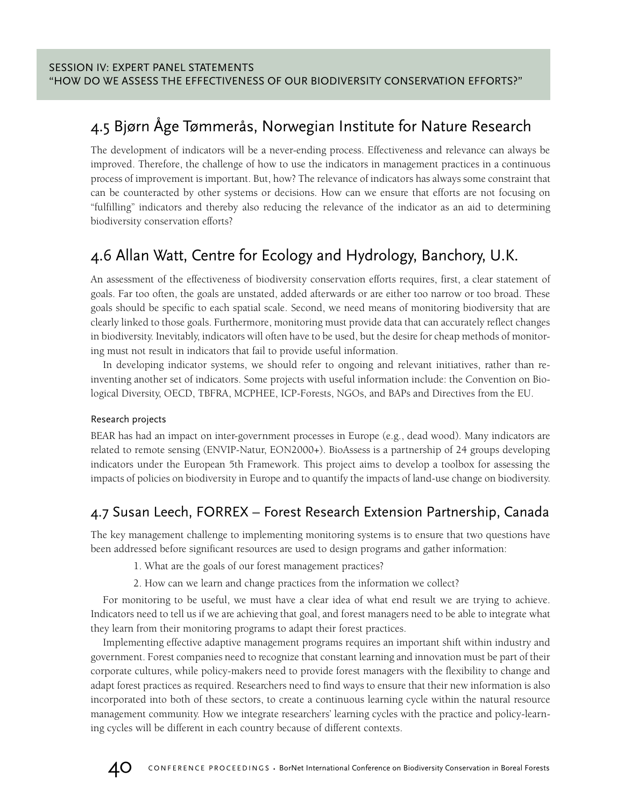## 4.5 Bjørn Åge Tømmerås, Norwegian Institute for Nature Research

The development of indicators will be a never-ending process. Effectiveness and relevance can always be improved. Therefore, the challenge of how to use the indicators in management practices in a continuous process of improvement is important. But, how? The relevance of indicators has always some constraint that can be counteracted by other systems or decisions. How can we ensure that efforts are not focusing on "fulfilling" indicators and thereby also reducing the relevance of the indicator as an aid to determining biodiversity conservation efforts?

## 4.6 Allan Watt, Centre for Ecology and Hydrology, Banchory, U.K.

An assessment of the effectiveness of biodiversity conservation efforts requires, first, a clear statement of goals. Far too often, the goals are unstated, added afterwards or are either too narrow or too broad. These goals should be specific to each spatial scale. Second, we need means of monitoring biodiversity that are clearly linked to those goals. Furthermore, monitoring must provide data that can accurately reflect changes in biodiversity. Inevitably, indicators will often have to be used, but the desire for cheap methods of monitoring must not result in indicators that fail to provide useful information.

In developing indicator systems, we should refer to ongoing and relevant initiatives, rather than reinventing another set of indicators. Some projects with useful information include: the Convention on Biological Diversity, OECD, TBFRA, MCPHEE, ICP-Forests, NGOs, and BAPs and Directives from the EU.

## Research projects

BEAR has had an impact on inter-government processes in Europe (e.g., dead wood). Many indicators are related to remote sensing (ENVIP-Natur, EON2000+). BioAssess is a partnership of 24 groups developing indicators under the European 5th Framework. This project aims to develop a toolbox for assessing the impacts of policies on biodiversity in Europe and to quantify the impacts of land-use change on biodiversity.

## 4.7 Susan Leech, FORREX – Forest Research Extension Partnership, Canada

The key management challenge to implementing monitoring systems is to ensure that two questions have been addressed before significant resources are used to design programs and gather information:

1. What are the goals of our forest management practices?

2. How can we learn and change practices from the information we collect?

For monitoring to be useful, we must have a clear idea of what end result we are trying to achieve. Indicators need to tell us if we are achieving that goal, and forest managers need to be able to integrate what they learn from their monitoring programs to adapt their forest practices.

Implementing effective adaptive management programs requires an important shift within industry and government. Forest companies need to recognize that constant learning and innovation must be part of their corporate cultures, while policy-makers need to provide forest managers with the flexibility to change and adapt forest practices as required. Researchers need to find ways to ensure that their new information is also incorporated into both of these sectors, to create a continuous learning cycle within the natural resource management community. How we integrate researchers' learning cycles with the practice and policy-learning cycles will be different in each country because of different contexts.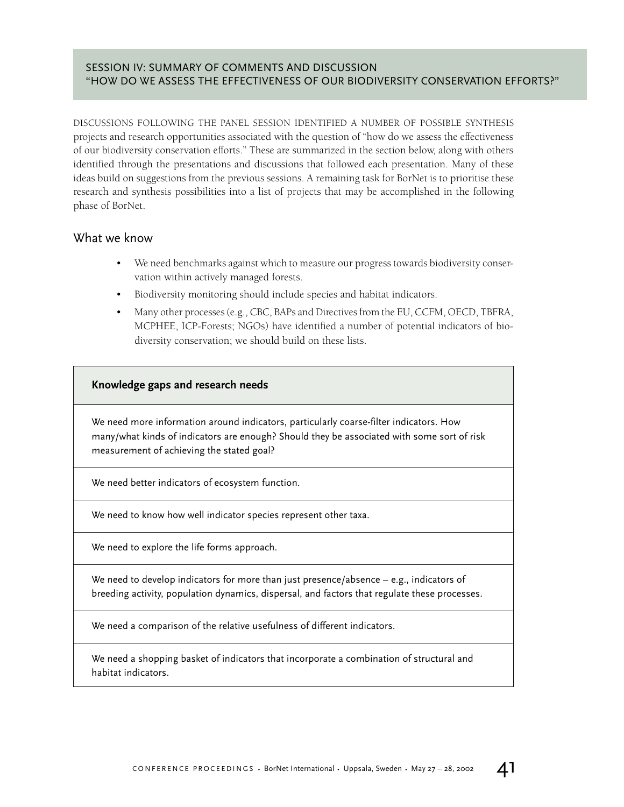## SESSION IV: SUMMARY OF COMMENTS AND DISCUSSION "HOW DO WE ASSESS THE EFFECTIVENESS OF OUR BIODIVERSITY CONSERVATION EFFORTS?"

DISCUSSIONS FOLLOWING THE PANEL SESSION IDENTIFIED A NUMBER OF POSSIBLE SYNTHESIS projects and research opportunities associated with the question of "how do we assess the effectiveness of our biodiversity conservation efforts." These are summarized in the section below, along with others identified through the presentations and discussions that followed each presentation. Many of these ideas build on suggestions from the previous sessions. A remaining task for BorNet is to prioritise these research and synthesis possibilities into a list of projects that may be accomplished in the following phase of BorNet.

## What we know

- We need benchmarks against which to measure our progress towards biodiversity conservation within actively managed forests.
- Biodiversity monitoring should include species and habitat indicators.
- Many other processes (e.g., CBC, BAPs and Directives from the EU, CCFM, OECD, TBFRA, MCPHEE, ICP-Forests; NGOs) have identified a number of potential indicators of biodiversity conservation; we should build on these lists.

## **Knowledge gaps and research needs**

We need more information around indicators, particularly coarse-filter indicators. How many/what kinds of indicators are enough? Should they be associated with some sort of risk measurement of achieving the stated goal?

We need better indicators of ecosystem function.

We need to know how well indicator species represent other taxa.

We need to explore the life forms approach.

We need to develop indicators for more than just presence/absence – e.g., indicators of breeding activity, population dynamics, dispersal, and factors that regulate these processes.

We need a comparison of the relative usefulness of different indicators.

We need a shopping basket of indicators that incorporate a combination of structural and habitat indicators.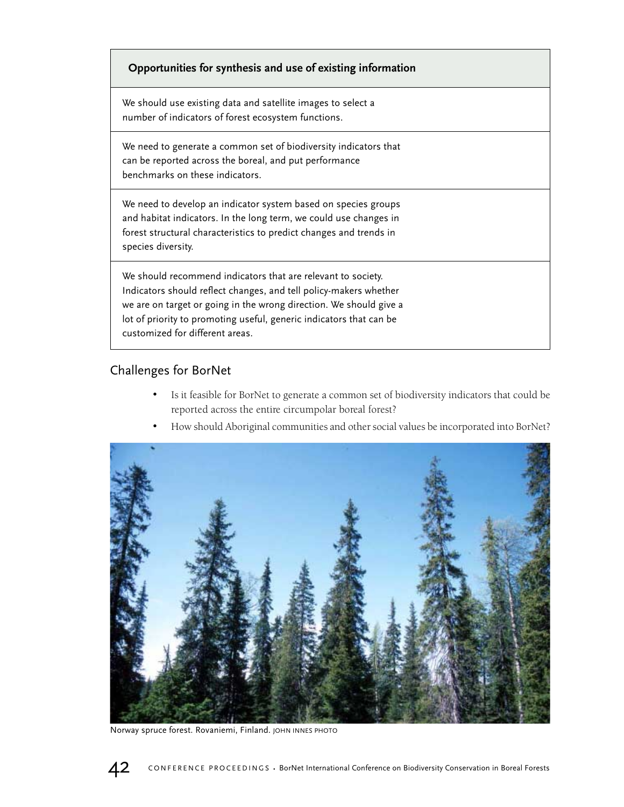## **Knowledge gaps and research needs Opportunities for synthesis and use of existing information**

We should use existing data and satellite images to select a number of indicators of forest ecosystem functions.

We need to generate a common set of biodiversity indicators that can be reported across the boreal, and put performance benchmarks on these indicators.

We need to develop an indicator system based on species groups and habitat indicators. In the long term, we could use changes in forest structural characteristics to predict changes and trends in species diversity.

We should recommend indicators that are relevant to society. Indicators should reflect changes, and tell policy-makers whether we are on target or going in the wrong direction. We should give a lot of priority to promoting useful, generic indicators that can be customized for different areas.

## Challenges for BorNet

- Is it feasible for BorNet to generate a common set of biodiversity indicators that could be reported across the entire circumpolar boreal forest?
- How should Aboriginal communities and other social values be incorporated into BorNet?



Norway spruce forest. Rovaniemi, Finland. JOHN INNES PHOTO

$$
42
$$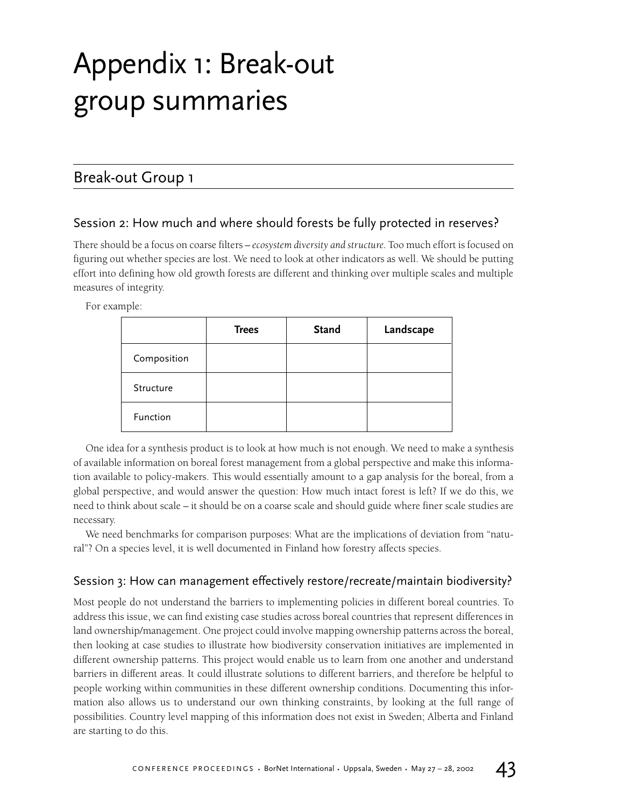## Appendix 1: Break-out group summaries

## Break-out Group 1

## Session 2: How much and where should forests be fully protected in reserves?

There should be a focus on coarse filters – *ecosystem diversity and structure.* Too much effort is focused on figuring out whether species are lost. We need to look at other indicators as well. We should be putting effort into defining how old growth forests are different and thinking over multiple scales and multiple measures of integrity.

For example:

|             | <b>Trees</b> | <b>Stand</b> | Landscape |
|-------------|--------------|--------------|-----------|
| Composition |              |              |           |
| Structure   |              |              |           |
| Function    |              |              |           |

One idea for a synthesis product is to look at how much is not enough. We need to make a synthesis of available information on boreal forest management from a global perspective and make this information available to policy-makers. This would essentially amount to a gap analysis for the boreal, from a global perspective, and would answer the question: How much intact forest is left? If we do this, we need to think about scale – it should be on a coarse scale and should guide where finer scale studies are necessary.

We need benchmarks for comparison purposes: What are the implications of deviation from "natural"? On a species level, it is well documented in Finland how forestry affects species.

## Session 3: How can management effectively restore/recreate/maintain biodiversity?

Most people do not understand the barriers to implementing policies in different boreal countries. To address this issue, we can find existing case studies across boreal countries that represent differences in land ownership/management. One project could involve mapping ownership patterns across the boreal, then looking at case studies to illustrate how biodiversity conservation initiatives are implemented in different ownership patterns. This project would enable us to learn from one another and understand barriers in different areas. It could illustrate solutions to different barriers, and therefore be helpful to people working within communities in these different ownership conditions. Documenting this information also allows us to understand our own thinking constraints, by looking at the full range of possibilities. Country level mapping of this information does not exist in Sweden; Alberta and Finland are starting to do this.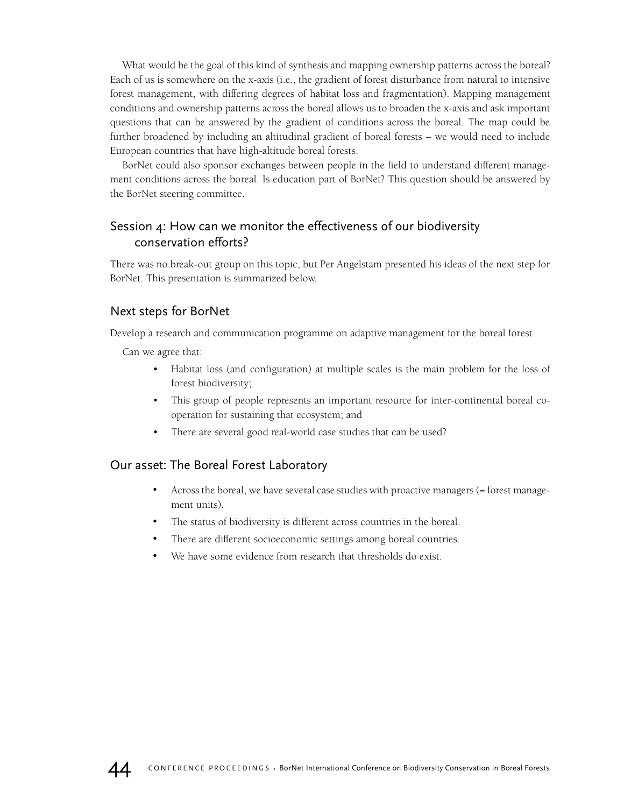What would be the goal of this kind of synthesis and mapping ownership patterns across the boreal? Each of us is somewhere on the x-axis (i.e., the gradient of forest disturbance from natural to intensive forest management, with differing degrees of habitat loss and fragmentation). Mapping management conditions and ownership patterns across the boreal allows us to broaden the x-axis and ask important questions that can be answered by the gradient of conditions across the boreal. The map could be further broadened by including an altitudinal gradient of boreal forests – we would need to include European countries that have high-altitude boreal forests.

BorNet could also sponsor exchanges between people in the field to understand different management conditions across the boreal. Is education part of BorNet? This question should be answered by the BorNet steering committee.

## Session 4: How can we monitor the effectiveness of our biodiversity conservation efforts?

There was no break-out group on this topic, but Per Angelstam presented his ideas of the next step for BorNet. This presentation is summarized below.

## Next steps for BorNet

Develop a research and communication programme on adaptive management for the boreal forest

Can we agree that:

- Habitat loss (and configuration) at multiple scales is the main problem for the loss of forest biodiversity;
- This group of people represents an important resource for inter-continental boreal cooperation for sustaining that ecosystem; and
- There are several good real-world case studies that can be used?

## Our asset: The Boreal Forest Laboratory

- Across the boreal, we have several case studies with proactive managers (= forest management units).
- The status of biodiversity is different across countries in the boreal.
- There are different socioeconomic settings among boreal countries.
- We have some evidence from research that thresholds do exist.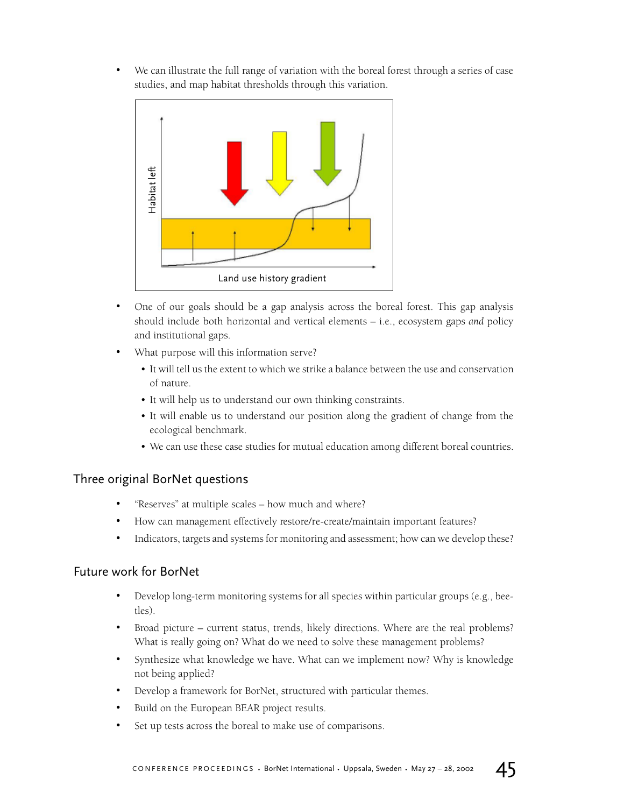We can illustrate the full range of variation with the boreal forest through a series of case studies, and map habitat thresholds through this variation.



- One of our goals should be a gap analysis across the boreal forest. This gap analysis should include both horizontal and vertical elements – i.e., ecosystem gaps *and* policy and institutional gaps.
- What purpose will this information serve?
	- It will tell us the extent to which we strike a balance between the use and conservation of nature.
	- It will help us to understand our own thinking constraints.
	- It will enable us to understand our position along the gradient of change from the ecological benchmark.
	- We can use these case studies for mutual education among different boreal countries.

## Three original BorNet questions

- "Reserves" at multiple scales how much and where?
- How can management effectively restore/re-create/maintain important features?
- Indicators, targets and systems for monitoring and assessment; how can we develop these?

## Future work for BorNet

- Develop long-term monitoring systems for all species within particular groups (e.g., beetles).
- Broad picture current status, trends, likely directions. Where are the real problems? What is really going on? What do we need to solve these management problems?
- Synthesize what knowledge we have. What can we implement now? Why is knowledge not being applied?
- Develop a framework for BorNet, structured with particular themes.
- Build on the European BEAR project results.
- Set up tests across the boreal to make use of comparisons.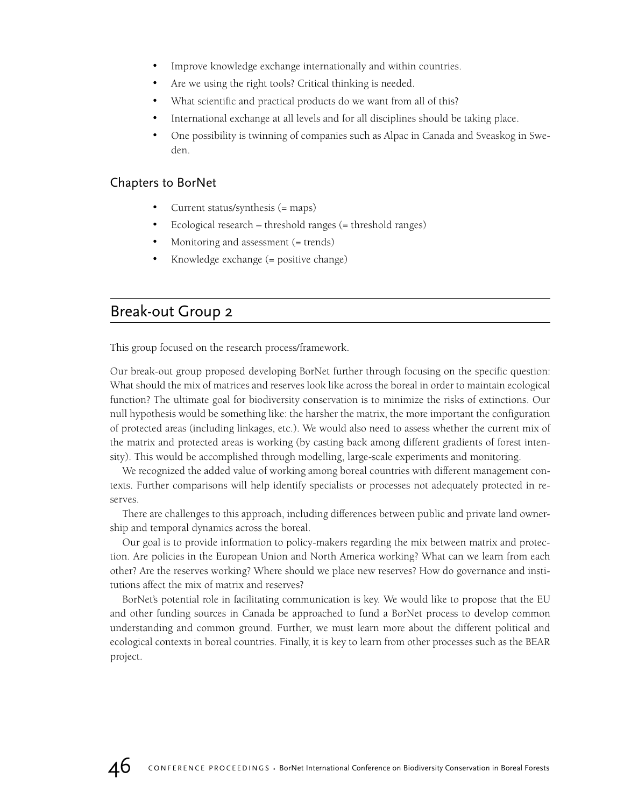- Improve knowledge exchange internationally and within countries.
- Are we using the right tools? Critical thinking is needed.
- What scientific and practical products do we want from all of this?
- International exchange at all levels and for all disciplines should be taking place.
- One possibility is twinning of companies such as Alpac in Canada and Sveaskog in Sweden.

## Chapters to BorNet

- Current status/synthesis (= maps)
- Ecological research threshold ranges (= threshold ranges)
- Monitoring and assessment (= trends)
- Knowledge exchange (= positive change)

## Break-out Group 2

This group focused on the research process/framework.

Our break-out group proposed developing BorNet further through focusing on the specific question: What should the mix of matrices and reserves look like across the boreal in order to maintain ecological function? The ultimate goal for biodiversity conservation is to minimize the risks of extinctions. Our null hypothesis would be something like: the harsher the matrix, the more important the configuration of protected areas (including linkages, etc.). We would also need to assess whether the current mix of the matrix and protected areas is working (by casting back among different gradients of forest intensity). This would be accomplished through modelling, large-scale experiments and monitoring.

We recognized the added value of working among boreal countries with different management contexts. Further comparisons will help identify specialists or processes not adequately protected in reserves.

There are challenges to this approach, including differences between public and private land ownership and temporal dynamics across the boreal.

Our goal is to provide information to policy-makers regarding the mix between matrix and protection. Are policies in the European Union and North America working? What can we learn from each other? Are the reserves working? Where should we place new reserves? How do governance and institutions affect the mix of matrix and reserves?

BorNet's potential role in facilitating communication is key. We would like to propose that the EU and other funding sources in Canada be approached to fund a BorNet process to develop common understanding and common ground. Further, we must learn more about the different political and ecological contexts in boreal countries. Finally, it is key to learn from other processes such as the BEAR project.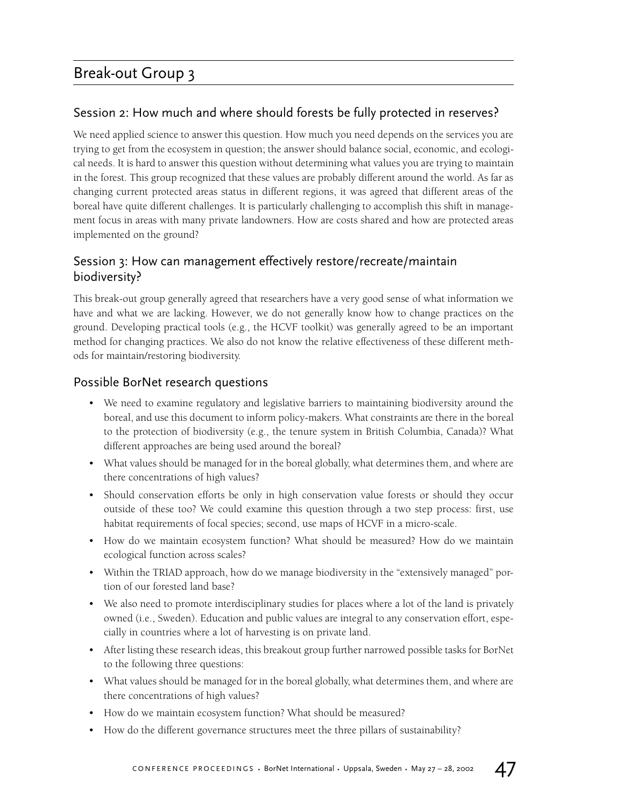## Break-out Group 3

## Session 2: How much and where should forests be fully protected in reserves?

We need applied science to answer this question. How much you need depends on the services you are trying to get from the ecosystem in question; the answer should balance social, economic, and ecological needs. It is hard to answer this question without determining what values you are trying to maintain in the forest. This group recognized that these values are probably different around the world. As far as changing current protected areas status in different regions, it was agreed that different areas of the boreal have quite different challenges. It is particularly challenging to accomplish this shift in management focus in areas with many private landowners. How are costs shared and how are protected areas implemented on the ground?

## Session 3: How can management effectively restore/recreate/maintain biodiversity?

This break-out group generally agreed that researchers have a very good sense of what information we have and what we are lacking. However, we do not generally know how to change practices on the ground. Developing practical tools (e.g., the HCVF toolkit) was generally agreed to be an important method for changing practices. We also do not know the relative effectiveness of these different methods for maintain/restoring biodiversity.

## Possible BorNet research questions

- We need to examine regulatory and legislative barriers to maintaining biodiversity around the boreal, and use this document to inform policy-makers. What constraints are there in the boreal to the protection of biodiversity (e.g., the tenure system in British Columbia, Canada)? What different approaches are being used around the boreal?
- What values should be managed for in the boreal globally, what determines them, and where are there concentrations of high values?
- Should conservation efforts be only in high conservation value forests or should they occur outside of these too? We could examine this question through a two step process: first, use habitat requirements of focal species; second, use maps of HCVF in a micro-scale.
- How do we maintain ecosystem function? What should be measured? How do we maintain ecological function across scales?
- Within the TRIAD approach, how do we manage biodiversity in the "extensively managed" portion of our forested land base?
- We also need to promote interdisciplinary studies for places where a lot of the land is privately owned (i.e., Sweden). Education and public values are integral to any conservation effort, especially in countries where a lot of harvesting is on private land.
- After listing these research ideas, this breakout group further narrowed possible tasks for BorNet to the following three questions:
- What values should be managed for in the boreal globally, what determines them, and where are there concentrations of high values?
- How do we maintain ecosystem function? What should be measured?
- How do the different governance structures meet the three pillars of sustainability?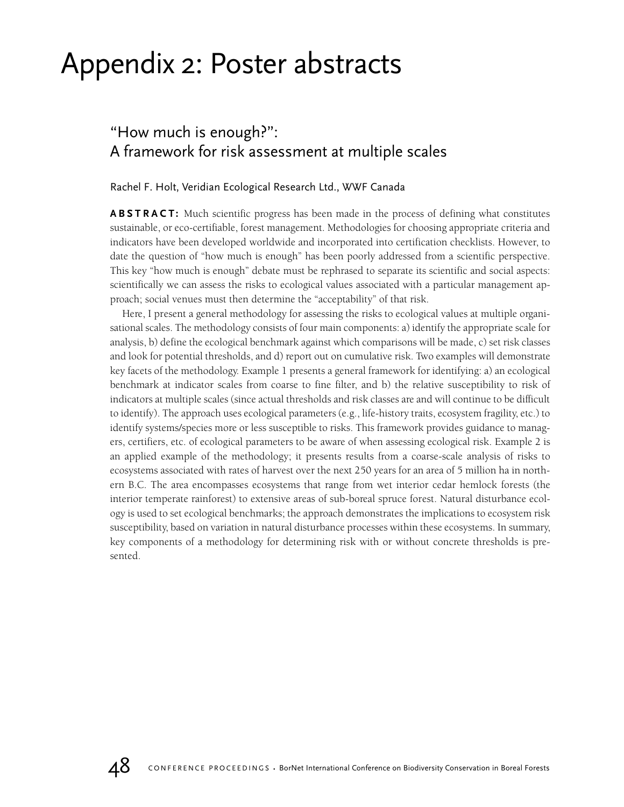## Appendix 2: Poster abstracts

## "How much is enough?": A framework for risk assessment at multiple scales

## Rachel F. Holt, Veridian Ecological Research Ltd., WWF Canada

**ABSTRACT:** Much scientific progress has been made in the process of defining what constitutes sustainable, or eco-certifiable, forest management. Methodologies for choosing appropriate criteria and indicators have been developed worldwide and incorporated into certification checklists. However, to date the question of "how much is enough" has been poorly addressed from a scientific perspective. This key "how much is enough" debate must be rephrased to separate its scientific and social aspects: scientifically we can assess the risks to ecological values associated with a particular management approach; social venues must then determine the "acceptability" of that risk.

Here, I present a general methodology for assessing the risks to ecological values at multiple organisational scales. The methodology consists of four main components: a) identify the appropriate scale for analysis, b) define the ecological benchmark against which comparisons will be made, c) set risk classes and look for potential thresholds, and d) report out on cumulative risk. Two examples will demonstrate key facets of the methodology. Example 1 presents a general framework for identifying: a) an ecological benchmark at indicator scales from coarse to fine filter, and b) the relative susceptibility to risk of indicators at multiple scales (since actual thresholds and risk classes are and will continue to be difficult to identify). The approach uses ecological parameters (e.g., life-history traits, ecosystem fragility, etc.) to identify systems/species more or less susceptible to risks. This framework provides guidance to managers, certifiers, etc. of ecological parameters to be aware of when assessing ecological risk. Example 2 is an applied example of the methodology; it presents results from a coarse-scale analysis of risks to ecosystems associated with rates of harvest over the next 250 years for an area of 5 million ha in northern B.C. The area encompasses ecosystems that range from wet interior cedar hemlock forests (the interior temperate rainforest) to extensive areas of sub-boreal spruce forest. Natural disturbance ecology is used to set ecological benchmarks; the approach demonstrates the implications to ecosystem risk susceptibility, based on variation in natural disturbance processes within these ecosystems. In summary, key components of a methodology for determining risk with or without concrete thresholds is presented.

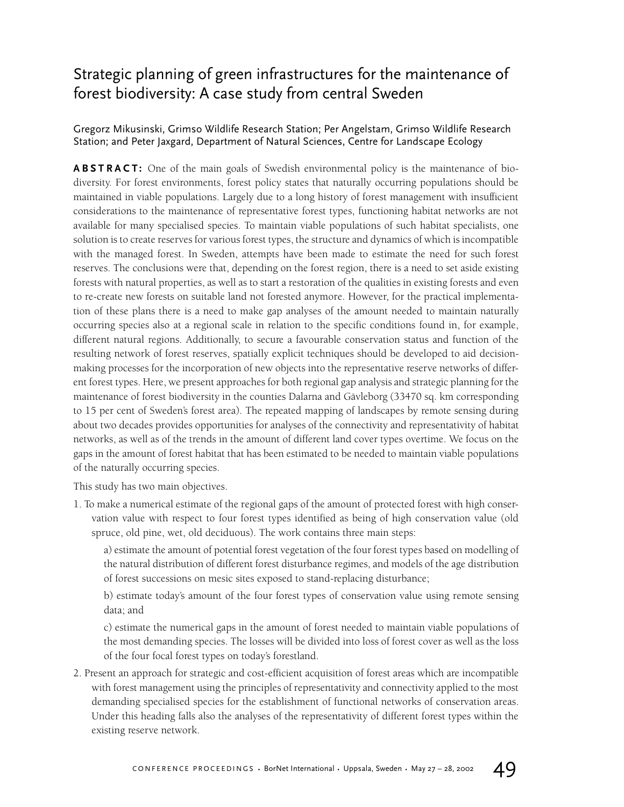## Strategic planning of green infrastructures for the maintenance of forest biodiversity: A case study from central Sweden

## Gregorz Mikusinski, Grimso Wildlife Research Station; Per Angelstam, Grimso Wildlife Research Station; and Peter Jaxgard, Department of Natural Sciences, Centre for Landscape Ecology

**ABSTRACT:** One of the main goals of Swedish environmental policy is the maintenance of biodiversity. For forest environments, forest policy states that naturally occurring populations should be maintained in viable populations. Largely due to a long history of forest management with insufficient considerations to the maintenance of representative forest types, functioning habitat networks are not available for many specialised species. To maintain viable populations of such habitat specialists, one solution is to create reserves for various forest types, the structure and dynamics of which is incompatible with the managed forest. In Sweden, attempts have been made to estimate the need for such forest reserves. The conclusions were that, depending on the forest region, there is a need to set aside existing forests with natural properties, as well as to start a restoration of the qualities in existing forests and even to re-create new forests on suitable land not forested anymore. However, for the practical implementation of these plans there is a need to make gap analyses of the amount needed to maintain naturally occurring species also at a regional scale in relation to the specific conditions found in, for example, different natural regions. Additionally, to secure a favourable conservation status and function of the resulting network of forest reserves, spatially explicit techniques should be developed to aid decisionmaking processes for the incorporation of new objects into the representative reserve networks of different forest types. Here, we present approaches for both regional gap analysis and strategic planning for the maintenance of forest biodiversity in the counties Dalarna and Gävleborg (33470 sq. km corresponding to 15 per cent of Sweden's forest area). The repeated mapping of landscapes by remote sensing during about two decades provides opportunities for analyses of the connectivity and representativity of habitat networks, as well as of the trends in the amount of different land cover types overtime. We focus on the gaps in the amount of forest habitat that has been estimated to be needed to maintain viable populations of the naturally occurring species.

This study has two main objectives.

1. To make a numerical estimate of the regional gaps of the amount of protected forest with high conservation value with respect to four forest types identified as being of high conservation value (old spruce, old pine, wet, old deciduous). The work contains three main steps:

a) estimate the amount of potential forest vegetation of the four forest types based on modelling of the natural distribution of different forest disturbance regimes, and models of the age distribution of forest successions on mesic sites exposed to stand-replacing disturbance;

b) estimate today's amount of the four forest types of conservation value using remote sensing data; and

c) estimate the numerical gaps in the amount of forest needed to maintain viable populations of the most demanding species. The losses will be divided into loss of forest cover as well as the loss of the four focal forest types on today's forestland.

2. Present an approach for strategic and cost-efficient acquisition of forest areas which are incompatible with forest management using the principles of representativity and connectivity applied to the most demanding specialised species for the establishment of functional networks of conservation areas. Under this heading falls also the analyses of the representativity of different forest types within the existing reserve network.

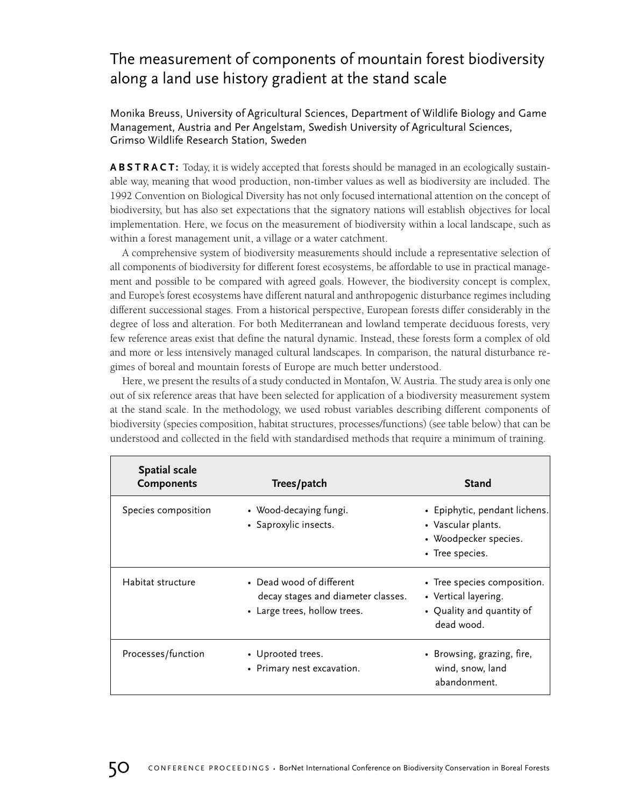## The measurement of components of mountain forest biodiversity along a land use history gradient at the stand scale

Monika Breuss, University of Agricultural Sciences, Department of Wildlife Biology and Game Management, Austria and Per Angelstam, Swedish University of Agricultural Sciences, Grimso Wildlife Research Station, Sweden

**ABSTRACT:** Today, it is widely accepted that forests should be managed in an ecologically sustainable way, meaning that wood production, non-timber values as well as biodiversity are included. The 1992 Convention on Biological Diversity has not only focused international attention on the concept of biodiversity, but has also set expectations that the signatory nations will establish objectives for local implementation. Here, we focus on the measurement of biodiversity within a local landscape, such as within a forest management unit, a village or a water catchment.

A comprehensive system of biodiversity measurements should include a representative selection of all components of biodiversity for different forest ecosystems, be affordable to use in practical management and possible to be compared with agreed goals. However, the biodiversity concept is complex, and Europe's forest ecosystems have different natural and anthropogenic disturbance regimes including different successional stages. From a historical perspective, European forests differ considerably in the degree of loss and alteration. For both Mediterranean and lowland temperate deciduous forests, very few reference areas exist that define the natural dynamic. Instead, these forests form a complex of old and more or less intensively managed cultural landscapes. In comparison, the natural disturbance regimes of boreal and mountain forests of Europe are much better understood.

Here, we present the results of a study conducted in Montafon, W. Austria. The study area is only one out of six reference areas that have been selected for application of a biodiversity measurement system at the stand scale. In the methodology, we used robust variables describing different components of biodiversity (species composition, habitat structures, processes/functions) (see table below) that can be understood and collected in the field with standardised methods that require a minimum of training.

| <b>Spatial scale</b><br><b>Components</b> | Trees/patch                                                                                    | <b>Stand</b>                                                                                    |
|-------------------------------------------|------------------------------------------------------------------------------------------------|-------------------------------------------------------------------------------------------------|
| Species composition                       | • Wood-decaying fungi.<br>• Saproxylic insects.                                                | • Epiphytic, pendant lichens.<br>• Vascular plants.<br>• Woodpecker species.<br>• Tree species. |
| Habitat structure                         | • Dead wood of different<br>decay stages and diameter classes.<br>• Large trees, hollow trees. | • Tree species composition.<br>• Vertical layering.<br>• Quality and quantity of<br>dead wood.  |
| Processes/function                        | • Uprooted trees.<br>• Primary nest excavation.                                                | • Browsing, grazing, fire,<br>wind, snow, land<br>abandonment.                                  |

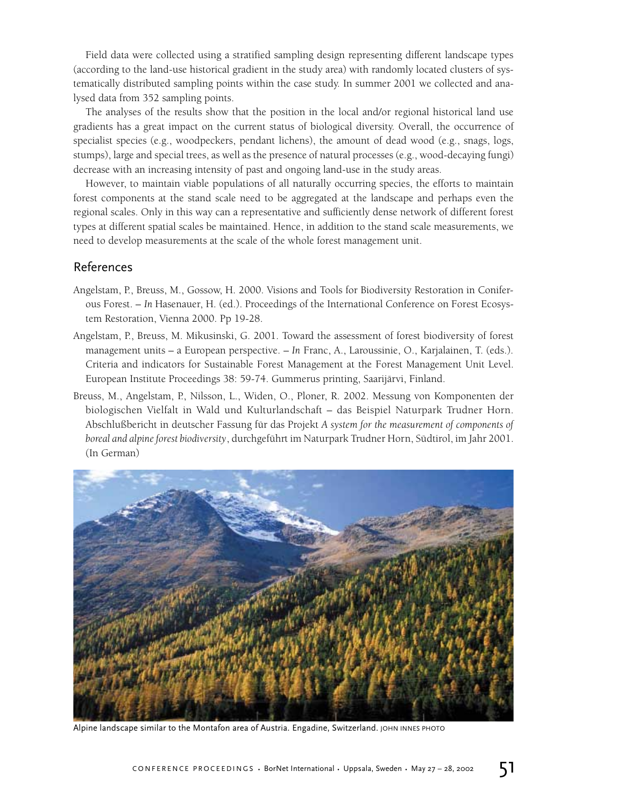Field data were collected using a stratified sampling design representing different landscape types (according to the land-use historical gradient in the study area) with randomly located clusters of systematically distributed sampling points within the case study. In summer 2001 we collected and analysed data from 352 sampling points.

The analyses of the results show that the position in the local and/or regional historical land use gradients has a great impact on the current status of biological diversity. Overall, the occurrence of specialist species (e.g., woodpeckers, pendant lichens), the amount of dead wood (e.g., snags, logs, stumps), large and special trees, as well as the presence of natural processes (e.g., wood-decaying fungi) decrease with an increasing intensity of past and ongoing land-use in the study areas.

However, to maintain viable populations of all naturally occurring species, the efforts to maintain forest components at the stand scale need to be aggregated at the landscape and perhaps even the regional scales. Only in this way can a representative and sufficiently dense network of different forest types at different spatial scales be maintained. Hence, in addition to the stand scale measurements, we need to develop measurements at the scale of the whole forest management unit.

### References

- Angelstam, P., Breuss, M., Gossow, H. 2000. Visions and Tools for Biodiversity Restoration in Coniferous Forest. – *In* Hasenauer, H. (ed.). Proceedings of the International Conference on Forest Ecosystem Restoration, Vienna 2000. Pp 19-28.
- Angelstam, P., Breuss, M. Mikusinski, G. 2001. Toward the assessment of forest biodiversity of forest management units – a European perspective. – *In* Franc, A., Laroussinie, O., Karjalainen, T. (eds.). Criteria and indicators for Sustainable Forest Management at the Forest Management Unit Level. European Institute Proceedings 38: 59-74. Gummerus printing, Saarijärvi, Finland.
- Breuss, M., Angelstam, P., Nilsson, L., Widen, O., Ploner, R. 2002. Messung von Komponenten der biologischen Vielfalt in Wald und Kulturlandschaft – das Beispiel Naturpark Trudner Horn. Abschlußbericht in deutscher Fassung für das Projekt *A system for the measurement of components of boreal and alpine forest biodiversity*, durchgeführt im Naturpark Trudner Horn, Südtirol, im Jahr 2001. (In German)



Alpine landscape similar to the Montafon area of Austria. Engadine, Switzerland. JOHN INNES PHOTO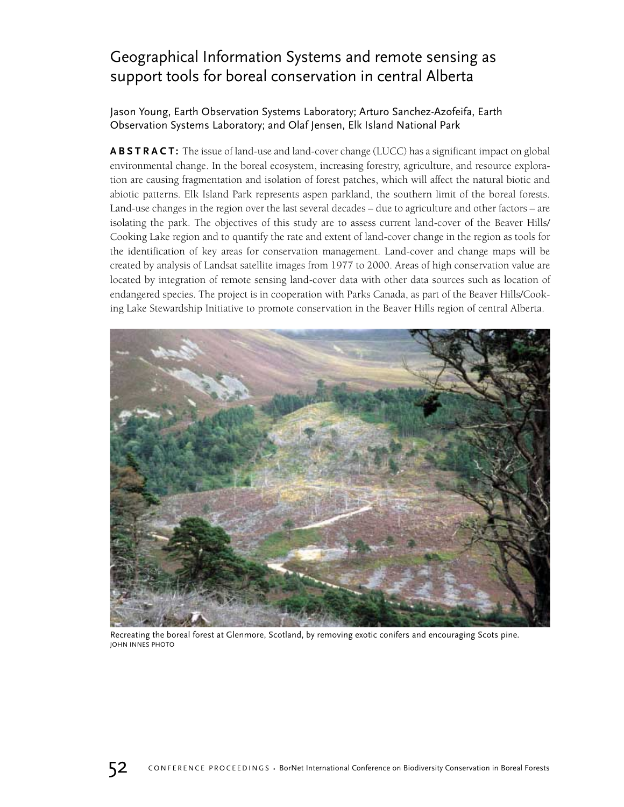## Geographical Information Systems and remote sensing as support tools for boreal conservation in central Alberta

## Jason Young, Earth Observation Systems Laboratory; Arturo Sanchez-Azofeifa, Earth Observation Systems Laboratory; and Olaf Jensen, Elk Island National Park

**ABSTRACT:** The issue of land-use and land-cover change (LUCC) has a significant impact on global environmental change. In the boreal ecosystem, increasing forestry, agriculture, and resource exploration are causing fragmentation and isolation of forest patches, which will affect the natural biotic and abiotic patterns. Elk Island Park represents aspen parkland, the southern limit of the boreal forests. Land-use changes in the region over the last several decades – due to agriculture and other factors – are isolating the park. The objectives of this study are to assess current land-cover of the Beaver Hills/ Cooking Lake region and to quantify the rate and extent of land-cover change in the region as tools for the identification of key areas for conservation management. Land-cover and change maps will be created by analysis of Landsat satellite images from 1977 to 2000. Areas of high conservation value are located by integration of remote sensing land-cover data with other data sources such as location of endangered species. The project is in cooperation with Parks Canada, as part of the Beaver Hills/Cooking Lake Stewardship Initiative to promote conservation in the Beaver Hills region of central Alberta.



Recreating the boreal forest at Glenmore, Scotland, by removing exotic conifers and encouraging Scots pine. JOHN INNES PHOTO

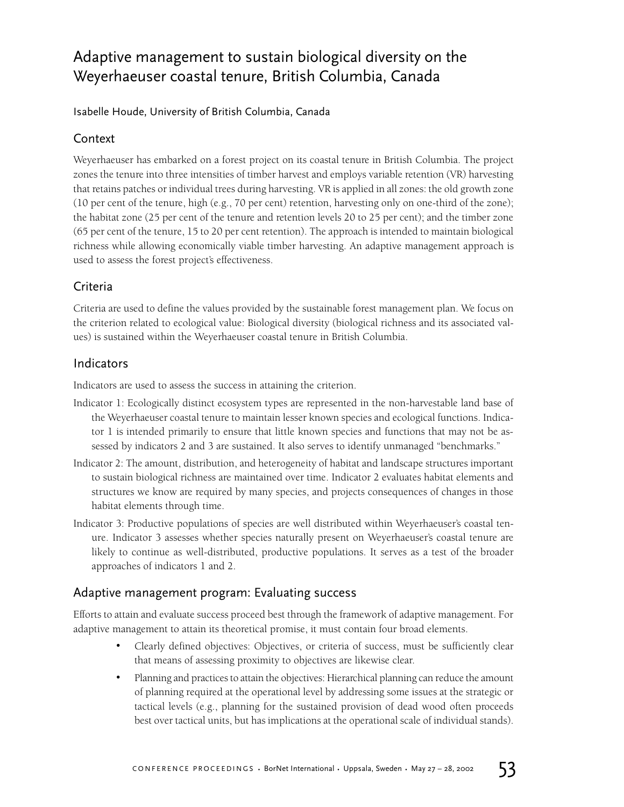## Adaptive management to sustain biological diversity on the Weyerhaeuser coastal tenure, British Columbia, Canada

Isabelle Houde, University of British Columbia, Canada

## **Context**

Weyerhaeuser has embarked on a forest project on its coastal tenure in British Columbia. The project zones the tenure into three intensities of timber harvest and employs variable retention (VR) harvesting that retains patches or individual trees during harvesting. VR is applied in all zones: the old growth zone (10 per cent of the tenure, high (e.g., 70 per cent) retention, harvesting only on one-third of the zone); the habitat zone (25 per cent of the tenure and retention levels 20 to 25 per cent); and the timber zone (65 per cent of the tenure, 15 to 20 per cent retention). The approach is intended to maintain biological richness while allowing economically viable timber harvesting. An adaptive management approach is used to assess the forest project's effectiveness.

## Criteria

Criteria are used to define the values provided by the sustainable forest management plan. We focus on the criterion related to ecological value: Biological diversity (biological richness and its associated values) is sustained within the Weyerhaeuser coastal tenure in British Columbia.

## Indicators

Indicators are used to assess the success in attaining the criterion.

- Indicator 1: Ecologically distinct ecosystem types are represented in the non-harvestable land base of the Weyerhaeuser coastal tenure to maintain lesser known species and ecological functions. Indicator 1 is intended primarily to ensure that little known species and functions that may not be assessed by indicators 2 and 3 are sustained. It also serves to identify unmanaged "benchmarks."
- Indicator 2: The amount, distribution, and heterogeneity of habitat and landscape structures important to sustain biological richness are maintained over time. Indicator 2 evaluates habitat elements and structures we know are required by many species, and projects consequences of changes in those habitat elements through time.
- Indicator 3: Productive populations of species are well distributed within Weyerhaeuser's coastal tenure. Indicator 3 assesses whether species naturally present on Weyerhaeuser's coastal tenure are likely to continue as well-distributed, productive populations. It serves as a test of the broader approaches of indicators 1 and 2.

## Adaptive management program: Evaluating success

Efforts to attain and evaluate success proceed best through the framework of adaptive management. For adaptive management to attain its theoretical promise, it must contain four broad elements.

- Clearly defined objectives: Objectives, or criteria of success, must be sufficiently clear that means of assessing proximity to objectives are likewise clear.
- Planning and practices to attain the objectives: Hierarchical planning can reduce the amount of planning required at the operational level by addressing some issues at the strategic or tactical levels (e.g., planning for the sustained provision of dead wood often proceeds best over tactical units, but has implications at the operational scale of individual stands).

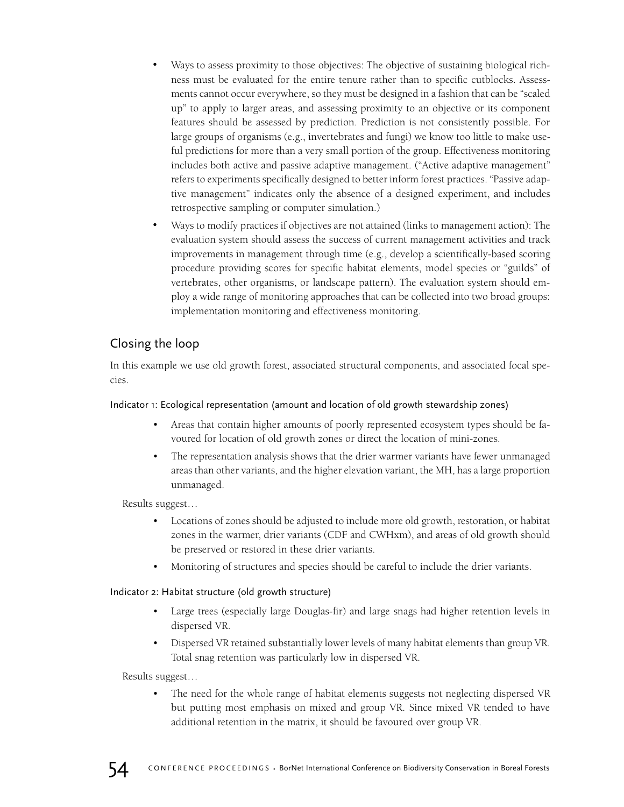- Ways to assess proximity to those objectives: The objective of sustaining biological richness must be evaluated for the entire tenure rather than to specific cutblocks. Assessments cannot occur everywhere, so they must be designed in a fashion that can be "scaled up" to apply to larger areas, and assessing proximity to an objective or its component features should be assessed by prediction. Prediction is not consistently possible. For large groups of organisms (e.g., invertebrates and fungi) we know too little to make useful predictions for more than a very small portion of the group. Effectiveness monitoring includes both active and passive adaptive management. ("Active adaptive management" refers to experiments specifically designed to better inform forest practices. "Passive adaptive management" indicates only the absence of a designed experiment, and includes retrospective sampling or computer simulation.)
- Ways to modify practices if objectives are not attained (links to management action): The evaluation system should assess the success of current management activities and track improvements in management through time (e.g., develop a scientifically-based scoring procedure providing scores for specific habitat elements, model species or "guilds" of vertebrates, other organisms, or landscape pattern). The evaluation system should employ a wide range of monitoring approaches that can be collected into two broad groups: implementation monitoring and effectiveness monitoring.

## Closing the loop

In this example we use old growth forest, associated structural components, and associated focal species.

## Indicator 1: Ecological representation (amount and location of old growth stewardship zones)

- Areas that contain higher amounts of poorly represented ecosystem types should be favoured for location of old growth zones or direct the location of mini-zones.
- The representation analysis shows that the drier warmer variants have fewer unmanaged areas than other variants, and the higher elevation variant, the MH, has a large proportion unmanaged.

Results suggest…

- Locations of zones should be adjusted to include more old growth, restoration, or habitat zones in the warmer, drier variants (CDF and CWHxm), and areas of old growth should be preserved or restored in these drier variants.
- Monitoring of structures and species should be careful to include the drier variants.

## Indicator 2: Habitat structure (old growth structure)

- Large trees (especially large Douglas-fir) and large snags had higher retention levels in dispersed VR.
- Dispersed VR retained substantially lower levels of many habitat elements than group VR. Total snag retention was particularly low in dispersed VR.

Results suggest…

The need for the whole range of habitat elements suggests not neglecting dispersed VR but putting most emphasis on mixed and group VR. Since mixed VR tended to have additional retention in the matrix, it should be favoured over group VR.

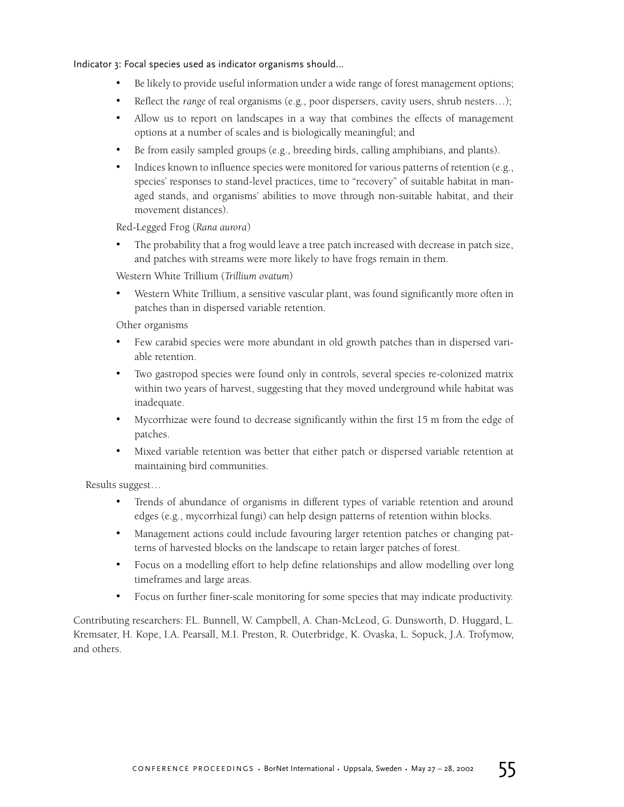Indicator 3: Focal species used as indicator organisms should…

- Be likely to provide useful information under a wide range of forest management options;
- Reflect the *range* of real organisms (e.g., poor dispersers, cavity users, shrub nesters…);
- Allow us to report on landscapes in a way that combines the effects of management options at a number of scales and is biologically meaningful; and
- Be from easily sampled groups (e.g., breeding birds, calling amphibians, and plants).
- Indices known to influence species were monitored for various patterns of retention (e.g., species' responses to stand-level practices, time to "recovery" of suitable habitat in managed stands, and organisms' abilities to move through non-suitable habitat, and their movement distances).

Red-Legged Frog (*Rana aurora*)

• The probability that a frog would leave a tree patch increased with decrease in patch size, and patches with streams were more likely to have frogs remain in them.

Western White Trillium (*Trillium ovatum*)

• Western White Trillium, a sensitive vascular plant, was found significantly more often in patches than in dispersed variable retention.

Other organisms

- Few carabid species were more abundant in old growth patches than in dispersed variable retention.
- Two gastropod species were found only in controls, several species re-colonized matrix within two years of harvest, suggesting that they moved underground while habitat was inadequate.
- Mycorrhizae were found to decrease significantly within the first 15 m from the edge of patches.
- Mixed variable retention was better that either patch or dispersed variable retention at maintaining bird communities.

Results suggest…

- Trends of abundance of organisms in different types of variable retention and around edges (e.g., mycorrhizal fungi) can help design patterns of retention within blocks.
- Management actions could include favouring larger retention patches or changing patterns of harvested blocks on the landscape to retain larger patches of forest.
- Focus on a modelling effort to help define relationships and allow modelling over long timeframes and large areas.
- Focus on further finer-scale monitoring for some species that may indicate productivity.

Contributing researchers: F.L. Bunnell, W. Campbell, A. Chan-McLeod, G. Dunsworth, D. Huggard, L. Kremsater, H. Kope, I.A. Pearsall, M.I. Preston, R. Outerbridge, K. Ovaska, L. Sopuck, J.A. Trofymow, and others.

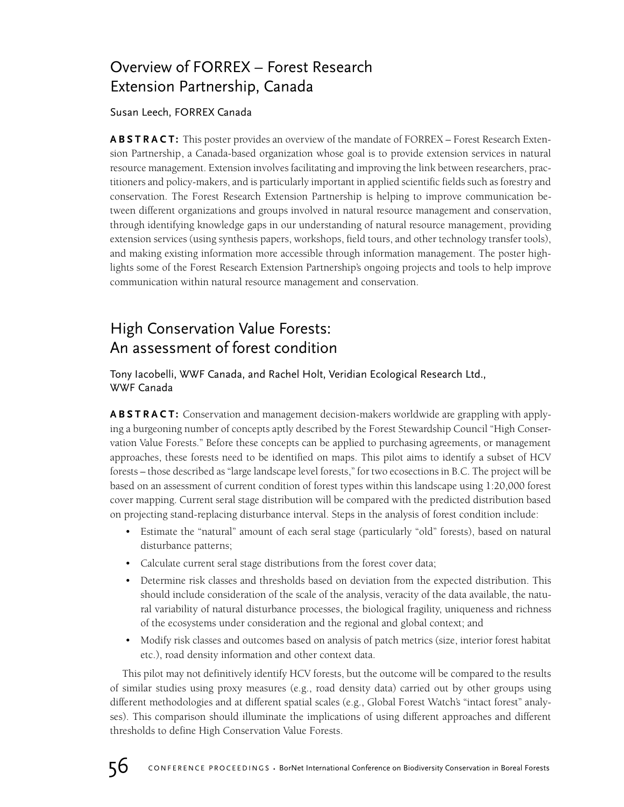## Overview of FORREX – Forest Research Extension Partnership, Canada

Susan Leech, FORREX Canada

**ABSTRACT:** This poster provides an overview of the mandate of FORREX – Forest Research Extension Partnership, a Canada-based organization whose goal is to provide extension services in natural resource management. Extension involves facilitating and improving the link between researchers, practitioners and policy-makers, and is particularly important in applied scientific fields such as forestry and conservation. The Forest Research Extension Partnership is helping to improve communication between different organizations and groups involved in natural resource management and conservation, through identifying knowledge gaps in our understanding of natural resource management, providing extension services (using synthesis papers, workshops, field tours, and other technology transfer tools), and making existing information more accessible through information management. The poster highlights some of the Forest Research Extension Partnership's ongoing projects and tools to help improve communication within natural resource management and conservation.

## High Conservation Value Forests: An assessment of forest condition

Tony Iacobelli, WWF Canada, and Rachel Holt, Veridian Ecological Research Ltd., WWF Canada

**ABSTRACT:** Conservation and management decision-makers worldwide are grappling with applying a burgeoning number of concepts aptly described by the Forest Stewardship Council "High Conservation Value Forests." Before these concepts can be applied to purchasing agreements, or management approaches, these forests need to be identified on maps. This pilot aims to identify a subset of HCV forests – those described as "large landscape level forests," for two ecosections in B.C. The project will be based on an assessment of current condition of forest types within this landscape using 1:20,000 forest cover mapping. Current seral stage distribution will be compared with the predicted distribution based on projecting stand-replacing disturbance interval. Steps in the analysis of forest condition include:

- Estimate the "natural" amount of each seral stage (particularly "old" forests), based on natural disturbance patterns;
- Calculate current seral stage distributions from the forest cover data;
- Determine risk classes and thresholds based on deviation from the expected distribution. This should include consideration of the scale of the analysis, veracity of the data available, the natural variability of natural disturbance processes, the biological fragility, uniqueness and richness of the ecosystems under consideration and the regional and global context; and
- Modify risk classes and outcomes based on analysis of patch metrics (size, interior forest habitat etc.), road density information and other context data.

This pilot may not definitively identify HCV forests, but the outcome will be compared to the results of similar studies using proxy measures (e.g., road density data) carried out by other groups using different methodologies and at different spatial scales (e.g., Global Forest Watch's "intact forest" analyses). This comparison should illuminate the implications of using different approaches and different thresholds to define High Conservation Value Forests.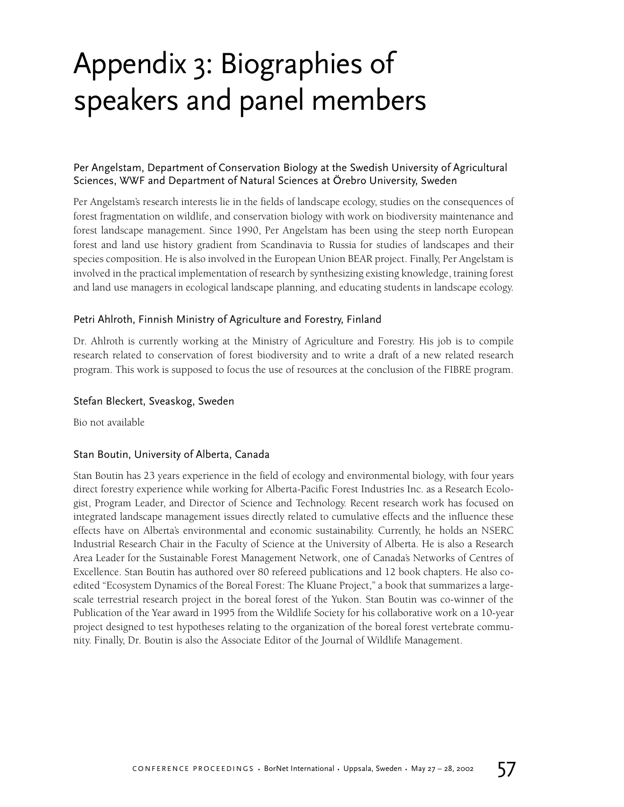## Appendix 3: Biographies of speakers and panel members

## Per Angelstam, Department of Conservation Biology at the Swedish University of Agricultural Sciences, WWF and Department of Natural Sciences at Örebro University, Sweden

Per Angelstam's research interests lie in the fields of landscape ecology, studies on the consequences of forest fragmentation on wildlife, and conservation biology with work on biodiversity maintenance and forest landscape management. Since 1990, Per Angelstam has been using the steep north European forest and land use history gradient from Scandinavia to Russia for studies of landscapes and their species composition. He is also involved in the European Union BEAR project. Finally, Per Angelstam is involved in the practical implementation of research by synthesizing existing knowledge, training forest and land use managers in ecological landscape planning, and educating students in landscape ecology.

## Petri Ahlroth, Finnish Ministry of Agriculture and Forestry, Finland

Dr. Ahlroth is currently working at the Ministry of Agriculture and Forestry. His job is to compile research related to conservation of forest biodiversity and to write a draft of a new related research program. This work is supposed to focus the use of resources at the conclusion of the FIBRE program.

## Stefan Bleckert, Sveaskog, Sweden

Bio not available

## Stan Boutin, University of Alberta, Canada

Stan Boutin has 23 years experience in the field of ecology and environmental biology, with four years direct forestry experience while working for Alberta-Pacific Forest Industries Inc. as a Research Ecologist, Program Leader, and Director of Science and Technology. Recent research work has focused on integrated landscape management issues directly related to cumulative effects and the influence these effects have on Alberta's environmental and economic sustainability. Currently, he holds an NSERC Industrial Research Chair in the Faculty of Science at the University of Alberta. He is also a Research Area Leader for the Sustainable Forest Management Network, one of Canada's Networks of Centres of Excellence. Stan Boutin has authored over 80 refereed publications and 12 book chapters. He also coedited "Ecosystem Dynamics of the Boreal Forest: The Kluane Project," a book that summarizes a largescale terrestrial research project in the boreal forest of the Yukon. Stan Boutin was co-winner of the Publication of the Year award in 1995 from the Wildlife Society for his collaborative work on a 10-year project designed to test hypotheses relating to the organization of the boreal forest vertebrate community. Finally, Dr. Boutin is also the Associate Editor of the Journal of Wildlife Management.

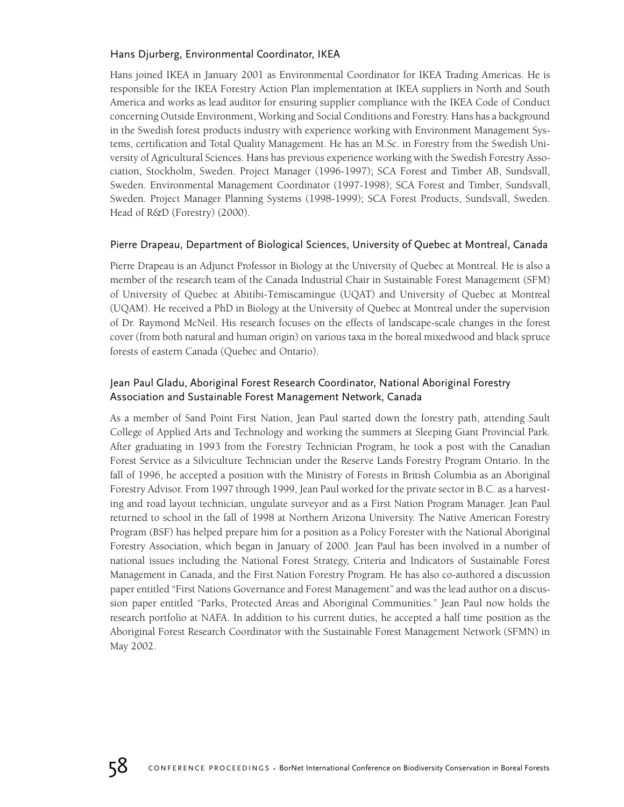## Hans Djurberg, Environmental Coordinator, IKEA

Hans joined IKEA in January 2001 as Environmental Coordinator for IKEA Trading Americas. He is responsible for the IKEA Forestry Action Plan implementation at IKEA suppliers in North and South America and works as lead auditor for ensuring supplier compliance with the IKEA Code of Conduct concerning Outside Environment, Working and Social Conditions and Forestry. Hans has a background in the Swedish forest products industry with experience working with Environment Management Systems, certification and Total Quality Management. He has an M.Sc. in Forestry from the Swedish University of Agricultural Sciences. Hans has previous experience working with the Swedish Forestry Association, Stockholm, Sweden. Project Manager (1996-1997); SCA Forest and Timber AB, Sundsvall, Sweden. Environmental Management Coordinator (1997-1998); SCA Forest and Timber, Sundsvall, Sweden. Project Manager Planning Systems (1998-1999); SCA Forest Products, Sundsvall, Sweden. Head of R&D (Forestry) (2000).

## Pierre Drapeau, Department of Biological Sciences, University of Quebec at Montreal, Canada

Pierre Drapeau is an Adjunct Professor in Biology at the University of Quebec at Montreal. He is also a member of the research team of the Canada Industrial Chair in Sustainable Forest Management (SFM) of University of Quebec at Abitibi-Témiscamingue (UQAT) and University of Quebec at Montreal (UQAM). He received a PhD in Biology at the University of Quebec at Montreal under the supervision of Dr. Raymond McNeil. His research focuses on the effects of landscape-scale changes in the forest cover (from both natural and human origin) on various taxa in the boreal mixedwood and black spruce forests of eastern Canada (Quebec and Ontario).

## Jean Paul Gladu, Aboriginal Forest Research Coordinator, National Aboriginal Forestry Association and Sustainable Forest Management Network, Canada

As a member of Sand Point First Nation, Jean Paul started down the forestry path, attending Sault College of Applied Arts and Technology and working the summers at Sleeping Giant Provincial Park. After graduating in 1993 from the Forestry Technician Program, he took a post with the Canadian Forest Service as a Silviculture Technician under the Reserve Lands Forestry Program Ontario. In the fall of 1996, he accepted a position with the Ministry of Forests in British Columbia as an Aboriginal Forestry Advisor. From 1997 through 1999, Jean Paul worked for the private sector in B.C. as a harvesting and road layout technician, ungulate surveyor and as a First Nation Program Manager. Jean Paul returned to school in the fall of 1998 at Northern Arizona University. The Native American Forestry Program (BSF) has helped prepare him for a position as a Policy Forester with the National Aboriginal Forestry Association, which began in January of 2000. Jean Paul has been involved in a number of national issues including the National Forest Strategy, Criteria and Indicators of Sustainable Forest Management in Canada, and the First Nation Forestry Program. He has also co-authored a discussion paper entitled "First Nations Governance and Forest Management" and was the lead author on a discussion paper entitled "Parks, Protected Areas and Aboriginal Communities." Jean Paul now holds the research portfolio at NAFA. In addition to his current duties, he accepted a half time position as the Aboriginal Forest Research Coordinator with the Sustainable Forest Management Network (SFMN) in May 2002.

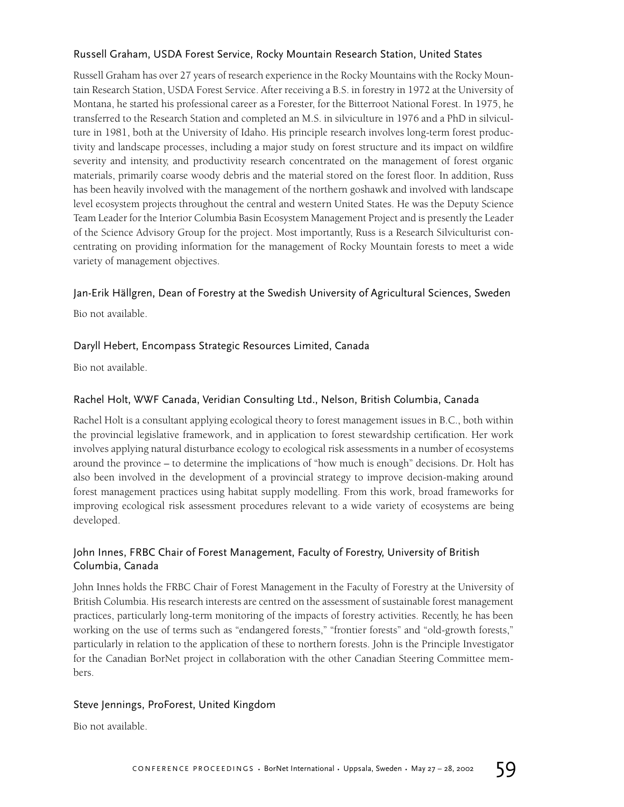## Russell Graham, USDA Forest Service, Rocky Mountain Research Station, United States

Russell Graham has over 27 years of research experience in the Rocky Mountains with the Rocky Mountain Research Station, USDA Forest Service. After receiving a B.S. in forestry in 1972 at the University of Montana, he started his professional career as a Forester, for the Bitterroot National Forest. In 1975, he transferred to the Research Station and completed an M.S. in silviculture in 1976 and a PhD in silviculture in 1981, both at the University of Idaho. His principle research involves long-term forest productivity and landscape processes, including a major study on forest structure and its impact on wildfire severity and intensity, and productivity research concentrated on the management of forest organic materials, primarily coarse woody debris and the material stored on the forest floor. In addition, Russ has been heavily involved with the management of the northern goshawk and involved with landscape level ecosystem projects throughout the central and western United States. He was the Deputy Science Team Leader for the Interior Columbia Basin Ecosystem Management Project and is presently the Leader of the Science Advisory Group for the project. Most importantly, Russ is a Research Silviculturist concentrating on providing information for the management of Rocky Mountain forests to meet a wide variety of management objectives.

## Jan-Erik Hällgren, Dean of Forestry at the Swedish University of Agricultural Sciences, Sweden

Bio not available.

## Daryll Hebert, Encompass Strategic Resources Limited, Canada

Bio not available.

## Rachel Holt, WWF Canada, Veridian Consulting Ltd., Nelson, British Columbia, Canada

Rachel Holt is a consultant applying ecological theory to forest management issues in B.C., both within the provincial legislative framework, and in application to forest stewardship certification. Her work involves applying natural disturbance ecology to ecological risk assessments in a number of ecosystems around the province – to determine the implications of "how much is enough" decisions. Dr. Holt has also been involved in the development of a provincial strategy to improve decision-making around forest management practices using habitat supply modelling. From this work, broad frameworks for improving ecological risk assessment procedures relevant to a wide variety of ecosystems are being developed.

## John Innes, FRBC Chair of Forest Management, Faculty of Forestry, University of British Columbia, Canada

John Innes holds the FRBC Chair of Forest Management in the Faculty of Forestry at the University of British Columbia. His research interests are centred on the assessment of sustainable forest management practices, particularly long-term monitoring of the impacts of forestry activities. Recently, he has been working on the use of terms such as "endangered forests," "frontier forests" and "old-growth forests," particularly in relation to the application of these to northern forests. John is the Principle Investigator for the Canadian BorNet project in collaboration with the other Canadian Steering Committee members.

## Steve Jennings, ProForest, United Kingdom

Bio not available.

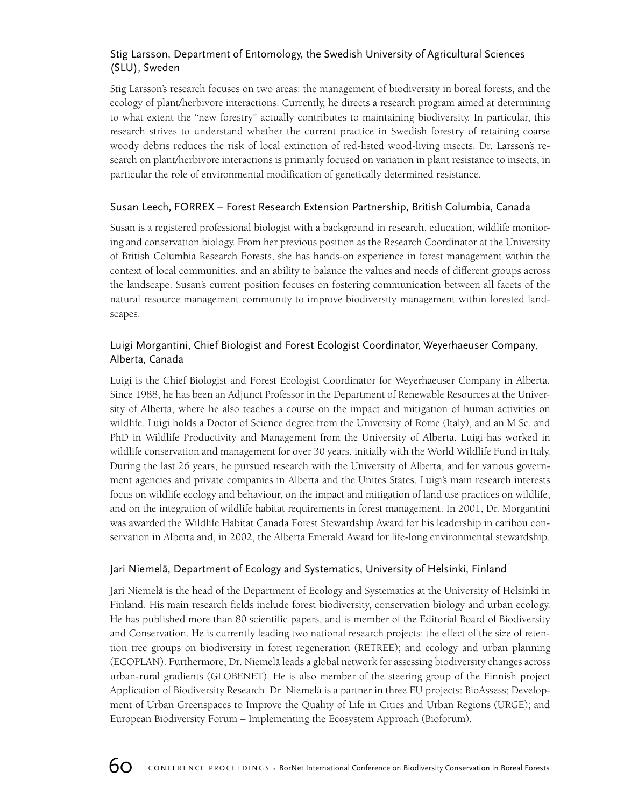## Stig Larsson, Department of Entomology, the Swedish University of Agricultural Sciences (SLU), Sweden

Stig Larsson's research focuses on two areas: the management of biodiversity in boreal forests, and the ecology of plant/herbivore interactions. Currently, he directs a research program aimed at determining to what extent the "new forestry" actually contributes to maintaining biodiversity. In particular, this research strives to understand whether the current practice in Swedish forestry of retaining coarse woody debris reduces the risk of local extinction of red-listed wood-living insects. Dr. Larsson's research on plant/herbivore interactions is primarily focused on variation in plant resistance to insects, in particular the role of environmental modification of genetically determined resistance.

## Susan Leech, FORREX – Forest Research Extension Partnership, British Columbia, Canada

Susan is a registered professional biologist with a background in research, education, wildlife monitoring and conservation biology. From her previous position as the Research Coordinator at the University of British Columbia Research Forests, she has hands-on experience in forest management within the context of local communities, and an ability to balance the values and needs of different groups across the landscape. Susan's current position focuses on fostering communication between all facets of the natural resource management community to improve biodiversity management within forested landscapes.

## Luigi Morgantini, Chief Biologist and Forest Ecologist Coordinator, Weyerhaeuser Company, Alberta, Canada

Luigi is the Chief Biologist and Forest Ecologist Coordinator for Weyerhaeuser Company in Alberta. Since 1988, he has been an Adjunct Professor in the Department of Renewable Resources at the University of Alberta, where he also teaches a course on the impact and mitigation of human activities on wildlife. Luigi holds a Doctor of Science degree from the University of Rome (Italy), and an M.Sc. and PhD in Wildlife Productivity and Management from the University of Alberta. Luigi has worked in wildlife conservation and management for over 30 years, initially with the World Wildlife Fund in Italy. During the last 26 years, he pursued research with the University of Alberta, and for various government agencies and private companies in Alberta and the Unites States. Luigi's main research interests focus on wildlife ecology and behaviour, on the impact and mitigation of land use practices on wildlife, and on the integration of wildlife habitat requirements in forest management. In 2001, Dr. Morgantini was awarded the Wildlife Habitat Canada Forest Stewardship Award for his leadership in caribou conservation in Alberta and, in 2002, the Alberta Emerald Award for life-long environmental stewardship.

## Jari Niemelä, Department of Ecology and Systematics, University of Helsinki, Finland

Jari Niemelä is the head of the Department of Ecology and Systematics at the University of Helsinki in Finland. His main research fields include forest biodiversity, conservation biology and urban ecology. He has published more than 80 scientific papers, and is member of the Editorial Board of Biodiversity and Conservation. He is currently leading two national research projects: the effect of the size of retention tree groups on biodiversity in forest regeneration (RETREE); and ecology and urban planning (ECOPLAN). Furthermore, Dr. Niemelä leads a global network for assessing biodiversity changes across urban-rural gradients (GLOBENET). He is also member of the steering group of the Finnish project Application of Biodiversity Research. Dr. Niemelä is a partner in three EU projects: BioAssess; Development of Urban Greenspaces to Improve the Quality of Life in Cities and Urban Regions (URGE); and European Biodiversity Forum – Implementing the Ecosystem Approach (Bioforum).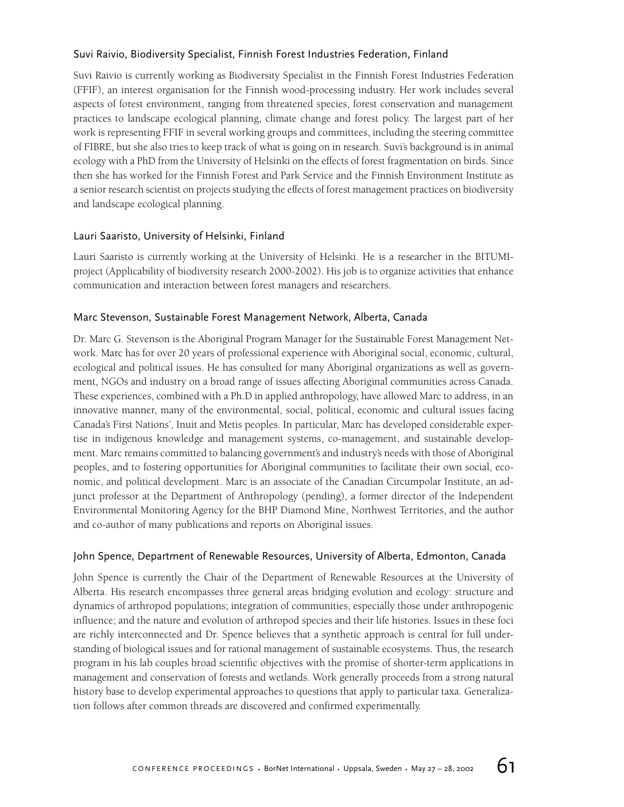## Suvi Raivio, Biodiversity Specialist, Finnish Forest Industries Federation, Finland

Suvi Raivio is currently working as Biodiversity Specialist in the Finnish Forest Industries Federation (FFIF), an interest organisation for the Finnish wood-processing industry. Her work includes several aspects of forest environment, ranging from threatened species, forest conservation and management practices to landscape ecological planning, climate change and forest policy. The largest part of her work is representing FFIF in several working groups and committees, including the steering committee of FIBRE, but she also tries to keep track of what is going on in research. Suvi's background is in animal ecology with a PhD from the University of Helsinki on the effects of forest fragmentation on birds. Since then she has worked for the Finnish Forest and Park Service and the Finnish Environment Institute as a senior research scientist on projects studying the effects of forest management practices on biodiversity and landscape ecological planning.

## Lauri Saaristo, University of Helsinki, Finland

Lauri Saaristo is currently working at the University of Helsinki. He is a researcher in the BITUMIproject (Applicability of biodiversity research 2000-2002). His job is to organize activities that enhance communication and interaction between forest managers and researchers.

## Marc Stevenson, Sustainable Forest Management Network, Alberta, Canada

Dr. Marc G. Stevenson is the Aboriginal Program Manager for the Sustainable Forest Management Network. Marc has for over 20 years of professional experience with Aboriginal social, economic, cultural, ecological and political issues. He has consulted for many Aboriginal organizations as well as government, NGOs and industry on a broad range of issues affecting Aboriginal communities across Canada. These experiences, combined with a Ph.D in applied anthropology, have allowed Marc to address, in an innovative manner, many of the environmental, social, political, economic and cultural issues facing Canada's First Nations', Inuit and Metis peoples. In particular, Marc has developed considerable expertise in indigenous knowledge and management systems, co-management, and sustainable development. Marc remains committed to balancing government's and industry's needs with those of Aboriginal peoples, and to fostering opportunities for Aboriginal communities to facilitate their own social, economic, and political development. Marc is an associate of the Canadian Circumpolar Institute, an adjunct professor at the Department of Anthropology (pending), a former director of the Independent Environmental Monitoring Agency for the BHP Diamond Mine, Northwest Territories, and the author and co-author of many publications and reports on Aboriginal issues.

## John Spence, Department of Renewable Resources, University of Alberta, Edmonton, Canada

John Spence is currently the Chair of the Department of Renewable Resources at the University of Alberta. His research encompasses three general areas bridging evolution and ecology: structure and dynamics of arthropod populations; integration of communities, especially those under anthropogenic influence; and the nature and evolution of arthropod species and their life histories. Issues in these foci are richly interconnected and Dr. Spence believes that a synthetic approach is central for full understanding of biological issues and for rational management of sustainable ecosystems. Thus, the research program in his lab couples broad scientific objectives with the promise of shorter-term applications in management and conservation of forests and wetlands. Work generally proceeds from a strong natural history base to develop experimental approaches to questions that apply to particular taxa. Generalization follows after common threads are discovered and confirmed experimentally.

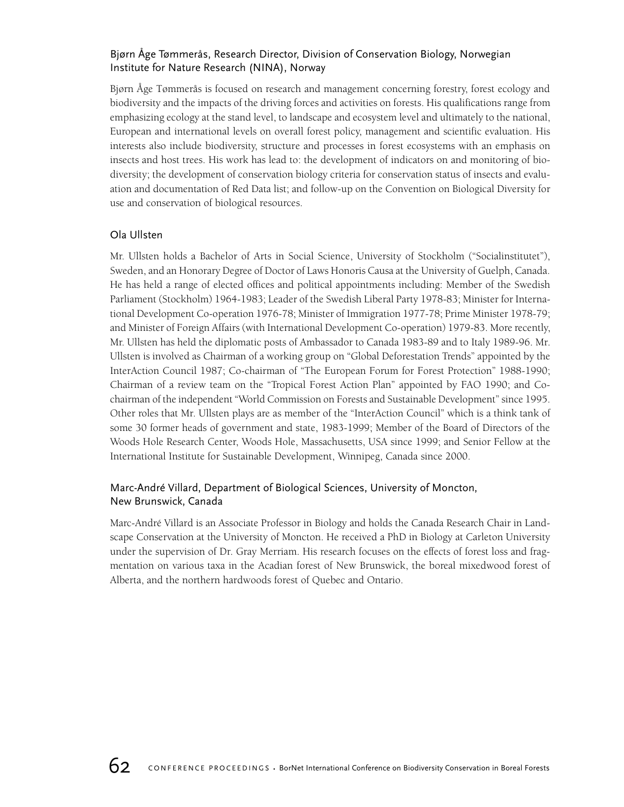## Bjørn Åge Tømmerås, Research Director, Division of Conservation Biology, Norwegian Institute for Nature Research (NINA), Norway

Bjørn Åge Tømmerås is focused on research and management concerning forestry, forest ecology and biodiversity and the impacts of the driving forces and activities on forests. His qualifications range from emphasizing ecology at the stand level, to landscape and ecosystem level and ultimately to the national, European and international levels on overall forest policy, management and scientific evaluation. His interests also include biodiversity, structure and processes in forest ecosystems with an emphasis on insects and host trees. His work has lead to: the development of indicators on and monitoring of biodiversity; the development of conservation biology criteria for conservation status of insects and evaluation and documentation of Red Data list; and follow-up on the Convention on Biological Diversity for use and conservation of biological resources.

## Ola Ullsten

Mr. Ullsten holds a Bachelor of Arts in Social Science, University of Stockholm ("Socialinstitutet"), Sweden, and an Honorary Degree of Doctor of Laws Honoris Causa at the University of Guelph, Canada. He has held a range of elected offices and political appointments including: Member of the Swedish Parliament (Stockholm) 1964-1983; Leader of the Swedish Liberal Party 1978-83; Minister for International Development Co-operation 1976-78; Minister of Immigration 1977-78; Prime Minister 1978-79; and Minister of Foreign Affairs (with International Development Co-operation) 1979-83. More recently, Mr. Ullsten has held the diplomatic posts of Ambassador to Canada 1983-89 and to Italy 1989-96. Mr. Ullsten is involved as Chairman of a working group on "Global Deforestation Trends" appointed by the InterAction Council 1987; Co-chairman of "The European Forum for Forest Protection" 1988-1990; Chairman of a review team on the "Tropical Forest Action Plan" appointed by FAO 1990; and Cochairman of the independent "World Commission on Forests and Sustainable Development" since 1995. Other roles that Mr. Ullsten plays are as member of the "InterAction Council" which is a think tank of some 30 former heads of government and state, 1983-1999; Member of the Board of Directors of the Woods Hole Research Center, Woods Hole, Massachusetts, USA since 1999; and Senior Fellow at the International Institute for Sustainable Development, Winnipeg, Canada since 2000.

## Marc-André Villard, Department of Biological Sciences, University of Moncton, New Brunswick, Canada

Marc-André Villard is an Associate Professor in Biology and holds the Canada Research Chair in Landscape Conservation at the University of Moncton. He received a PhD in Biology at Carleton University under the supervision of Dr. Gray Merriam. His research focuses on the effects of forest loss and fragmentation on various taxa in the Acadian forest of New Brunswick, the boreal mixedwood forest of Alberta, and the northern hardwoods forest of Quebec and Ontario.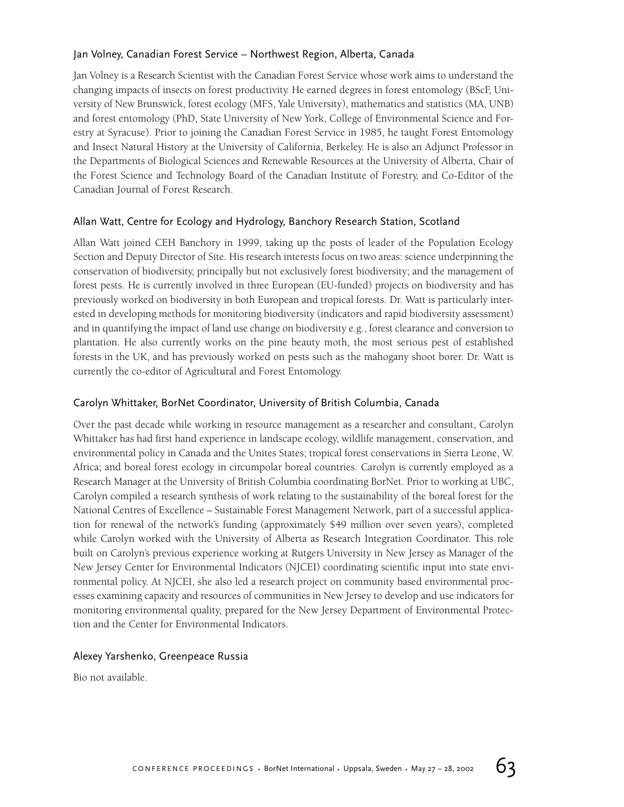## Jan Volney, Canadian Forest Service – Northwest Region, Alberta, Canada

Jan Volney is a Research Scientist with the Canadian Forest Service whose work aims to understand the changing impacts of insects on forest productivity. He earned degrees in forest entomology (BScF, University of New Brunswick, forest ecology (MFS, Yale University), mathematics and statistics (MA, UNB) and forest entomology (PhD, State University of New York, College of Environmental Science and Forestry at Syracuse). Prior to joining the Canadian Forest Service in 1985, he taught Forest Entomology and Insect Natural History at the University of California, Berkeley. He is also an Adjunct Professor in the Departments of Biological Sciences and Renewable Resources at the University of Alberta, Chair of the Forest Science and Technology Board of the Canadian Institute of Forestry, and Co-Editor of the Canadian Journal of Forest Research.

## Allan Watt, Centre for Ecology and Hydrology, Banchory Research Station, Scotland

Allan Watt joined CEH Banchory in 1999, taking up the posts of leader of the Population Ecology Section and Deputy Director of Site. His research interests focus on two areas: science underpinning the conservation of biodiversity, principally but not exclusively forest biodiversity; and the management of forest pests. He is currently involved in three European (EU-funded) projects on biodiversity and has previously worked on biodiversity in both European and tropical forests. Dr. Watt is particularly interested in developing methods for monitoring biodiversity (indicators and rapid biodiversity assessment) and in quantifying the impact of land use change on biodiversity e.g., forest clearance and conversion to plantation. He also currently works on the pine beauty moth, the most serious pest of established forests in the UK, and has previously worked on pests such as the mahogany shoot borer. Dr. Watt is currently the co-editor of Agricultural and Forest Entomology.

## Carolyn Whittaker, BorNet Coordinator, University of British Columbia, Canada

Over the past decade while working in resource management as a researcher and consultant, Carolyn Whittaker has had first hand experience in landscape ecology, wildlife management, conservation, and environmental policy in Canada and the Unites States; tropical forest conservations in Sierra Leone, W. Africa; and boreal forest ecology in circumpolar boreal countries. Carolyn is currently employed as a Research Manager at the University of British Columbia coordinating BorNet. Prior to working at UBC, Carolyn compiled a research synthesis of work relating to the sustainability of the boreal forest for the National Centres of Excellence – Sustainable Forest Management Network, part of a successful application for renewal of the network's funding (approximately \$49 million over seven years), completed while Carolyn worked with the University of Alberta as Research Integration Coordinator. This role built on Carolyn's previous experience working at Rutgers University in New Jersey as Manager of the New Jersey Center for Environmental Indicators (NJCEI) coordinating scientific input into state environmental policy. At NJCEI, she also led a research project on community based environmental processes examining capacity and resources of communities in New Jersey to develop and use indicators for monitoring environmental quality, prepared for the New Jersey Department of Environmental Protection and the Center for Environmental Indicators.

## Alexey Yarshenko, Greenpeace Russia

Bio not available.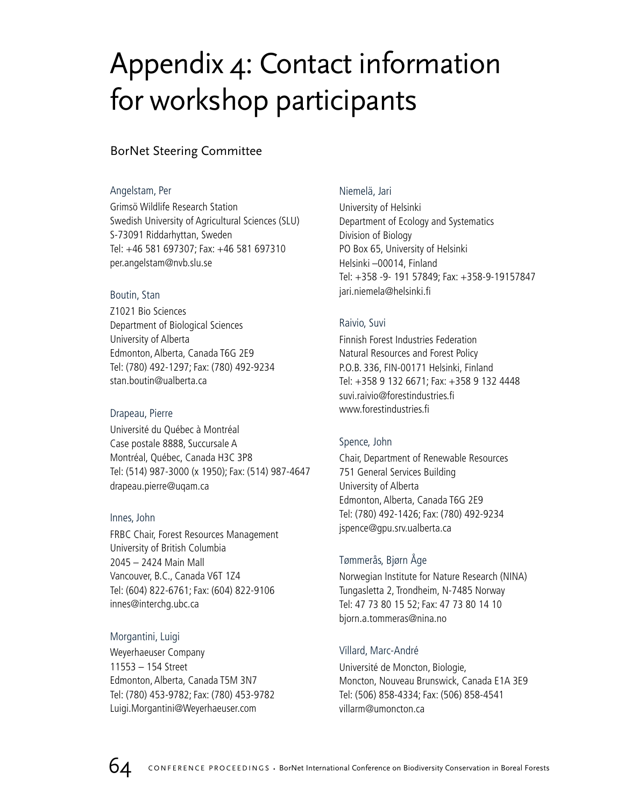## Appendix 4: Contact information for workshop participants

## BorNet Steering Committee

## Angelstam, Per

Grimsö Wildlife Research Station Swedish University of Agricultural Sciences (SLU) S-73091 Riddarhyttan, Sweden Tel: +46 581 697307; Fax: +46 581 697310 per.angelstam@nvb.slu.se

## Boutin, Stan

Z1021 Bio Sciences Department of Biological Sciences University of Alberta Edmonton, Alberta, Canada T6G 2E9 Tel: (780) 492-1297; Fax: (780) 492-9234 stan.boutin@ualberta.ca

## Drapeau, Pierre

Université du Québec à Montréal Case postale 8888, Succursale A Montréal, Québec, Canada H3C 3P8 Tel: (514) 987-3000 (x 1950); Fax: (514) 987-4647 drapeau.pierre@uqam.ca

## Innes, John

FRBC Chair, Forest Resources Management University of British Columbia 2045 – 2424 Main Mall Vancouver, B.C., Canada V6T 1Z4 Tel: (604) 822-6761; Fax: (604) 822-9106 innes@interchg.ubc.ca

## Morgantini, Luigi

Weyerhaeuser Company 11553 – 154 Street Edmonton, Alberta, Canada T5M 3N7 Tel: (780) 453-9782; Fax: (780) 453-9782 Luigi.Morgantini@Weyerhaeuser.com

## Niemelä, Jari

University of Helsinki Department of Ecology and Systematics Division of Biology PO Box 65, University of Helsinki Helsinki –00014, Finland Tel: +358 -9- 191 57849; Fax: +358-9-19157847 jari.niemela@helsinki.fi

## Raivio, Suvi

Finnish Forest Industries Federation Natural Resources and Forest Policy P.O.B. 336, FIN-00171 Helsinki, Finland Tel: +358 9 132 6671; Fax: +358 9 132 4448 suvi.raivio@forestindustries.fi www.forestindustries.fi

## Spence, John

Chair, Department of Renewable Resources 751 General Services Building University of Alberta Edmonton, Alberta, Canada T6G 2E9 Tel: (780) 492-1426; Fax: (780) 492-9234 jspence@gpu.srv.ualberta.ca

## Tømmerås, Bjørn Åge

Norwegian Institute for Nature Research (NINA) Tungasletta 2, Trondheim, N-7485 Norway Tel: 47 73 80 15 52; Fax: 47 73 80 14 10 bjorn.a.tommeras@nina.no

## Villard, Marc-André

Université de Moncton, Biologie, Moncton, Nouveau Brunswick, Canada E1A 3E9 Tel: (506) 858-4334; Fax: (506) 858-4541 villarm@umoncton.ca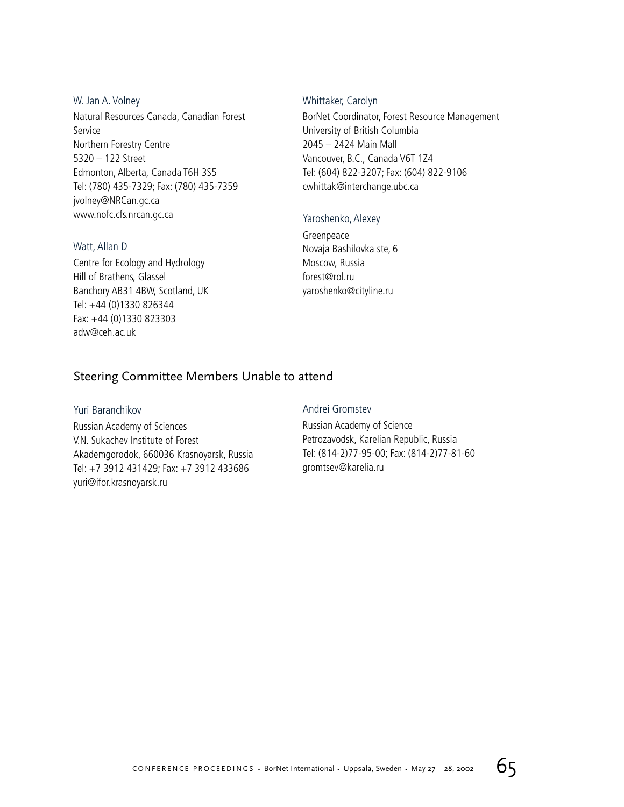W. Jan A. Volney Natural Resources Canada, Canadian Forest Service Northern Forestry Centre 5320 – 122 Street Edmonton, Alberta, Canada T6H 3S5 Tel: (780) 435-7329; Fax: (780) 435-7359 jvolney@NRCan.gc.ca www.nofc.cfs.nrcan.gc.ca

### Watt, Allan D

Centre for Ecology and Hydrology Hill of Brathens, Glassel Banchory AB31 4BW, Scotland, UK Tel: +44 (0)1330 826344 Fax: +44 (0)1330 823303 adw@ceh.ac.uk

### Whittaker, Carolyn

BorNet Coordinator, Forest Resource Management University of British Columbia 2045 – 2424 Main Mall Vancouver, B.C., Canada V6T 1Z4 Tel: (604) 822-3207; Fax: (604) 822-9106 cwhittak@interchange.ubc.ca

### Yaroshenko, Alexey

Greenpeace Novaja Bashilovka ste, 6 Moscow, Russia forest@rol.ru yaroshenko@cityline.ru

## Steering Committee Members Unable to attend

### Yuri Baranchikov

Russian Academy of Sciences V.N. Sukachev Institute of Forest Akademgorodok, 660036 Krasnoyarsk, Russia Tel: +7 3912 431429; Fax: +7 3912 433686 yuri@ifor.krasnoyarsk.ru

### Andrei Gromstev

Russian Academy of Science Petrozavodsk, Karelian Republic, Russia Tel: (814-2)77-95-00; Fax: (814-2)77-81-60 gromtsev@karelia.ru

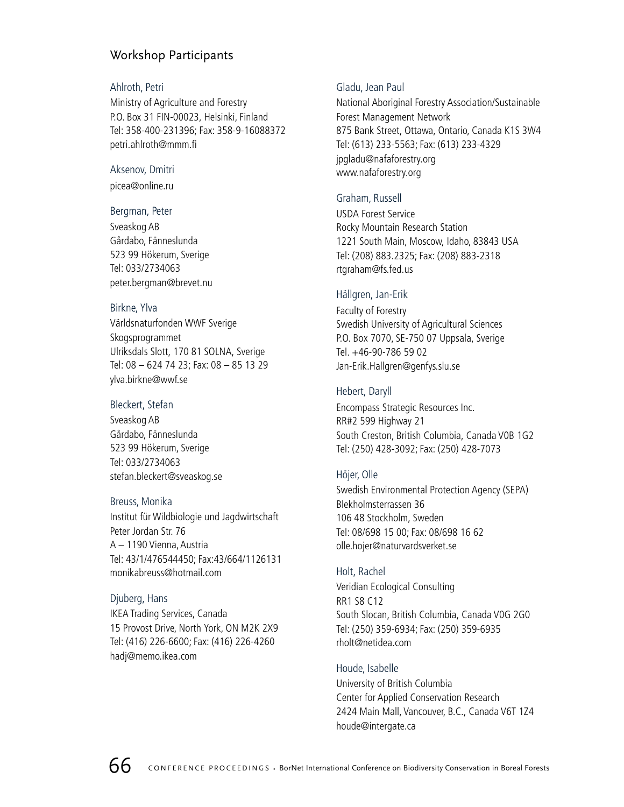## Workshop Participants

### Ahlroth, Petri

Ministry of Agriculture and Forestry P.O. Box 31 FIN-00023, Helsinki, Finland Tel: 358-400-231396; Fax: 358-9-16088372 petri.ahlroth@mmm.fi

## Aksenov, Dmitri

picea@online.ru

## Bergman, Peter

Sveaskog AB Gårdabo, Fänneslunda 523 99 Hökerum, Sverige Tel: 033/2734063 peter.bergman@brevet.nu

## Birkne, Ylva

Världsnaturfonden WWF Sverige Skogsprogrammet Ulriksdals Slott, 170 81 SOLNA, Sverige Tel: 08 – 624 74 23; Fax: 08 – 85 13 29 ylva.birkne@wwf.se

## Bleckert, Stefan

Sveaskog AB Gårdabo, Fänneslunda 523 99 Hökerum, Sverige Tel: 033/2734063 stefan.bleckert@sveaskog.se

## Breuss, Monika

Institut für Wildbiologie und Jagdwirtschaft Peter Jordan Str. 76 A – 1190 Vienna, Austria Tel: 43/1/476544450; Fax:43/664/1126131 monikabreuss@hotmail.com

## Djuberg, Hans

IKEA Trading Services, Canada 15 Provost Drive, North York, ON M2K 2X9 Tel: (416) 226-6600; Fax: (416) 226-4260 hadj@memo.ikea.com

## Gladu, Jean Paul

National Aboriginal Forestry Association/Sustainable Forest Management Network 875 Bank Street, Ottawa, Ontario, Canada K1S 3W4 Tel: (613) 233-5563; Fax: (613) 233-4329 jpgladu@nafaforestry.org www.nafaforestry.org

## Graham, Russell

USDA Forest Service Rocky Mountain Research Station 1221 South Main, Moscow, Idaho, 83843 USA Tel: (208) 883.2325; Fax: (208) 883-2318 rtgraham@fs.fed.us

## Hällgren, Jan-Erik

Faculty of Forestry Swedish University of Agricultural Sciences P.O. Box 7070, SE-750 07 Uppsala, Sverige Tel. +46-90-786 59 02 Jan-Erik.Hallgren@genfys.slu.se

## Hebert, Daryll

Encompass Strategic Resources Inc. RR#2 599 Highway 21 South Creston, British Columbia, Canada V0B 1G2 Tel: (250) 428-3092; Fax: (250) 428-7073

## Höjer, Olle

Swedish Environmental Protection Agency (SEPA) Blekholmsterrassen 36 106 48 Stockholm, Sweden Tel: 08/698 15 00; Fax: 08/698 16 62 olle.hojer@naturvardsverket.se

## Holt, Rachel

Veridian Ecological Consulting RR1 S8 C12 South Slocan, British Columbia, Canada V0G 2G0 Tel: (250) 359-6934; Fax: (250) 359-6935 rholt@netidea.com

## Houde, Isabelle

University of British Columbia Center for Applied Conservation Research 2424 Main Mall, Vancouver, B.C., Canada V6T 1Z4 houde@intergate.ca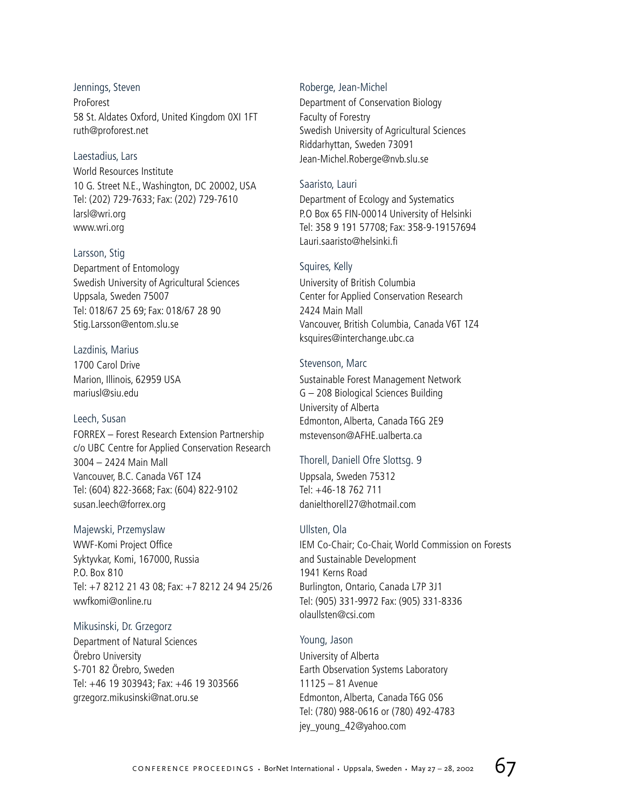Jennings, Steven ProForest 58 St. Aldates Oxford, United Kingdom 0XI 1FT ruth@proforest.net

### Laestadius, Lars

World Resources Institute 10 G. Street N.E., Washington, DC 20002, USA Tel: (202) 729-7633; Fax: (202) 729-7610 larsl@wri.org www.wri.org

Larsson, Stig Department of Entomology Swedish University of Agricultural Sciences Uppsala, Sweden 75007 Tel: 018/67 25 69; Fax: 018/67 28 90 Stig.Larsson@entom.slu.se

Lazdinis, Marius 1700 Carol Drive Marion, Illinois, 62959 USA mariusl@siu.edu

### Leech, Susan

FORREX – Forest Research Extension Partnership c/o UBC Centre for Applied Conservation Research 3004 – 2424 Main Mall Vancouver, B.C. Canada V6T 1Z4 Tel: (604) 822-3668; Fax: (604) 822-9102 susan.leech@forrex.org

### Majewski, Przemyslaw

WWF-Komi Project Office Syktyvkar, Komi, 167000, Russia P.O. Box 810 Tel: +7 8212 21 43 08; Fax: +7 8212 24 94 25/26 wwfkomi@online.ru

Mikusinski, Dr. Grzegorz Department of Natural Sciences Örebro University S-701 82 Örebro, Sweden Tel: +46 19 303943; Fax: +46 19 303566 grzegorz.mikusinski@nat.oru.se

### Roberge, Jean-Michel

Department of Conservation Biology Faculty of Forestry Swedish University of Agricultural Sciences Riddarhyttan, Sweden 73091 Jean-Michel.Roberge@nvb.slu.se

### Saaristo, Lauri

Department of Ecology and Systematics P.O Box 65 FIN-00014 University of Helsinki Tel: 358 9 191 57708; Fax: 358-9-19157694 Lauri.saaristo@helsinki.fi

### Squires, Kelly

University of British Columbia Center for Applied Conservation Research 2424 Main Mall Vancouver, British Columbia, Canada V6T 1Z4 ksquires@interchange.ubc.ca

### Stevenson, Marc

Sustainable Forest Management Network G – 208 Biological Sciences Building University of Alberta Edmonton, Alberta, Canada T6G 2E9 mstevenson@AFHE.ualberta.ca

## Thorell, Daniell Ofre Slottsg. 9

Uppsala, Sweden 75312 Tel: +46-18 762 711 danielthorell27@hotmail.com

### Ullsten, Ola

IEM Co-Chair; Co-Chair, World Commission on Forests and Sustainable Development 1941 Kerns Road Burlington, Ontario, Canada L7P 3J1 Tel: (905) 331-9972 Fax: (905) 331-8336 olaullsten@csi.com

Young, Jason University of Alberta Earth Observation Systems Laboratory 11125 – 81 Avenue Edmonton, Alberta, Canada T6G 0S6 Tel: (780) 988-0616 or (780) 492-4783 jey\_young\_42@yahoo.com